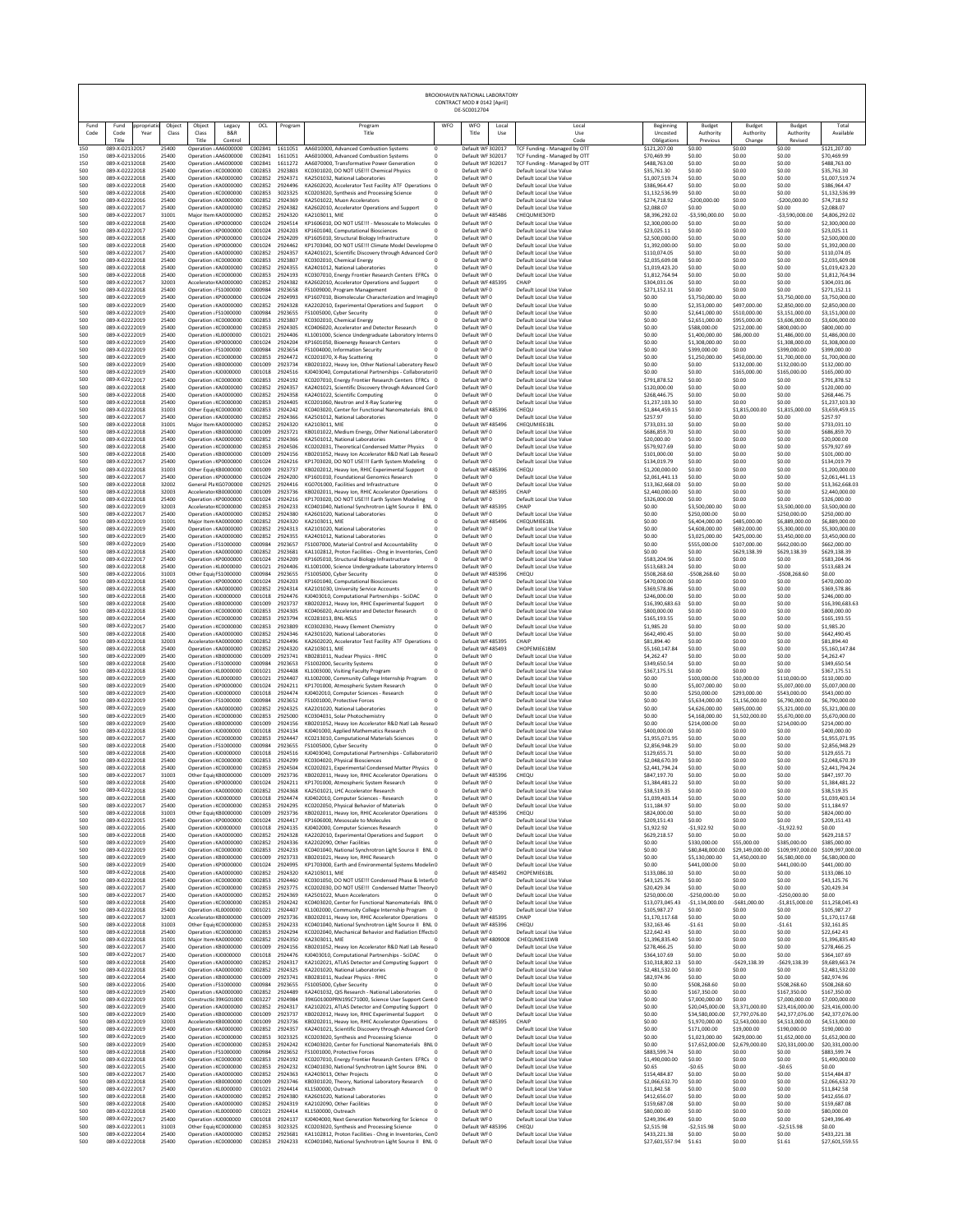|                     |                                                              |                          |                                                                               |                               |                               |                                                                                                                                                                        |                                        | BROOKHAVEN NATIONAL LABORATORY<br>CONTRACT MOD # 0142 [April]<br>DE-SC0012704 |                                                                                         |                                                      |                                                  |                                               |                                                  |                                                     |
|---------------------|--------------------------------------------------------------|--------------------------|-------------------------------------------------------------------------------|-------------------------------|-------------------------------|------------------------------------------------------------------------------------------------------------------------------------------------------------------------|----------------------------------------|-------------------------------------------------------------------------------|-----------------------------------------------------------------------------------------|------------------------------------------------------|--------------------------------------------------|-----------------------------------------------|--------------------------------------------------|-----------------------------------------------------|
| Fund<br>Code<br>150 | Fund<br>oropriati<br>Code<br>Year<br>Title<br>089-X-02132017 | Object<br>Class<br>25400 | Object<br>Legacy<br>Class<br>B&R<br>Title<br>Control<br>Operation : AA6000000 | OCL<br>C002841                | Program<br>1611051            | Program<br>Title<br>AA6010000, Advanced Combustion Systems                                                                                                             | WFO                                    | WFO<br>Local<br>Title<br>Use<br>Default WF 302017                             | Local<br>Use<br>Code<br>TCF Funding - Managed by OT                                     | Beginning<br>Uncosted<br>Obligations<br>\$121,207.00 | Budget<br>Authority<br>Previous<br>\$0.00        | Budget<br>Authority<br>Change<br>\$0.00       | Budget<br>Authority<br>Revised<br>\$0.00         | Total<br>Available<br>\$121,207.00                  |
| 150<br>150<br>500   | 089-X-02132016<br>089-X-02132018<br>089-X-02222018           | 25400<br>25400<br>25400  | Operation ¿AA6000000<br>Operation : AA6000000<br>Operation ¿KC0000000         | C002841<br>C002841<br>C002853 | 1611051<br>1611272<br>2923803 | AA6010000, Advanced Combustion Systems<br>AA6070000. Transformative Power Generation<br>KC0301020, DO NOT USE !!! Chemical Physics                                     | $^{\circ}$<br>$^{\circ}$<br>$^{\circ}$ | Default WF 302017<br>Default WF 302017<br>Default WFO                         | TCF Funding - Managed by OTT<br>TCF Funding - Managed by OTT<br>Default Local Use Value | \$70,469.99<br>\$488,763.00<br>\$35,761.30           | \$0.00<br>\$0.00<br>\$0.00                       | \$0.00<br>\$0.00<br>\$0.00                    | \$0.00<br>\$0.00<br>\$0.00                       | \$70,469.99<br>\$488,763.00<br>\$35,761.30          |
| 500<br>500          | 089-X-02222018<br>089-X-02222018                             | 25400<br>25400           | Operation ¿KA0000000<br>Operation ¿KA0000000                                  | C002852<br>C002852            | 2924371<br>2924496            | KA2501032. National Laboratories<br>KA2602020, Accelerator Test Facility ATF Operations 0                                                                              | $\mathbf{0}$                           | Default WF0<br>Default WF0                                                    | Default Local Use Value<br>Default Local Use Value                                      | \$1,007,519.74<br>\$386,964.47                       | \$0.00<br>\$0.00                                 | \$0.00<br>\$0.00                              | \$0.00<br>\$0.00                                 | \$1,007,519.74<br>\$386,964.47                      |
| 500<br>500          | 089-X-02222018<br>089-X-02222016                             | 25400<br>25400           | Operation ¿KC0000000<br>Operation ¿KA0000000                                  | C002853<br>C002852            | 3023325<br>2924369            | KC0203020, Synthesis and Processing Science<br>KA2501022. Muon Accelerators                                                                                            | $^{\circ}$<br>$\Omega$                 | Default WF0<br>Default WF0                                                    | Default Local Use Value<br>Default Local Use Value                                      | \$1,132,536.99<br>\$274,718.92                       | \$0.00<br>$-5200.000.00$                         | \$0.00<br>\$0.00                              | \$0.00<br>$-5200.000.00$                         | \$1,132,536.99<br>\$74,718.92                       |
| 500<br>500<br>500   | 089-X-02222017<br>089-X-02222017<br>089-X-02222018           | 25400<br>31001<br>25400  | Operation ¿KA0000000<br>Major Item KA0000000<br>Operation ¿KP0000000          | C002852<br>C002852<br>C001024 | 2924382<br>2924320<br>2924514 | KA2602010, Accelerator Operations and Support<br>KA2103011, MIE<br>KP1606010, DO NOT USE !!! - Mesoscale to Molecules 0                                                | $^{\circ}$<br>$\Omega$                 | Default WF0<br>Default WF 485486<br>Default WF0                               | Default Local Use Value<br>CHEQUMIE30YD<br>Default Local Use Value                      | \$2,088.07<br>\$8,396,292.02<br>\$2,300,000.00       | \$0.00<br>$-53,590,000.00$<br>\$0.00             | \$0.00<br>\$0.00<br>\$0.00                    | \$0.00<br>$-53,590,000.00$<br>\$0.00             | \$2,088.07<br>\$4,806,292.02<br>\$2,300,000.00      |
| 500<br>500          | 089-X-02222017<br>089-X-02222018                             | 25400<br>25400           | Operation ¿KP0000000<br>Operation ¿KP0000000                                  | C001024<br>C001024            | 2924203<br>2924209            | KP1601040, Computational Biosciences<br>KP1605010. Structural Biology Infrastructure                                                                                   | 0<br>$\Omega$                          | Default WF0<br>Default WFO                                                    | Default Local Use Value<br>Default Local Use Value                                      | \$23,025.11<br>\$2,500,000.00                        | \$0.00<br>\$0.00                                 | \$0.00<br>\$0.00                              | \$0.00<br>\$0.00                                 | \$23,025.11<br>\$2,500,000.00                       |
| 500<br>500          | 089-X-02222018<br>089-X-02222017                             | 25400<br>25400           | Operation ¿KP0000000<br>Operation ¿KA0000000                                  | C001024<br>C002852            | 2924462<br>2924357            | KP1703040, DO NOT USE !!! Climate Model Developme 0<br>KA2401021, Scientific Discovery through Advanced Con0                                                           |                                        | Default WFO<br>Default WF0                                                    | Default Local Use Value<br>Default Local Use Value                                      | \$1,392,000.00<br>\$110,074.05                       | \$0.00<br>\$0.00                                 | \$0.00<br>\$0.00                              | \$0.00<br>\$0.00                                 | \$1,392,000.00<br>\$110,074.05                      |
| 500<br>500<br>500   | 089-X-02222018<br>089-X-02222018<br>089-X-02222018           | 25400<br>25400<br>25400  | Operation ¿KC0000000<br>Operation ¿KA0000000<br>Operation ¿KC0000000          | C002853<br>C002852<br>C002853 | 2923807<br>2924355<br>2924193 | KC0302010, Chemical Energy<br>KA2401012, National Laboratories<br>KC0307010. Energy Frontier Research Centers EFRCs 0                                                  | $\mathbf{0}$<br>0                      | Default WF0<br>Default WF0<br>Default WFO                                     | Default Local Use Value<br>Default Local Use Value<br>Default Local Use Value           | \$2,035,609.08<br>\$1,019,423.20<br>\$1,812,764.94   | \$0.00<br>\$0.00<br>\$0.00                       | \$0.00<br>\$0.00<br>\$0.00                    | \$0.00<br>\$0.00<br>\$0.00                       | \$2,035,609.08<br>\$1,019,423.20<br>\$1.812,764.94  |
| 500<br>500          | 089-X-02222017<br>089-X-02222018                             | 32003<br>25400           | Accelerator KA0000000<br>Operation ¿FS1000000                                 | C002852<br>C000984            | 2924382<br>2923658            | KA2602010, Accelerator Operations and Support<br>FS1009000, Program Management                                                                                         | $^{\circ}$<br>$\Omega$                 | Default WF 485395<br>Default WF0                                              | CHAIP<br>Default Local Use Value                                                        | \$304.031.06<br>\$271,152.11                         | \$0.00<br>\$0.00                                 | \$0.00<br>\$0.00                              | \$0.00<br>\$0.00                                 | \$304.031.06<br>\$271,152.11                        |
| 500<br>500          | 089-X-02222019<br>089-X-02222019<br>089-X-02222019           | 25400<br>25400           | Operation ¿KP0000000<br>Operation : KA0000000                                 | C001024<br>C002852            | 2924993<br>2924328            | KP1607010, Biomolecular Characterization and Imaging0<br>KA2202010, Experimental Operations and Support                                                                | $^{\circ}$                             | Default WF0<br>Default WF0<br>Default WF0                                     | Default Local Use Value<br>Default Local Use Value                                      | \$0.00<br>\$0.00                                     | \$3,750,000.00<br>\$2,353,000.00                 | \$0.00<br>\$497,000.00<br>\$510,000.00        | \$3,750,000.00<br>\$2,850,000.00                 | \$3,750,000.00<br>\$2,850,000.00<br>\$3,151,000.00  |
| 500<br>500<br>500   | 089-X-02222019<br>089-X-02222019                             | 25400<br>25400<br>25400  | Operation : FS1000000<br>Operation ¿KC0000000<br>Operation ¿KC0000000         | C000984<br>C002853<br>C002853 | 2923655<br>2923807<br>2924305 | FS1005000, Cyber Security<br>KC0302010, Chemical Energy<br>KC0406020, Accelerator and Detector Research                                                                | n<br>$^{\circ}$<br>$^{\circ}$          | Default WFO<br>Default WF0                                                    | Default Local Use Value<br>Default Local Use Value<br>Default Local Use Value           | \$0.00<br>\$0.00<br>\$0.00                           | \$2,641,000.00<br>\$2,651,000.00<br>\$588,000.00 | \$955,000.00<br>\$212,000.00                  | \$3,151,000.00<br>\$3,606,000.00<br>\$800,000.00 | \$3,606,000.00<br>\$800,000.00                      |
| 500<br>500          | 089-X-02222019<br>089-X-02222019                             | 25400<br>25400           | Operation ¿KL0000000<br>Operation ¿KP0000000                                  | C001021<br>C001024            | 2924406<br>2924204            | KL1001000, Science Undergraduate Laboratory Interns 0<br>KP1601050, Bioenergy Research Centers                                                                         | $^{\circ}$                             | Default WF0<br>Default WF0                                                    | Default Local Use Value<br>Default Local Use Value                                      | \$0.00<br>\$0.00                                     | \$1,400,000.00<br>\$1,308,000.00                 | \$86,000.00<br>\$0.00                         | \$1,486,000.00<br>\$1,308,000.00                 | \$1,486,000.00<br>\$1,308,000.00                    |
| 500<br>500<br>500   | 089-X-02222019<br>089-X-02222019<br>089-X-02222019           | 25400<br>25400<br>25400  | Operation : FS1000000<br>Operation ¿KC0000000<br>Operation ¿KB0000000         | C000984<br>C002853<br>C001009 | 2923654<br>2924472<br>2923734 | FS1004000, Information Security<br>KC0201070, X-Ray Scattering                                                                                                         | $\Omega$<br>$^{\circ}$                 | Default WF0<br>Default WF0<br>Default WF0                                     | Default Local Use Value<br>Default Local Use Value<br>Default Local Use Value           | \$0.00<br>\$0.00<br>\$0.00                           | \$399,000.00<br>\$1,250,000.00<br>\$0.00         | \$0.00<br>\$450,000.00<br>\$132,000.00        | \$399,000.00<br>\$1,700,000.00<br>\$132,000.00   | \$399,000.00<br>\$1,700,000.00<br>\$132,000.00      |
| 500<br>500          | 089-X-02222019<br>089-X-02222017                             | 25400<br>25400           | Operation ¿KJ0000000<br>Operation ¿KC0000000                                  | C001018<br>C002853            | 2924516<br>2924192            | KB0201022, Heavy Ion, Other National Laboratory Rese0<br>KJ0403040, Computational Partnerships - CollaboratoriO<br>KC0207010, Energy Frontier Research Centers EFRCs 0 |                                        | Default WF0<br>Default WF0                                                    | Default Local Use Value<br>Default Local Use Value                                      | \$0.00<br>\$791,878.52                               | \$0.00<br>\$0.00                                 | \$165,000.00<br>\$0.00                        | \$165,000.00<br>\$0.00                           | \$165,000.00<br>\$791,878.52                        |
| 500<br>500          | 089-X-02222018<br>089-X-02222018                             | 25400<br>25400           | Operation ¿KA0000000<br>Operation ¿KA0000000                                  | C002852<br>C002852            | 2924357<br>2924358            | KA2401021, Scientific Discovery through Advanced Con0<br>KA2401022 Scientific Computing                                                                                | $^{\circ}$                             | Default WFO<br>Default WF0                                                    | Default Local Use Value<br>Default Local Use Value                                      | \$120,000.00<br>\$268,446.75                         | \$0.00<br>\$0.00                                 | \$0.00<br>\$0.00                              | \$0.00<br>\$0.00                                 | \$120,000.00<br>\$268,446.75                        |
| 500<br>500          | 089-X-02222018<br>089-X-02222018                             | 25400<br>31003           | Operation ¿KC0000000<br>Other EquipKC0000000                                  | C002853<br>C002853<br>C002852 | 2924405<br>2924242            | KC0201060, Neutron and X-Ray Scatering<br>KC0403020, Center for Functional Nanomaterials BNL 0                                                                         | $\Omega$                               | Default WF0<br>Default WF 485396                                              | Default Local Use Value<br>CHEQU                                                        | \$1,237,103.30<br>\$1.844.459.15                     | \$0.00<br>\$0.00                                 | \$0.00<br>\$1,815,000.00                      | \$0.00<br>\$1,815,000.00                         | \$1,237,103.30<br>\$3,659,459.15                    |
| 500<br>500<br>500   | 089-X-02222017<br>089-X-02222018<br>089-X-02222018           | 25400<br>31001<br>25400  | Operation ¿KA0000000<br>Maior Item KA0000000<br>Operation ¿KB0000000          | C002852<br>C001009            | 2924366<br>2924320<br>2923721 | KA2501012, National Laboratories<br>KA2103011, MIE<br>KB0101022, Medium Energy, Other National Laborator 0                                                             | $^{\circ}$<br>n                        | Default WF0<br>Default WF 485496<br>Default WFO                               | Default Local Use Value<br>CHEQUMIE61BL<br>Default Local Use Value                      | \$257.97<br>\$733,031.10<br>\$686,859.70             | \$0.00<br>\$0.00<br>\$0.00                       | \$0.00<br>\$0.00<br>\$0.00                    | \$0.00<br>\$0.00<br>\$0.00                       | \$257.97<br>\$733,031.10<br>\$686,859.70            |
| 500<br>500          | 089-X-02222018<br>089-X-02222018                             | 25400<br>25400           | Operation ¿KA0000000<br>Operation ¿KC0000000                                  | C002852<br>C002853            | 2924366<br>2924506            | KA2501012, National Laboratories<br>KC0202031, Theoretical Condensed Matter Physics                                                                                    | $\Omega$<br>$\mathbf 0$                | Default WF0<br>Default WF0                                                    | Default Local Use Value<br>Default Local Use Value                                      | \$20,000.00<br>\$579,927.69                          | \$0.00<br>\$0.00                                 | \$0.00<br>\$0.00                              | \$0.00<br>\$0.00                                 | \$20,000.00<br>\$579,927.69                         |
| 500<br>500<br>500   | 089-X-02222018<br>089-X-02222017<br>089-X-02222018           | 25400<br>25400<br>31003  | Operation ¿KB0000000<br>Operation ¿KP0000000<br>Other EquipKB0000000          | C001009<br>C001024<br>C001009 | 2924156<br>2924216<br>2923737 | KB0201052, Heavy Ion Accelerator R&D Natl Lab Resea 0<br>KP1703020, DO NOT USE !!! Earth System Modeling<br>KB0202012. Heavy Ion. RHIC Experimental Support            | $\sqrt{2}$<br>$^{\circ}$               | Default WF0<br>Default WF0<br>Default WF 485396                               | Default Local Use Value<br>Default Local Use Value<br>CHEQU                             | \$101,000.00<br>\$134,019.79<br>\$1,200,000.00       | \$0.00<br>\$0.00<br>\$0.00                       | \$0.00<br>\$0.00<br>\$0.00                    | \$0.00<br>\$0.00<br>\$0.00                       | \$101,000.00<br>\$134,019.79<br>\$1,200,000.00      |
| 500<br>500          | 089-X-02222017<br>089-X-02222018                             | 25400<br>32002           | Operation ¿KP0000000<br>General PlaKG0700000                                  | C001024<br>C002925            | 2924200<br>2924416            | KP1601010, Foundational Genomics Research<br>KG0701000, Facilities and Infrastructure                                                                                  | $\Omega$                               | Default WF0<br>Default WF0                                                    | Default Local Use Value<br>Default Local Use Value                                      | \$2,061,441.13<br>\$13,362,668.03                    | \$0.00<br>\$0.00                                 | \$0.00<br>\$0.00                              | \$0.00<br>\$0.00                                 | \$2,061,441.13<br>\$13,362,668.03                   |
| 500<br>500          | 089-X-02222018<br>089-X-02222018<br>089-X-02222019           | 32003<br>25400           | Accelerator KB0000000<br>Operation ¿KP0000000                                 | C001009<br>C001024            | 2923736<br>2924216            | KB0202011, Heavy Ion, RHIC Accelerator Operations 0<br>KP1703020, DO NOT USE !!! Earth System Modeling                                                                 | $\sqrt{2}$                             | Default WF 485395<br>Default WF0                                              | CHAIP<br>Default Local Use Value                                                        | \$2,440,000.00<br>\$326,000.00                       | \$0.00<br>\$0.00                                 | \$0.00<br>\$0.00                              | \$0.00<br>\$0.00<br>\$3,500,000.00               | \$2,440,000.00<br>\$326,000.00<br>\$3,500,000.00    |
| 500<br>500<br>500   | 089-X-02222017<br>089-X-02222019                             | 32003<br>25400<br>31001  | Accelerator KC0000000<br>Operation ¿KA0000000<br>Major Item KA0000000         | C002853<br>C002852<br>C002852 | 2924233<br>2924380<br>2924320 | KC0401040, National Synchrotron Light Source II BNL 0<br>KA2601020, National Laboratories<br>KA2103011, MIE                                                            | $\Omega$<br>$\bf 0$                    | Default WF 485395<br>Default WF0<br>Default WF 485496                         | CHAIP<br>Default Local Use Value<br>CHEQUMIE61BL                                        | \$0.00<br>\$0.00<br>\$0.00                           | \$3,500,000.00<br>\$250,000.00<br>\$6,404,000.00 | \$0.00<br>\$0.00<br>\$485,000.00              | \$250,000.00<br>\$6,889,000.00                   | \$250,000.00<br>\$6,889,000.00                      |
| 500<br>500          | 089-X-02222019<br>089-X-02222019                             | 25400<br>25400           | Operation ¿KA0000000<br>Operation ¿KA0000000                                  | C002852<br>C002852            | 2924313<br>2924355            | KA2101020, National Laboratories<br>KA2401012. National Laboratories                                                                                                   | $^{\circ}$<br>$^{\circ}$               | Default WF0<br>Default WF0                                                    | Default Local Use Value<br>Default Local Use Value                                      | \$0.00<br>\$0.00                                     | \$4,608,000.00<br>\$3,025,000.00                 | \$692,000.00<br>\$425,000.00                  | \$5,300,000.00<br>\$3,450,000.00                 | \$5,300,000.00<br>\$3,450,000.00                    |
| 500<br>500          | 089-X-02222019<br>089-X-02222018                             | 25400<br>25400           | Operation : FS1000000<br>Operation ¿KA0000000                                 | C000984<br>C002852            | 2923657<br>2923681            | FS1007000, Material Control and Accountability<br>KA1102812, Proton Facilities - Chng in Inventories, Con0                                                             | $^{\circ}$                             | Default WF0<br>Default WF0                                                    | Default Local Use Value<br>Default Local Use Value                                      | \$0.00<br>\$0.00                                     | \$555,000.00<br>\$0.00                           | \$107,000.00<br>\$629,138.39                  | \$662,000.00<br>\$629,138.39                     | \$662,000.00<br>\$629.138.39                        |
| 500<br>500<br>500   | 089-X-02222017<br>089-X-02222018<br>089-X-02222016           | 25400<br>25400<br>31003  | Operation ¿KP0000000<br>Operation ¿KL0000000<br>Other EquitFS1000000          | C001024<br>C001021<br>C000984 | 2924209<br>2924406<br>2923655 | KP1605010, Structural Biology Infrastructure<br>KL1001000, Science Undergraduate Laboratory Interns 0<br>FS1005000, Cyber Security                                     | $\theta$<br>$\Omega$                   | Default WF0<br>Default WF0<br>Default WF485396                                | Default Local Use Value<br>Default Local Use Value<br>CHEQU                             | \$583,204.96<br>\$513,683.24<br>\$508,268.60         | \$0.00<br>\$0.00<br>$-5508.268.60$               | \$0.00<br>\$0.00<br>\$0.00                    | \$0.00<br>\$0.00<br>$-5508.268.60$               | \$583,204.96<br>\$513,683.24<br>\$0.00              |
| 500<br>500          | 089-X-02222018<br>089-X-02222018                             | 25400<br>25400           | Operation ¿KP0000000<br>Operation ¿KA0000000                                  | C001024<br>C002852            | 2924203<br>2924314            | KP1601040, Computational Biosciences<br>KA2101030, University Service Accounts                                                                                         | $^{\circ}$<br>$\mathbf{0}$             | Default WF0<br>Default WF0                                                    | Default Local Use Value<br>Default Local Use Value                                      | \$470,000.00<br>\$369,578.86                         | \$0.00<br>\$0.00                                 | \$0.00<br>\$0.00                              | \$0.00<br>\$0.00                                 | \$470,000.00<br>\$369,578.86                        |
| 500<br>500<br>500   | 089-X-02222018<br>089-X-02222018<br>089-X-02222018           | 25400<br>25400<br>25400  | Operation ¿KJ0000000<br>Operation ¿KB0000000<br>Operation ¿KC0000000          | C001018<br>C001009<br>C002853 | 2924476<br>2923737<br>2924305 | KJ0403010, Computational Partnerships - SciDAC<br>KB0202012, Heavy Ion, RHIC Experimental Support<br>KC0406020, Accelerator and Detector Research                      | $\mathbf 0$<br>$\circ$<br>$^{\circ}$   | Default WF0<br>Default WF0<br>Default WFO                                     | Default Local Use Value<br>Default Local Use Value<br>Default Local Use Value           | \$246,000.00<br>\$16,390,683.63<br>\$800,000.00      | \$0.00<br>\$0.00<br>\$0.00                       | \$0.00<br>\$0.00<br>\$0.00                    | \$0.00<br>\$0.00<br>\$0.00                       | \$246,000.00<br>\$16,390,683.63<br>\$800,000.00     |
| 500<br>500          | 089-X-02222014<br>089-X-02222017                             | 25400<br>25400           | Operation ¿KC0000000<br>Operation ¿KC0000000                                  | C002853<br>C002853            | 2923794<br>2923809            | KC0281013, BNL-NSLS<br>KC0302030, Heavy Element Chemistry                                                                                                              | $^{\circ}$<br>$\Omega$                 | Default WF0<br>Default WF0                                                    | Default Local Use Value<br>Default Local Use Value                                      | \$165,193,55<br>\$1,985.20                           | \$0.00<br>\$0.00                                 | \$0.00<br>\$0.00                              | \$0.00<br>\$0.00                                 | \$165,193,55<br>\$1,985.20                          |
| 500<br>500          | 089-X-02222018<br>089-X-02222018                             | 25400<br>32003           | Operation ¿KA0000000<br>Accelerator KA0000000                                 | C002852<br>C002852            | 2924346<br>2924496            | KA2301020, National Laboratories<br>KA2602020, Accelerator Test Facility ATF Operations 0                                                                              | $\mathbf{0}$                           | Default WF0<br>Default WF 485395                                              | Default Local Use Value<br>CHAIP                                                        | \$642,490.45<br>\$81,894.40                          | \$0.00<br>\$0.00                                 | \$0.00<br>\$0.00                              | \$0.00<br>\$0.00                                 | \$642,490.45<br>\$81,894.40                         |
| 500<br>500<br>500   | 089-X-02222018<br>089-X-02222009<br>089-X-02222018           | 25400<br>25400<br>25400  | Operation ¿KA0000000<br>Operation ¿KB0000000<br>Operation ¿FS1000000          | C002852<br>C001009<br>C000984 | 2924320<br>2923741<br>2923653 | KA2103011, MIE<br>KB0281011, Nuclear Physics - RHIC<br>FS1002000, Security Systems                                                                                     | n<br>$^{\circ}$<br>$\mathbf{0}$        | Default WF485493<br>Default WF0<br>Default WF0                                | CHOPEMIE61BM<br>Default Local Use Value<br>Default Local Use Value                      | \$5,160,147.84<br>\$4,262.47<br>\$349,650.54         | \$0.00<br>\$0.00<br>\$0.00                       | \$0.00<br>\$0.00<br>\$0.00                    | \$0.00<br>\$0.00<br>\$0.00                       | \$5,160,147.84<br>\$4,262.47<br>\$349,650.54        |
| 500<br>500          | 089-X-02222018<br>089-X-02222019                             | 25400<br>25400           | Operation ¿KL0000000<br>Operation ¿KL0000000                                  | C001021<br>C001021            | 2924408<br>2924407            | KL1003000, Visiting Faculty Program<br>KL1002000, Community College Internship Program                                                                                 | $\mathbf{0}$<br>$^{\circ}$             | Default WF0<br>Default WF0                                                    | Default Local Use Value<br>Default Local Use Value                                      | \$367,175.51<br>\$0.00                               | \$0.00<br>\$100,000.00                           | \$0.00<br>\$10,000.00                         | \$0.00<br>\$110,000.00                           | \$367,175.51<br>\$110,000.00                        |
| 500<br>500<br>500   | 089-X-02222019<br>089-X-02222019<br>089-X-02222019           | 25400<br>25400<br>25400  | Operation ¿KP0000000<br>Operation : KJ0000000<br>Operation ¿FS1000000         | C001024<br>C001018<br>C000984 | 2924211<br>2924474<br>2923652 | KP1701000, Atmospheric System Research<br>KJ0402010, Computer Sciences - Research<br>FS1001000, Protective Forces                                                      | $\mathbf{0}$<br>$^{\circ}$<br>$\Omega$ | Default WF0<br>Default WF0<br>Default WF0                                     | Default Local Use Value<br>Default Local Use Value<br>Default Local Use Value           | \$0.00<br>\$0.00<br>\$0.00                           | \$5,007,000.00<br>\$250,000.00<br>\$5,634,000.00 | \$0.00<br>\$293,000.00<br>\$1,156,000.00      | \$5,007,000.00<br>\$543,000.00<br>\$6,790,000.00 | \$5,007,000.00<br>\$543,000.00<br>\$6,790,000.00    |
| 500<br>500          | 089-X-02222019<br>089-X-02222019                             | 25400<br>25400           | Operation ¿KA0000000<br>Operation ¿KC0000000                                  | C002852<br>C002853            | 2924325<br>2925000            | KA2201020, National Laboratories<br>KC0304031, Solar Photochemistry                                                                                                    | $\bf 0$<br>0                           | Default WF0<br>Default WF0                                                    | Default Local Use Value<br>Default Local Use Value                                      | \$0.00<br>\$0.00                                     | \$4,626,000.00<br>\$4,168,000.00                 | \$695,000.00<br>\$1,502,000.00                | \$5,321,000.00<br>\$5,670,000.00                 | \$5,321,000.00<br>\$5,670,000.00                    |
| 500<br>500          | 089-X-02222019<br>089-X-02222018                             | 25400<br>25400           | Operation ¿KB0000000<br>Operation : KJ0000000                                 | C001009<br>C001018            | 2924156<br>2924134            | KB0201052. Heavy Ion Accelerator R&D Natl Lab Resea 0<br>KJ0401000, Applied Mathematics Research                                                                       | $^{\circ}$                             | Default WFO<br>Default WF0                                                    | Default Local Use Value<br>Default Local Use Value                                      | \$0.00<br>\$400,000.00                               | \$214,000.00<br>\$0.00                           | \$0.00<br>\$0.00                              | \$214,000.00<br>\$0.00                           | \$214,000.00<br>\$400,000.00                        |
| 500<br>500<br>500   | 089-X-02222017<br>089-X-02222018<br>089-X-02222018           | 25400<br>25400<br>25400  | Operation ¿KC0000000<br>Operation ¿FS1000000<br>Operation ¿KJ0000000          | C002853<br>C000984<br>C001018 | 2924447<br>2923655<br>2924516 | KC0213010, Computational Materials Sciences<br>FS1005000, Cyber Security<br>KJ0403040. Computational Partnerships - Collaboratori0                                     | $\mathbf{0}$                           | Default WF0<br>Default WF0<br>Default WF0                                     | Default Local Use Value<br>Default Local Use Value<br>Default Local Use Value           | \$1,955,071.95<br>\$2,856,948.29<br>\$129,655.71     | \$0.00<br>\$0.00<br>\$0.00                       | \$0.00<br>\$0.00<br>\$0.00                    | \$0.00<br>\$0.00<br>\$0.00                       | \$1,955,071.95<br>\$2,856,948.29<br>\$129,655.71    |
| 500<br>500          | 089-X-02222018<br>089-X-02222018                             | 25400<br>25400           | Operation ¿KC0000000<br>Operation ¿KC0000000                                  | C002853<br>C002853            | 2924299<br>2924504            | KC0304020, Physical Biosciences<br>KC0202021. Experimental Condensed Matter Physics 0                                                                                  | n                                      | Default WF0<br>Default WFO                                                    | Default Local Use Value<br>Default Local Use Value                                      | \$2,048,670.39<br>\$2,441,794.24                     | \$0.00<br>\$0.00                                 | \$0.00<br>\$0.00                              | \$0.00<br>\$0.00                                 | \$2,048,670.39<br>\$2,441,794.24                    |
| 500<br>500          | 089-X-02222017<br>089-X-02222018                             | 31003<br>25400           | Other EquipKB0000000<br>Operation ¿KP0000000                                  | C001009<br>C001024<br>C002852 | 2923736<br>2924211            | KB0202011, Heavy Ion, RHIC Accelerator Operations 0<br>KP1701000, Atmospheric System Research                                                                          |                                        | Default WF 485396<br>Default WF0                                              | CHEQU<br>Default Local Use Value                                                        | \$847,197.70<br>\$1,384,481.22                       | \$0.00<br>\$0.00                                 | \$0.00<br>\$0.00<br>\$0.00                    | \$0.00<br>\$0.00<br>\$0.00                       | \$847.197.70<br>\$1.384.481.22                      |
| 500<br>500<br>500   | 089-X-02222018<br>089-X-02222018<br>089-X-02222017           | 25400<br>25400<br>25400  | Operation ¿KA0000000<br>Operation : KJ0000000<br>Operation ¿KC0000000         | C001018<br>C002853            | 2924368<br>2924474<br>2924295 | KA2501021, LHC Accelerator Research<br>KJ0402010. Computer Sciences - Research<br>KC0202050, Physical Behavior of Materials                                            | $^{\circ}$<br>$^{\circ}$<br>$^{\circ}$ | Default WF0<br>Default WF0<br>Default WF0                                     | Default Local Use Value<br>Default Local Use Value<br>Default Local Use Value           | \$38,519.35<br>\$1,039,403.14<br>\$11.184.97         | \$0.00<br>\$0.00<br>\$0.00                       | \$0.00<br>\$0.00                              | \$0.00<br>\$0.00                                 | \$38,519.35<br>\$1.039.403.14<br>\$11.184.97        |
| 500<br>500          | 089-X-02222018<br>089-X-02222015                             | 31003<br>25400           | Other EquipKB0000000<br>Operation ¿KP0000000                                  | C001009<br>C001024            | 2923736<br>2924417            | KB0202011, Heavy Ion, RHIC Accelerator Operations<br>KP1606000. Mesoscale to Molecules                                                                                 | $\circ$                                | Default WF 485396<br>Default WF0                                              | CHEQU<br>Default Local Use Value                                                        | \$824,000.00<br>\$209,151.43                         | \$0.00<br>\$0.00                                 | \$0.00<br>\$0.00                              | \$0.00<br>\$0.00                                 | \$824,000.00<br>\$209.151.43                        |
| 500<br>500<br>500   | 089-X-02222016<br>089-X-02222018<br>089-X-02222019           | 25400<br>25400<br>25400  | Operation ¿KJ0000000<br>Operation ¿KA0000000<br>Operation ¿KA0000000          | C001018<br>C002852<br>C002852 | 2924135<br>2924328<br>2924336 | KJ0402000, Computer Sciences Research<br>KA2202010, Experimental Operations and Support<br>KA2202090, Other Facilities                                                 | 0<br>$\circ$<br>n                      | Default WF0<br>Default WF0<br>Default WF0                                     | Default Local Use Value<br>Default Local Use Value<br>Default Local Use Value           | \$1,922.92<br>\$629.218.57<br>\$0.00                 | $-51,922.92$<br>\$0.00<br>\$330,000.00           | \$0.00<br>\$0.00<br>\$55,000.00               | $-$1,922.92$<br>\$0.00<br>\$385,000.00           | \$0.00<br>\$629.218.57<br>\$385,000.00              |
| 500<br>500          | 089-X-02222019<br>089-X-02222019                             | 25400<br>25400           | Operation ¿KC0000000<br>Operation ¿KB0000000                                  | C002853<br>C001009            | 2924233<br>2923733            | KC0401040, National Synchrotron Light Source II BNL 0<br>KB0201021, Heavy Ion, RHIC Research                                                                           | $\theta$                               | Default WF0<br>Default WF0                                                    | Default Local Use Value<br>Default Local Use Value                                      | \$0.00<br>\$0.00                                     | \$80,848,000.00<br>\$5,130,000.00                | \$29,149,000.00<br>\$1,450,000.00             | \$6,580,000.00                                   | \$109,997,000.00 \$109,997,000.00<br>\$6,580,000.00 |
| 500<br>500          | 089-X-02222019<br>089-X-02222018                             | 25400<br>25400           | Operation ¿KP0000000<br>Operation ¿KA0000000                                  | C001024<br>C002852            | 2924995<br>2924320            | KP1703000. Earth and Environmental Systems Modelin0<br>KA2103011, MIE                                                                                                  | n                                      | Default WF0<br>Default WF 485492                                              | Default Local Use Value<br>CHOPEMIE61BL                                                 | \$0.00<br>\$133,086.10                               | \$441,000.00<br>\$0.00                           | \$0.00<br>\$0.00                              | \$441,000.00<br>\$0.00                           | \$441,000.00<br>\$133,086.10                        |
| 500<br>500<br>500   | 089-X-02222018<br>089-X-02222017<br>089-X-02222017           | 25400<br>25400<br>25400  | Operation ¿KC0000000<br>Operation ¿KC0000000<br>Operation ¿KA0000000          | C002853<br>C002853<br>C002852 | 2924460<br>2923775<br>2924369 | KC0301050, DO NOT USE !!! Condensed Phase & Interfa0<br>KC0202030, DO NOT USE !!! Condensed Matter Theory0<br>KA2501022. Muon Accelerators                             |                                        | Default WFO<br>Default WF0<br>Default WF0                                     | Default Local Use Value<br>Default Local Use Value<br>Default Local Use Value           | \$43,125.76<br>\$20,429.34<br>\$250,000.00           | \$0.00<br>\$0.00<br>$-$250,000.00$               | \$0.00<br>\$0.00<br>\$0.00                    | \$0.00<br>\$0.00<br>$-5250,000.00$               | \$43.125.76<br>\$20,429.34<br>\$0.00                |
| 500<br>500          | 089-X-02222018<br>089-X-02222018                             | 25400<br>25400           | Operation ¿KC0000000<br>Operation : KL0000000                                 | C002853<br>C001021            | 2924242<br>2924407            | KC0403020, Center for Functional Nanomaterials BNL 0<br>KL1002000, Community College Internship Program 0                                                              |                                        | Default WF0<br>Default WFO                                                    | Default Local Use Value<br>Default Local Use Value                                      | \$13,073,045.43<br>\$105,987.27                      | $-51,134,000.00$<br>\$0.00                       | $-5681,000.00$<br>\$0.00                      | $-$1,815,000.00$<br>\$0.00                       | \$11,258,045.43<br>\$105 987 27                     |
| 500<br>500          | 089-X-02222017<br>089-X-02222018                             | 32003<br>31003           | Accelerator KB0000000<br>Other EquipKC0000000                                 | C001009<br>C002853            | 2923736<br>2924233            | KB0202011, Heavy Ion, RHIC Accelerator Operations 0<br>KC0401040, National Synchrotron Light Source II BNL 0                                                           |                                        | Default WF 485395<br>Default WF 485396                                        | CHAIP<br>CHEQU                                                                          | \$1,170,117.68<br>\$32,163.46                        | \$0.00<br>$-51.61$                               | \$0.00<br>\$0.00                              | \$0.00<br>$-51.61$                               | \$1 170 117 68<br>\$32,161.85                       |
| 500<br>500<br>500   | 089-X-02222018<br>089-X-02222018<br>089-X-02222017           | 25400<br>31001<br>25400  | Operation ¿KC0000000<br>Major Item KA0000000<br>Operation ¿KB0000000          | C002853<br>C002852<br>C001009 | 2924294<br>2924350<br>2924156 | KC0202040, Mechanical Behavior and Radiation Effects0<br>KA2303011 MIF<br>KB0201052. Heavy Ion Accelerator R&D Natl Lab Resea 0                                        | $^{\circ}$                             | Default WF0<br>Default WF 4809008<br>Default WFO                              | Default Local Use Value<br>CHEQUMIE11WB<br>Default Local Use Value                      | \$22,642.43<br>\$1,396,835.40<br>\$278,466.25        | \$0.00<br>\$0.00<br>\$0.00                       | \$0.00<br>\$0.00<br>\$0.00                    | \$0.00<br>\$0.00<br>\$0.00                       | \$22,642.43<br>\$1,396,835.40<br>\$278,466.25       |
| 500<br>500          | 089-X-02222017<br>089-X-02222018                             | 25400<br>25400           | Operation : KJ0000000<br>Operation ¿KA0000000                                 | C001018<br>C002852            | 2924476<br>2924317            | KJ0403010, Computational Partnerships - SciDAC<br>KA2102021, ATLAS Detector and Computing Support 0                                                                    | $^{\circ}$                             | Default WF0<br>Default WF0                                                    | Default Local Use Value<br>Default Local Use Value                                      | \$364,107.69<br>\$10,318,802.13                      | \$0.00<br>\$0.00                                 | \$0.00<br>$-5629, 138.39$                     | \$0.00<br>$-5629, 138.39$                        | \$364 107 69<br>\$9,689,663.74                      |
| 500<br>500<br>500   | 089-X-02222018<br>089-X-02222014<br>089-X-02222016           | 25400<br>25400<br>25400  | Operation ¿KA0000000<br>Operation ¿KB0000000<br>Operation : FS1000000         | C002852<br>C001009<br>C000984 | 2924325<br>2923741<br>2923655 | KA2201020, National Laboratories<br>KB0281011, Nuclear Physics - RHIC<br>FS1005000, Cyber Security                                                                     | $^{\circ}$<br>$\Omega$                 | Default WF0<br>Default WF0<br>Default WF0                                     | Default Local Use Value<br>Default Local Use Value<br>Default Local Use Value           | \$2,481,532.00<br>\$82,974.96<br>\$0.00              | \$0.00<br>\$0.00<br>\$508,268.60                 | \$0.00<br>\$0.00<br>\$0.00                    | \$0.00<br>\$0.00<br>\$508,268.60                 | \$2,481,532.00<br>\$82,974.96<br>\$508 268 60       |
| 500<br>500          | 089-X-02222019<br>089-X-02222019                             | 25400<br>32001           | Operation ¿KA0000000<br>Constructio39KG01000                                  | C002852<br>C003227            | 2924489<br>2924984            | KA2401032, QIS Research - National Laboratories<br>39KG01000PRN19SC71000, Science User Support CentiO                                                                  | $\mathbf{0}$                           | Default WFO<br>Default WF0                                                    | Default Local Use Value<br>Default Local Use Value                                      | \$0.00<br>\$0.00                                     | \$167,350.00<br>\$7,000,000.00                   | \$0.00<br>\$0.00                              | \$167,350.00<br>\$7,000,000.00                   | \$167,350.00<br>\$7,000,000.00                      |
| 500<br>500          | 089-X-02222019<br>089-X-02222019                             | 25400<br>25400           | Operation ¿KA0000000<br>Operation ¿KB0000000                                  | C002852<br>C001009            | 2924317<br>2923737            | KA2102021, ATLAS Detector and Computing Support 0<br>KB0202012, Heavy Ion, RHIC Experimental Support 0                                                                 |                                        | Default WF0<br>Default WF0                                                    | Default Local Use Value<br>Default Local Use Value                                      | \$0.00<br>\$0.00                                     | \$20,045,000.00<br>\$34,580,000.00               | \$3,371,000.00<br>\$7,797,076.00              | \$23,416,000.00<br>\$42,377,076.00               | \$23,416,000.00<br>\$42,377,076.00                  |
| 500<br>500<br>500   | 089-X-02222019<br>089-X-02222019<br>089-X-02222019           | 32003<br>25400<br>25400  | Accelerator KB0000000<br>Operation ¿KA0000000<br>Operation ¿KC0000000         | C001009<br>C002852<br>C002853 | 2923736<br>2924357<br>3023325 | KB0202011. Heavy Ion. RHIC Accelerator Operations 0<br>KA2401021, Scientific Discovery through Advanced Con0<br>KC0203020, Synthesis and Processing Science            | $\Omega$                               | Default WF 485395<br>Default WFO<br>Default WF0                               | CHAIP<br>Default Local Use Value<br>Default Local Use Value                             | \$0.00<br>\$0.00<br>\$0.00                           | \$1,970,000.00<br>\$171,000.00<br>\$1,023,000.00 | \$2,543,000.00<br>\$19,000.00<br>\$629,000.00 | \$4,513,000.00<br>\$190,000.00<br>\$1,652,000.00 | \$4,513,000.00<br>\$190,000.00<br>\$1,652,000.00    |
| 500<br>500          | 089-X-02222019<br>089-X-02222018                             | 25400<br>25400           | Operation ¿KC0000000<br>Operation ¿FS1000000                                  | C002853<br>C000984            | 2924242<br>2923652            | KC0403020, Center for Functional Nanomaterials BNL 0<br>FS1001000, Protective Forces                                                                                   | $^{\circ}$                             | Default WF0<br>Default WF0                                                    | Default Local Use Value<br>Default Local Use Value                                      | \$0.00<br>\$883,599.74                               | \$17,652,000.00<br>\$0.00                        | \$2,679,000.00<br>\$0.00                      | \$20,331,000.00<br>\$0.00                        | \$20,331,000.00<br>\$883,599.74                     |
| 500<br>500          | 089-X-02222018<br>089-X-02222015                             | 25400<br>25400           | Operation ¿KC0000000<br>Operation ¿KC0000000                                  | C002853<br>C002853            | 2924192<br>2924232            | KC0207010, Energy Frontier Research Centers EFRCs 0<br>KC0401030, National Synchrotron Light Source BNL 0                                                              |                                        | Default WFO<br>Default WFO                                                    | Default Local Use Value<br>Default Local Use Value                                      | \$1,490,000.00<br>\$0.65                             | \$0.00<br>$-50.65$                               | \$0.00<br>\$0.00                              | \$0.00<br>$-50.65$                               | \$1,490,000.00<br>\$0.00                            |
| 500<br>500<br>500   | 089-X-02222017<br>089-X-02222018<br>089-X-02222017           | 25400<br>25400<br>25400  | Operation ¿KA0000000<br>Operation ¿KB0000000<br>Operation ¿KL0000000          | C002852<br>C001009<br>C001021 | 2924363<br>2923746<br>2924414 | KA2403013, Other Projects<br>KB0301020, Theory, National Laboratory Research<br>KL1500000, Outreach                                                                    | $\mathbf 0$<br>0                       | Default WF0<br>Default WF0<br>Default WF0                                     | Default Local Use Value<br>Default Local Use Value<br>Default Local Use Value           | \$154,484.87<br>\$2,066,632.70<br>\$11,842.58        | \$0.00<br>\$0.00<br>\$0.00                       | \$0.00<br>\$0.00<br>\$0.00                    | \$0.00<br>\$0.00<br>\$0.00                       | \$154,484.87<br>\$2,066,632.70<br>\$11,842.58       |
| 500<br>500          | 089-X-02222018<br>089-X-02222018                             | 25400<br>25400           | Operation ¿KA0000000<br>Operation ¿KA0000000                                  | C002852<br>C002852            | 2924380<br>2924319            | KA2601020, National Laboratories<br>KA2102090, Other Facilities                                                                                                        | $\Omega$<br>$^{\circ}$                 | Default WF0<br>Default WF0                                                    | Default Local Use Value<br>Default Local Use Value                                      | \$412,656.07<br>\$159,687.08                         | \$0.00<br>\$0.00                                 | \$0.00<br>\$0.00                              | \$0.00<br>\$0.00                                 | \$412,656.07<br>\$159,687.08                        |
| 500<br>500          | 089-X-02222018<br>089-X-02222017                             | 25400<br>25400           | Operation ¿KL0000000<br>Operation ¿KJ0000000                                  | C001021<br>C001018            | 2924414<br>2924137            | KL1500000, Outreach<br>KJ0404000, Next Generation Networking for Science                                                                                               | $\Omega$<br>$\,$ 0                     | Default WF0<br>Default WF0                                                    | Default Local Use Value<br>Default Local Use Value                                      | \$80,000.00<br>\$249,396.49                          | \$0.00<br>\$0.00                                 | \$0.00<br>\$0.00                              | \$0.00<br>\$0.00                                 | \$80,000.00<br>\$249,396.49                         |
| 500<br>500<br>500   | 089-X-02222011<br>089-X-02222014<br>089-X-02222018           | 31003<br>25400<br>25400  | Other EquipKC0000000<br>Operation ¿KA0000000<br>Operation ¿KC0000000          | C002853<br>C002852<br>C002853 | 3023325<br>2923681<br>2924233 | KC0203020, Synthesis and Processing Science<br>KA1102812. Proton Facilities - Chng in Inventories. Com0<br>KC0401040, National Synchrotron Light Source II BNL 0       | 0                                      | Default WF 485396<br>Default WFO<br>Default WF0                               | CHEQU<br>Default Local Use Value<br>Default Local Use Value                             | \$2,515.98<br>\$433,221.38<br>\$27,601,557.94        | $-52,515.98$<br>\$0.00<br>\$1.61                 | \$0.00<br>\$0.00<br>\$0.00                    | $-52,515.98$<br>\$0.00<br>\$1.61                 | \$0.00<br>\$433,221.38<br>\$27.601.559.55           |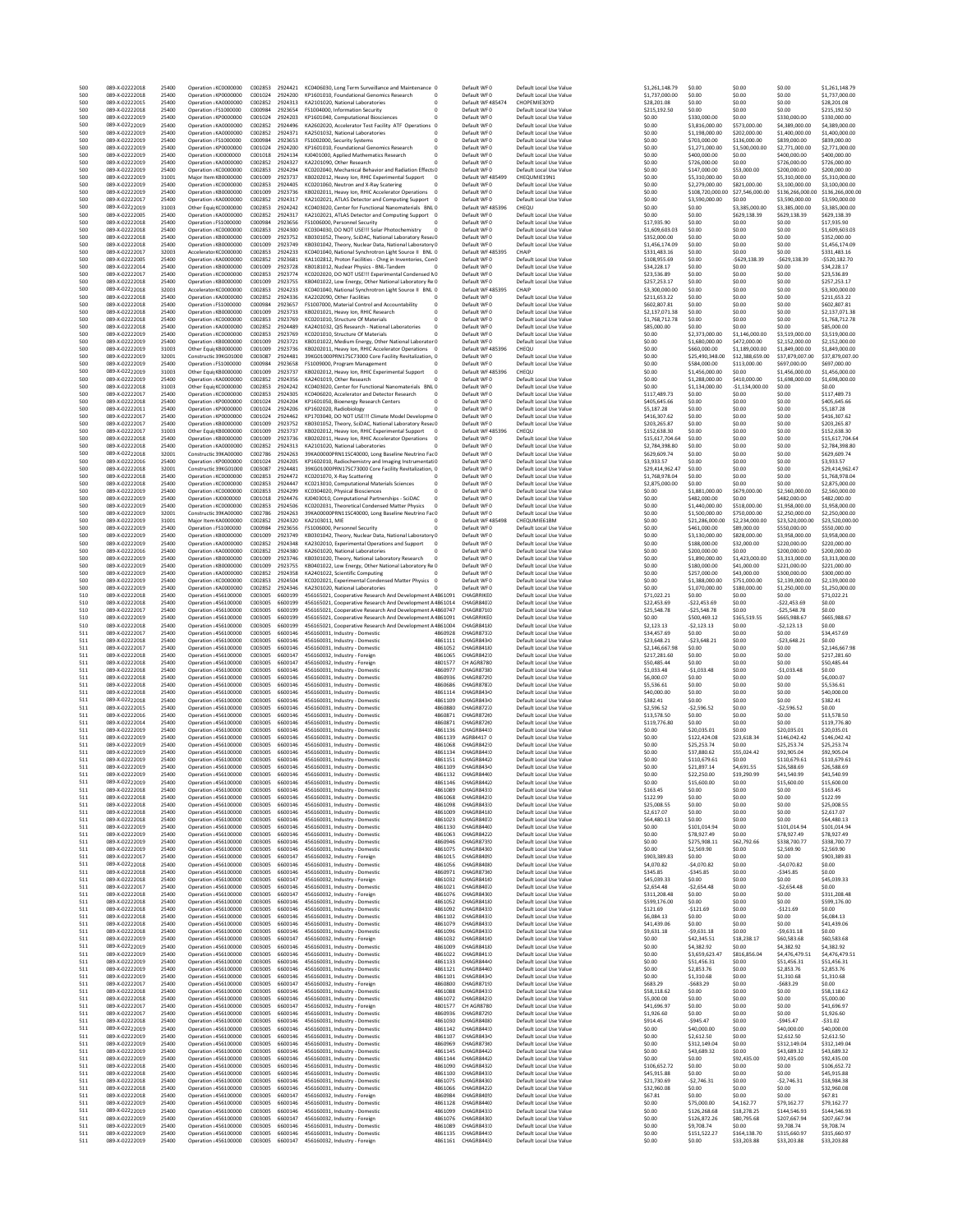| 500<br>500 | 089-X-02222018<br>089-X-02222018 | 25400<br>25400 | Oneration : KC0000000<br>Operation : KP0000000 | C002853            | 2924421<br>C001024 2924200 | KC0406030, Long Term Surveillance and Maintenance 0<br>KP1601010, Foundational Genomics Research<br>$\overline{0}$                 |                    | Default WFO<br>Default WFO          | Default Local Use Value<br>Default Local Use Value | \$1.261.148.79<br>\$1,737,000.00 | \$0.00<br>\$0.00                  | \$0.00<br>\$0.00               | \$0.00<br>\$0.00                  | \$1,261,148.79<br>\$1,737,000.00  |
|------------|----------------------------------|----------------|------------------------------------------------|--------------------|----------------------------|------------------------------------------------------------------------------------------------------------------------------------|--------------------|-------------------------------------|----------------------------------------------------|----------------------------------|-----------------------------------|--------------------------------|-----------------------------------|-----------------------------------|
| 500        | 089-X-02222015                   | 25400          | Operation ¿KA0000000                           | C002852            | 2924313                    | KA2101020, National Laboratories<br>$\overline{0}$                                                                                 |                    | Default WF 485474                   | CHOPEMIE30YD                                       | \$28,201.08                      | \$0.00                            | \$0.00                         | \$0.00                            | \$28,201.08                       |
| 500        | 089-X-02222018                   | 25400          | Operation ¿FS1000000                           | C000984            | 2923654                    | FS1004000, Information Security                                                                                                    |                    | Default WF0                         | Default Local Use Value                            | \$215,192.50                     | \$0.00                            | \$0.00                         | \$0.00                            | \$215,192.50                      |
| 500<br>500 | 089-X-02222019<br>089-X-02222019 | 25400<br>25400 | Operation ¿KP0000000<br>Operation ¿KA0000000   | C001024<br>C002852 | 2924203<br>2924496         | KP1601040, Computational Biosciences<br>KA2602020, Accelerator Test Facility ATF Operations 0                                      |                    | Default WF0<br>Default WF0          | Default Local Use Value<br>Default Local Use Value | \$0.00<br>\$0.00                 | \$330,000.00<br>\$3,816,000.00    | \$0.00<br>\$573,000.00         | \$330,000.00<br>\$4,389,000.00    | \$330,000.00<br>\$4,389,000.00    |
| 500        | 089-X-02222019                   | 25400          | Operation : KA0000000                          |                    | C002852 2924371            | KA2501032 National Laboratories<br>$\Omega$                                                                                        |                    | Default WF0                         | Default Local Use Value                            | \$0.00                           | \$1,198,000.00                    | \$202,000.00                   | \$1,400,000.00                    | \$1,400,000.00                    |
| 500        | 089-X-02222019                   | 25400          | Operation ¿FS1000000                           | C000984            | 2923653                    | FS1002000, Security Systems<br>$\overline{0}$                                                                                      |                    | Default WF0                         | Default Local Use Value                            | \$0.00                           | \$703,000.00                      | \$136,000.00                   | \$839,000.00                      | \$839,000.00                      |
| 500<br>500 | 089-X-02222019<br>089-X-02222019 | 25400<br>25400 | Operation ¿KP0000000<br>Operation ¿KJ0000000   | C001024<br>C001018 | 2924200<br>2924134         | KP1601010, Foundational Genomics Research<br>KJ0401000, Applied Mathematics Research                                               |                    | Default WF0<br>Default WF0          | Default Local Use Value<br>Default Local Use Value | \$0.00<br>\$0.00                 | \$1,271,000.00<br>\$400,000.00    | \$1,500,000.00<br>\$0.00       | \$2,771,000.00<br>\$400,000.00    | \$2,771,000.00<br>\$400,000.00    |
| 500        | 089-X-02222019                   | 25400          | Operation ¿KA0000000                           | C002852            | 2924327                    | KA2201090, Other Research                                                                                                          |                    | Default WF0                         | Default Local Use Value                            | \$0.00                           | \$726,000.00                      | \$0.00                         | \$726,000.00                      | \$726,000.00                      |
| 500<br>500 | 089-X-02222019<br>089-X-02222019 | 25400<br>31001 | Operation ¿KC0000000<br>Major Item KB0000000   | C002853<br>C001009 | 2924294<br>2923737         | KC0202040. Mechanical Behavior and Radiation Effects0                                                                              |                    | Default WFO<br>Default WF 485499    | Default Local Use Value<br>CHEQUMIE19N1            | \$0.00<br>\$0.00                 | \$147,000.00                      | \$53,000.00<br>\$0.00          | \$200,000.00<br>\$5,310,000.00    | \$200,000.00<br>\$5,310,000.00    |
| 500        | 089-X-02222019                   | 25400          | Operation ¿KC0000000                           | C002853            | 2924405                    | KB0202012, Heavy Ion, RHIC Experimental Support<br>$\overline{0}$<br>KC0201060, Neutron and X-Ray Scatering                        |                    | Default WF0                         | Default Local Use Value                            | \$0.00                           | \$5,310,000.00<br>\$2,279,000.00  | \$821,000.00                   | \$3,100,000.00                    | \$3,100,000.00                    |
| 500        | 089-X-02222019                   | 25400          | Operation ¿KB0000000                           | C001009            | 2923736                    | KB0202011, Heavy Ion, RHIC Accelerator Operations<br>$\overline{0}$                                                                |                    | Default WF0                         | Default Local Use Value                            | \$0.00                           | \$108,720,000.00                  | \$27,546,000.00                | \$136,266,000.00                  | \$136,266,000.00                  |
| 500<br>500 | 089-X-02222017<br>089-X-02222019 | 25400<br>31003 | Operation ¿KA0000000<br>Other EquitKC0000000   | C002852<br>C002853 | 2924317<br>2924242         | KA2102021, ATLAS Detector and Computing Support 0<br>KC0403020, Center for Functional Nanomaterials BNL 0                          |                    | Default WF0<br>Default WF 485396    | Default Local Use Value<br>CHEQU                   | \$0.00<br>\$0.00                 | \$3,590,000.00<br>\$0.00          | \$0.00<br>\$3,385,000.00       | \$3,590,000.00<br>\$3,385,000.00  | \$3,590,000.00<br>\$3,385,000.00  |
| 500        | 089-X-02222005                   | 25400          | Operation ¿KA0000000                           | C002852            | 2924317                    | KA2102021, ATLAS Detector and Computing Support 0                                                                                  |                    | Default WF0                         | Default Local Use Value                            | \$0.00                           | \$0.00                            | \$629,138.39                   | \$629,138.39                      | \$629,138.39                      |
| 500        | 089-X-02222018                   | 25400          | Operation ¿FS1000000                           | C000984            | 2923656                    | FS1006000, Personnel Security                                                                                                      |                    | Default WF0                         | Default Local Use Value                            | \$17,935.90                      | \$0.00                            | \$0.00                         | \$0.00                            | \$17,935.90                       |
| 500<br>500 | 089-X-02222018<br>089-X-02222018 | 25400<br>25400 | Operation ¿KC0000000<br>Operation ¿KB0000000   | C002853<br>C001009 | 2924300<br>2923752         | KC0304030, DO NOT USE !!! Solar Photochemistry<br>$\overline{0}$<br>KB0301052, Theory, SciDAC, National Laboratory Resea0          |                    | Default WF0<br>Default WF0          | Default Local Use Value<br>Default Local Use Value | \$1,609,603.03<br>\$352,000.00   | \$0.00<br>\$0.00                  | \$0.00<br>\$0.00               | \$0.00<br>\$0.00                  | \$1,609,603.03<br>\$352,000.00    |
| 500        | 089-X-02222018                   | 25400          | Operation : KB0000000                          | C001009            | 2923749                    | KB0301042, Theory, Nuclear Data, National Laboratory 0                                                                             |                    | Default WFO                         | Default Local Use Value                            | \$1,456.174.09                   | \$0.00                            | \$0.00                         | \$0.00                            | \$1,456,174.09                    |
| 500        | 089-X-02222017                   | 32003          | Accelerator KC0000000                          | C002853            | 2924233                    | KC0401040, National Synchrotron Light Source II BNL 0                                                                              |                    | Default WF 485395                   | CHAIP                                              | \$331,483.16                     | \$0.00                            | \$0.00                         | \$0.00                            | \$331,483.16                      |
| 500<br>500 | 089-X-02222005<br>089-X-02222014 | 25400<br>25400 | Operation ¿KA0000000<br>Operation ¿KB0000000   | C002852<br>C001009 | 2923681<br>2923728         | KA1102812, Proton Facilities - Chng in Inventories, Con0<br>KB0181012. Nuclear Physics - BNL-Tandem                                |                    | Default WF0<br>Default WF0          | Default Local Use Value<br>Default Local Use Value | \$108,955.69<br>\$34,228.17      | \$0.00<br>\$0.00                  | $-5629, 138.39$<br>\$0.00      | $-5629, 138.39$<br>\$0.00         | $-5520.182.70$<br>\$34,228.17     |
| 500        | 089-X-02222017                   | 25400          | Operation ¿KC0000000                           | C002853            | 2923774                    | KC0202020, DO NOT USE !!! Experimental Condensed NO                                                                                |                    | Default WF0                         | Default Local Use Value                            | \$23,536.89                      | \$0.00                            | \$0.00                         | \$0.00                            | \$23,536.89                       |
| 500        | 089-X-02222018                   | 25400          | Operation : KB0000000                          | C001009            | 2923755                    | KB0401022, Low Energy, Other National Laboratory Re 0                                                                              |                    | Default WFO                         | Default Local Use Value                            | \$257.253.17                     | \$0.00                            | \$0.00                         | \$0.00                            | \$257.253.17                      |
| 500<br>500 | 089-X-02222018<br>089-X-02222018 | 32003<br>25400 | Accelerator KC0000000<br>Operation ¿KA0000000  | C002853<br>C002852 | 2924233<br>2924336         | KC0401040, National Synchrotron Light Source II BNL 0<br>KA2202090, Other Facilities                                               |                    | Default WF 485395<br>Default WF0    | CHAIP<br>Default Local Use Value                   | \$3,300,000.00<br>\$211.653.22   | \$0.00<br>\$0.00                  | \$0.00<br>\$0.00               | \$0.00<br>\$0.00                  | \$3,300,000.00<br>\$211.653.22    |
| 500        | 089-X-02222018                   | 25400          | Operation ¿FS100000                            | C000984            | 2923657                    | FS1007000. Material Control and Accountability<br>$\overline{0}$                                                                   |                    | Default WF0                         | Default Local Use Value                            | \$602,807.81                     | \$0.00                            | \$0.00                         | \$0.00                            | \$602,807.81                      |
| 500<br>500 | 089-X-02222018<br>089-X-02222018 | 25400<br>25400 | Operation ¿KB0000000<br>Operation ¿KC0000000   | C001009<br>C002853 | 2923733<br>2923769         | KB0201021, Heavy Ion, RHIC Research<br>0<br>KC0201010, Structure Of Materials<br>$\Omega$                                          |                    | Default WF0<br>Default WFO          | Default Local Use Value<br>Default Local Use Value | \$2,137,071.38<br>\$1,768,712.78 | \$0.00<br>\$0.00                  | \$0.00<br>\$0.00               | \$0.00<br>\$0.00                  | \$2,137,071.38<br>\$1,768,712.78  |
| 500        | 089-X-02222018                   | 25400          | Operation ¿KA0000000                           | C002852            | 2924489                    | KA2401032, QIS Research - National Laboratories<br>$\overline{0}$                                                                  |                    | Default WF0                         | Default Local Use Value                            | \$85,000.00                      | \$0.00                            | \$0.00                         | \$0.00                            | \$85,000.00                       |
| 500        | 089-X-02222019                   | 25400          | Operation ¿KC0000000                           | C002853            | 2923769                    | KC0201010, Structure Of Materials                                                                                                  |                    | Default WF0                         | Default Local Use Value                            | \$0.00                           | \$2,373,000.00                    | \$1,146,000.00                 | \$3,519,000.00                    | \$3,519,000.00                    |
| 500<br>500 | 089-X-02222019<br>089-X-02222019 | 25400<br>31003 | Operation ¿KB0000000<br>Other EquipKB0000000   | C001009<br>C001009 | 2923721<br>2923736         | KB0101022, Medium Energy, Other National Laborator 0<br>KB0202011, Heavy Ion, RHIC Accelerator Operations 0                        |                    | Default WF0<br>Default WF 485396    | Default Local Use Value<br>CHEQU                   | \$0.00<br>\$0.00                 | \$1,680,000.00<br>\$660,000.00    | \$472,000.00<br>\$1,189,000.00 | \$2,152,000.00<br>\$1,849,000.00  | \$2,152,000.00<br>\$1,849,000.00  |
| 500        | 089-X-02222019                   | 32001          | Constructio39KG01000                           | C003087            | 2924481                    | 39KG01000PRN17SC73000 Core Facility Revitalization, 0                                                                              |                    | Default WF0                         | Default Local Use Value                            | \$0.00                           | \$25.490.348.00                   | \$12,388,659.00                | \$37,879,007.00                   | \$37,879,007.00                   |
| 500        | 089-X-02222019                   | 25400          | Operation ¿FS1000000                           | C000984            | 2923658                    | FS1009000, Program Management                                                                                                      |                    | Default WF0                         | Default Local Use Value                            | \$0.00                           | \$584,000.00                      | \$113,000.00                   | \$697,000.00                      | \$697,000.00                      |
| 500<br>500 | 089-X-02222019<br>089-X-02222019 | 31003<br>25400 | Other EquipKB0000000<br>Operation ¿KA0000000   | C001009<br>C002852 | 2923737<br>2924356         | KB0202012, Heavy Ion, RHIC Experimental Support<br>KA2401019, Other Research                                                       |                    | Default WF 485396<br>Default WF0    | CHEQU<br>Default Local Use Value                   | \$0.00<br>\$0.00                 | \$1,456,000.00<br>\$1,288,000.00  | \$0.00<br>\$410,000.00         | \$1,456,000.00<br>\$1,698,000.00  | \$1,456,000.00<br>\$1,698,000.00  |
| 500        | 089-X-02222018                   | 31003          | Other EquipKC0000000                           | C002853            | 2924242                    | KC0403020, Center for Functional Nanomaterials BNL 0                                                                               |                    | Default WF0                         | Default Local Use Value                            | \$0.00                           | \$1.134,000.00                    | $-$1,134,000.00$               | \$0.00                            | \$0.00                            |
| 500        | 089-X-02222017                   | 25400          | Operation ¿KC0000000                           | C002853<br>C001024 | 2924305                    | KC0406020, Accelerator and Detector Research<br>$^{\circ}$                                                                         |                    | Default WFO                         | Default Local Use Value                            | \$117.489.73                     | \$0.00                            | \$0.00                         | \$0.00                            | \$117,489.73                      |
| 500<br>500 | 089-X-02222018<br>089-X-02222011 | 25400<br>25400 | Operation ¿KP0000000<br>Operation ¿KP0000000   | C001024            | 2924204<br>2924206         | KP1601050, Bioenergy Research Centers<br>$\overline{0}$<br>KP1602020, Radiobiology                                                 |                    | Default WF0<br>Default WF0          | Default Local Use Value<br>Default Local Use Value | \$405,645.66<br>\$5,187.28       | \$0.00<br>\$0.00                  | \$0.00<br>\$0.00               | \$0.00<br>\$0.00                  | \$405,645.66<br>\$5,187.28        |
| 500        | 089-X-02222017                   | 25400          | Operation ¿KP0000000                           | C001024            | 2924462                    | KP1703040, DO NOT USE !!! Climate Model Developme 0                                                                                |                    | Default WF0                         | Default Local Use Value                            | \$416,307.62                     | \$0.00                            | \$0.00                         | \$0.00                            | \$416,307.62                      |
| 500<br>500 | 089-X-02222017<br>089-X-02222017 | 25400<br>31003 | Operation ¿KB0000000<br>Other FouirKB0000000   | C001009<br>C001009 | 2923752<br>2923737         | KB0301052, Theory, SciDAC, National Laboratory Resea0                                                                              |                    | Default WF0<br>Default WF485396     | Default Local Use Value<br>CHEQU                   | \$203,265.87<br>\$152,638.30     | \$0.00<br>\$0.00                  | \$0.00<br>\$0.00               | \$0.00<br>\$0.00                  | \$203,265.87<br>\$152,638.30      |
| 500        | 089-X-02222018                   | 25400          | Operation ¿KB0000000                           | C001009            | 2923736                    | KB0202012, Heavy Ion, RHIC Experimental Support 0<br>KB0202011, Heavy Ion, RHIC Accelerator Operations<br>$\overline{\phantom{a}}$ |                    | Default WF0                         | Default Local Use Value                            | \$15,617,704.64                  | \$0.00                            | \$0.00                         | \$0.00                            | \$15,617,704.64                   |
| 500        | 089-X-02222018                   | 25400          | Operation ¿KA0000000                           | C002852            | 2924313                    | KA2101020, National Laboratories                                                                                                   |                    | Default WF0                         | Default Local Use Value                            | \$2,784,398.80                   | \$0.00                            | \$0.00                         | \$0.00                            | \$2,784,398.80                    |
| 500<br>500 | 089-X-02222018<br>089-X-02222016 | 32001<br>25400 | Constructio39KA00000<br>Operation ¿KP0000000   | C002786<br>C001024 | 2924263<br>2924205         | 39KA00000PRN11SC40000, Long Baseline Neutrino Fac0<br>KP1602010, Radiochemistry and Imaging Instrumentati0                         |                    | Default WF0<br>Default WF0          | Default Local Use Value<br>Default Local Use Value | \$629,609.74<br>\$3,933.57       | \$0.00<br>\$0.00                  | \$0.00<br>\$0.00               | \$0.00<br>\$0.00                  | \$629,609.74<br>\$3,933.57        |
| 500        | 089-X-02222018                   | 32001          | Constructio39KG01000                           | C003087            | 2924481                    | 39KG01000PRN17SC73000 Core Facility Revitalization, 0                                                                              |                    | Default WF0                         | Default Local Use Value                            | \$29,414,962.47                  | \$0.00                            | \$0.00                         | \$0.00                            | \$29.414.962.47                   |
| 500        | 089-X-02222018                   | 25400          | Operation ¿KC0000000                           | C002853            | 2924472                    | KC0201070, X-Ray Scattering<br>$\overline{0}$                                                                                      |                    | Default WF0                         | Default Local Use Value                            | \$1,768,978.04                   | \$0.00                            | \$0.00                         | \$0.00                            | \$1,768,978.04                    |
| 500<br>500 | 089-X-02222018<br>089-X-02222019 | 25400<br>25400 | Operation ¿KC0000000<br>Operation ¿KC0000000   | C002853<br>C002853 | 2924447<br>2924299         | KC0213010, Computational Materials Sciences<br>KC0304020, Physical Biosciences<br>$\overline{0}$                                   |                    | Default WFO<br>Default WF0          | Default Local Use Value<br>Default Local Use Value | \$2,875,000.00<br>\$0.00         | \$0.00<br>\$1,881,000.00          | \$0.00<br>\$679,000.00         | \$0.00<br>\$2,560,000.00          | \$2,875,000.00<br>\$2,560,000.00  |
| 500        | 089-X-02222019                   | 25400          | Operation ¿KJ0000000                           | C001018            | 2924476                    | KJ0403010, Computational Partnerships - SciDAC<br>0                                                                                |                    | Default WF0                         | Default Local Use Value                            | \$0.00                           | \$482,000.00                      | \$0.00                         | \$482,000.00                      | \$482,000.00                      |
| 500        | 089-X-02222019                   | 25400          | Operation ¿KC0000000                           | C002853            | 2924506                    | KC0202031. Theoretical Condensed Matter Physics<br>$\overline{0}$                                                                  |                    | Default WFO                         | Default Local Use Value                            | \$0.00                           | \$1,440,000.00                    | \$518,000.00                   | \$1,958,000.00                    | \$1,958,000.00                    |
| 500<br>500 | 089-X-02222019<br>089-X-02222019 | 32001<br>31001 | Constructio39KA00000<br>Major Item KA0000000   | C002786<br>C002852 | 2924263<br>2924320         | 39KA00000PRN11SC40000, Long Baseline Neutrino Fac0<br>KA2103011, MIE                                                               |                    | Default WF0<br>Default WF 485498    | Default Local Use Value<br>CHEQUMIE61BM            | \$0.00<br>\$0.00                 | \$1,500,000.00<br>\$21,286,000.00 | \$750,000.00<br>\$2,234,000.00 | \$2,250,000.00<br>\$23,520,000.00 | \$2,250,000.00<br>\$23,520,000.00 |
| 500        | 089-X-02222019                   | 25400          | Operation ¿FS100000                            | C000984            | 2923656                    | FS1006000, Personnel Security                                                                                                      |                    | Default WF0                         | Default Local Use Value                            | \$0.00                           | \$461,000.00                      | \$89,000.00                    | \$550,000.00                      | \$550,000.00                      |
| 500        | 089-X-02222019                   | 25400          | Operation ¿KB0000000                           | C001009            | 2923749                    | KB0301042, Theory, Nuclear Data, National Laboratory 0                                                                             |                    | Default WF0                         | Default Local Use Value                            | \$0.00                           | \$3,130,000.00                    | \$828,000.00                   | \$3,958,000.00                    | \$3,958,000.00                    |
| 500<br>500 | 089-X-02222019<br>089-X-02222016 | 25400<br>25400 | Operation : KA0000000<br>Operation ¿KA0000000  | C002852<br>C002852 | 2924348<br>2924380         | KA2302010, Experimental Operations and Support<br>$\overline{\phantom{0}}$<br>KA2601020, National Laboratories                     |                    | Default WF0<br>Default WF0          | Default Local Use Value<br>Default Local Use Value | \$0.00<br>\$0.00                 | \$188,000.00<br>\$200,000.00      | \$32,000.00<br>\$0.00          | \$220,000.00<br>\$200,000.00      | \$220,000.00<br>\$200,000.00      |
| 500        | 089-X-02222019                   | 25400          | Operation ¿KB0000000                           | C001009            | 2923746                    | KB0301020, Theory, National Laboratory Research                                                                                    |                    | Default WF0                         | Default Local Use Value                            | \$0.00                           | \$1,890,000.00                    | \$1,423,000.00                 | \$3,313,000.00                    | \$3,313,000.00                    |
| 500        | 089-X-02222019                   | 25400<br>25400 | Operation ¿KB0000000                           | C001009<br>C002852 | 2923755<br>2924358         | KB0401022, Low Energy, Other National Laboratory Re 0<br>KA2401022, Scientific Computing                                           |                    | Default WF0                         | Default Local Use Value                            | \$0.00                           | \$180,000.00<br>\$257,000.00      | \$41,000.00<br>\$43,000.00     | \$221,000.00<br>\$300,000.00      | \$221,000.00                      |
| 500<br>500 | 089-X-02222019<br>089-X-02222019 | 25400          | Operation ¿KA0000000<br>Operation ¿KC0000000   | C002853            | 2924504                    | KC0202021, Experimental Condensed Matter Physics 0                                                                                 |                    | Default WF0<br>Default WFO          | Default Local Use Value<br>Default Local Use Value | \$0.00<br>\$0.00                 | \$1,388,000.00                    | \$751,000.00                   | \$2,139,000.00                    | \$300,000.00<br>\$2,139,000.00    |
| 500        | 089-X-02222019                   | 25400          | Operation ¿KA0000000                           | C002852            | 2924346                    | KA2301020, National Laboratories<br>$\Omega$                                                                                       |                    | Default WF0                         | Default Local Use Value                            | \$0.00                           | \$1,070,000.00                    | \$180,000.00                   | \$1,250,000.00                    | \$1,250,000.00                    |
| 510<br>510 | 089-X-02222018<br>089-X-02222018 | 25400<br>25400 | Operation : 456100000<br>Operation : 456100000 | C003005<br>C003005 | 6600199<br>6600199         | 456165021, Cooperative Research And Development A4861091<br>456165021, Cooperative Research And Development A4861014               |                    | CHAGRRIKED<br>CHAGR840.0            | Default Local Use Value<br>Default Local Use Value | \$71,022.21<br>\$22,453.69       | \$0.00<br>$-522,453.69$           | \$0.00<br>\$0.00               | \$0.00<br>$-522,453.69$           | \$71,022.21<br>\$0.00             |
| 510        | 089-X-02222017                   | 25400          | Operation : 456100000                          | C003005            | 6600199                    | 456165021, Cooperative Research And Development A4860747                                                                           |                    | CHAGR871(0                          | Default Local Use Value                            | \$25,548.78                      | $-525,548.78$                     | \$0.00                         | $-525,548.78$                     | \$0.00                            |
| 510        | 089-X-02222019                   | 25400          | Operation : 456100000                          | C003005            | 6600199                    | 456165021. Cooperative Research And Development A4861091                                                                           |                    | CHAGRRIKEO                          | Default Local Use Value                            | \$0.00                           | \$500.469.12                      | \$165,519.55                   | \$665,988.67                      | \$665,988.67                      |
| 510<br>511 | 089-X-02222018<br>089-X-02222017 | 25400<br>25400 | Operation : 456100000<br>Operation : 456100000 | C003005<br>C003005 | 6600199<br>6600146         | 456165021, Cooperative Research And Development A4861004<br>456160031, Industry - Domestic                                         | 4860928            | CHAGR841/0<br>CHAGR87310            | Default Local Use Value<br>Default Local Use Value | \$2,123.13<br>\$34,457.69        | $-52, 123.13$<br>\$0.00           | \$0.00<br>\$0.00               | $-52, 123.13$<br>\$0.00           | \$0.00<br>\$34,457.69             |
| 511        | 089-X-02222018                   | 25400          | Operation : 456100000                          | C003005            | 6600146                    | 456160031, Industry - Domestic                                                                                                     | 4861111            | CHAGR843 <sub>0</sub>               | Default Local Use Value                            | \$23,648.21                      | $-523,648.21$                     | \$0.00                         | $-523,648.21$                     | \$0.00                            |
| 511        | 089-X-02222017                   | 25400          | Operation : 456100000                          | C003005            | 6600146                    | 456160031, Industry - Domestic                                                                                                     | 4861052            | CHAGR84110                          | Default Local Use Value                            | \$2,146,667.98                   | \$0.00                            | \$0.00                         | \$0.00                            | \$2,146,667.98                    |
| 511<br>511 | 089-X-02222018<br>089-X-02222018 | 25400<br>25400 | Operation : 456100000<br>Operation : 456100000 | C003005<br>C003005 | 6600147<br>6600147         | 456160032, Industry - Foreign<br>456160032, Industry - Foreign                                                                     | 4861065<br>4801577 | CHAGR842:0<br>CH AGR8780            | Default Local Use Value<br>Default Local Use Value | \$217.281.60<br>\$50,485.44      | \$0.00<br>\$0.00                  | \$0.00<br>\$0.00               | \$0.00<br>\$0.00                  | \$217.281.60<br>\$50,485.44       |
| 511        | 089-X-02222018                   | 25400          | Operation : 456100000                          | C003005            | 6600146                    | 456160031, Industry - Domestic                                                                                                     | 4860977            | CHAGR87310                          | Default Local Use Value                            | \$1,033.48                       | $-$1,033.48$                      | \$0.00                         | $-$1,033.48$                      | \$0.00                            |
| 511        | 089-X-02222018                   | 25400          | Operation : 456100000                          | C003005            | 6600146                    | 456160031, Industry - Domestic                                                                                                     | 4860936            | CHAGR872!0                          | Default Local Use Value                            | \$6,000.07                       | \$0.00                            | \$0.00                         | \$0.00                            | \$6,000.07                        |
| 511<br>511 | 089-X-02222018<br>089-X-02222018 | 25400<br>25400 | Operation : 456100000                          | C003005            | 6600146<br>6600146         | 456160031, Industry - Domestic<br>456160031, Industry - Domestic                                                                   | 4860686<br>4861114 | CHAGR87810<br>CHAGR843 <sub>0</sub> | Default Local Use Value<br>Default Local Use Value | \$5,536.61<br>\$40,000.00        | \$0.00<br>\$0.00                  | \$0.00<br>\$0.00               | \$0.00<br>\$0.00                  | \$5,536.61<br>\$40,000.00         |
| 511        | 089-X-02222018                   | 25400          |                                                |                    |                            |                                                                                                                                    | 4861109            | CHAGR843-0                          |                                                    |                                  |                                   |                                | \$0.00                            | \$382.41                          |
| 511        |                                  |                | Operation : 456100000<br>Operation : 456100000 | C003005<br>C003005 | 6600146                    | 456160031, Industry - Domestic                                                                                                     |                    |                                     | Default Local Use Value                            | \$382.41                         | \$0.00                            | \$0.00                         |                                   |                                   |
|            | 089-X-02222015                   | 25400          | Operation : 456100000                          | C003005            | 6600146                    | 456160031, Industry - Domestic                                                                                                     | 4860880            | CHAGR87210                          | Default Local Use Value                            | \$2,596.52                       | $-52,596.52$                      | \$0.00                         | $-$2,596.52$                      | \$0.00                            |
| 511<br>511 | 089-X-02222016<br>089-X-02222014 | 25400<br>25400 | Operation : 456100000<br>Operation : 456100000 | C003005<br>C003005 | 6600146<br>6600146         | 456160031, Industry - Domestic<br>456160031, Industry - Domestic                                                                   | 4860871<br>4860871 | CHAGR872(0<br>CHAGR872(0            | Default Local Use Value<br>Default Local Use Value | \$13,578.50<br>\$119,776.80      | \$0.00<br>\$0.00                  | \$0.00<br>\$0.00               | \$0.00<br>\$0.00                  | \$13,578.50<br>\$119,776.80       |
| 511        | 089-X-02222019                   | 25400          | Operation : 456100000                          | C003005            | 6600146                    | 456160031, Industry - Domestic                                                                                                     | 4861136            | CHAGR844:0                          | Default Local Use Value                            | \$0.00                           | \$20.035.01                       | \$0.00                         | \$20.035.01                       | \$20.035.01                       |
| 511        | 089-X-02222019                   | 25400          | Operation : 456100000                          | C003005            | 6600146                    | 456160031, Industry - Domestic                                                                                                     | 4861139            | AGR84417 0                          | Default Local Use Value                            | \$0.00                           | \$122,424.08                      | \$23,618.34                    | \$146,042.42                      | \$146,042.42                      |
| 511<br>511 | 089-X-02222019<br>089-X-02222019 | 25400<br>25400 | Operation : 456100000<br>Operation : 456100000 | C003005<br>C003005 | 6600146<br>6600146         | 456160031, Industry - Domestic<br>456160031, Industry - Domestic                                                                   | 4861068<br>4861134 | CHAGR842:0<br>CHAGR844:0            | Default Local Use Value<br>Default Local Use Value | \$0.00<br>\$0.00                 | \$25,253.74<br>\$37,880.62        | \$0.00<br>\$55,024.42          | \$25,253.74<br>\$92,905.04        | \$25,253.74<br>\$92,905.04        |
| 511        | 089-X-02222019                   | 25400          | Operation : 456100000                          | C003005            | 6600146                    | 456160031, Industry - Domestic                                                                                                     | 4861151            | CHAGR844.0                          | Default Local Use Value                            | \$0.00                           | \$110,679.61                      | \$0.00                         | \$110,679.61                      | \$110,679.61                      |
| 511        | 089-X-02222019<br>089-X-02222019 | 25400<br>25400 | Operation : 456100000<br>Operation : 456100000 | C003005<br>C003005 |                            | 6600146 456160031, Industry - Domestic<br>6600146 456160031, Industry - Domestic                                                   | 4861109<br>4861132 | CHAGR843-0<br>CHAGR84410            | Default Local Use Value                            | \$0.00<br>\$0.00                 | \$21.897.14                       | \$4,691.55                     | \$26,588.69<br>\$41,540.99        | \$26,588.69<br>\$41,540.99        |
| 511<br>511 | 089-X-02222019                   | 25400          | Operation : 456100000                          | C003005            |                            | 6600146 456160031, Industry - Domestic                                                                                             | 4861146            | CHAGR844.0                          | Default Local Use Value<br>Default Local Use Value | \$0.00                           | \$22,250.00<br>\$15,600.00        | \$19,290.99<br>\$0.00          | \$15,600.00                       | \$15,600.00                       |
| 511        | 089-X-02222018                   | 25400          | Operation : 456100000                          | C003005            | 6600146                    | 456160031, Industry - Domestic                                                                                                     | 4861089            | CHAGR843:0                          | Default Local Use Value                            | \$163.45                         | \$0.00                            | \$0.00                         | \$0.00                            | \$163.45                          |
| 511<br>511 | 089-X-02222018<br>089-X-02222018 | 25400<br>25400 | Operation : 456100000<br>Operation : 456100000 | C003005<br>C003005 | 6600146<br>6600146         | 456160031, Industry - Domestic<br>456160031. Industry - Domestic                                                                   | 4861068<br>4861098 | CHAGR842:0<br>CHAGR843:0            | Default Local Use Value<br>Default Local Use Value | \$122.99<br>\$25,008.55          | \$0.00<br>\$0.00                  | \$0.00<br>\$0.00               | \$0.00<br>\$0.00                  | \$122.99<br>\$25,008.55           |
| 511        | 089-X-02222018                   | 25400          | Operation : 456100000                          | C003005            | 6600146                    | 456160031. Industry - Domestic                                                                                                     | 4861009            | CHAGR841/0                          | Default Local Use Value                            | \$2,617.07                       | \$0.00                            | \$0.00                         | \$0.00                            | \$2,617.07                        |
| 511        | 089-X-02222018                   | 25400          | Operation : 456100000                          | C003005            | 6600146                    | 456160031, Industry - Domestic<br>456160031. Industry - Domestic                                                                   | 4861023            | CHAGR840.0                          | Default Local Use Value                            | \$64,480.13                      | \$0.00                            | \$0.00                         | \$0.00                            | \$64,480.13                       |
| 511<br>511 | 089-X-02222019<br>089-X-02222019 | 25400<br>25400 | Operation : 456100000<br>Operation : 456100000 | C003005<br>C003005 | 6600146<br>6600146         | 456160031. Industry - Domestic                                                                                                     | 4861130<br>4861063 | CHAGR84410<br>CHAGR842.0            | Default Local Use Value<br>Default Local Use Value | \$0.00<br>\$0.00                 | \$101,014.94<br>\$78,927.49       | \$0.00<br>\$0.00               | \$101,014.94<br>\$78,927.49       | \$101,014.94<br>\$78,927.49       |
| 511        | 089-X-02222019                   | 25400          | Operation : 456100000                          | C003005            | 6600146                    | 456160031, Industry - Domestic                                                                                                     | 4860946            | CHAGR873!0                          | Default Local Use Value                            | \$0.00                           | \$275.908.11                      | \$62,792.66                    | \$338,700.77                      | \$338,700.77                      |
| 511<br>511 | 089-X-02222019<br>089-X-02222017 | 25400<br>25400 | Operation : 456100000<br>Operation : 456100000 | C003005<br>C003005 | 6600146<br>6600147         | 456160031, Industry - Domestic<br>456160032. Industry - Foreign                                                                    | 4861075<br>4861015 | CHAGR84310<br>CHAGR840!0            | Default Local Use Value<br>Default Local Use Value | \$0.00<br>\$903,389.83           | \$2,569.90<br>\$0.00              | \$0.00<br>\$0.00               | \$2,569.90<br>\$0.00              | \$2,569.90<br>\$903,389.83        |
| 511        | 089-X-02222018                   | 25400          | Operation : 456100000                          | C003005            | 6600146                    | 456160031. Industry - Domestic                                                                                                     | 4861056            | CHAGR84010                          | Default Local Use Value                            | \$4,070.82                       | $-$4,070.82$                      | \$0.00                         | $-$4,070.82$                      | \$0.00                            |
| 511<br>511 | 089-X-02222018<br>089-X-02222018 | 25400<br>25400 | Operation : 456100000<br>Operation : 456100000 | C003005<br>C003005 | 6600146<br>6600147         | 456160031, Industry - Domestic                                                                                                     | 4860971<br>4861032 | CHAGR87310<br>CHAGR841(0)           | Default Local Use Value<br>Default Local Use Value | \$345.85<br>\$45,039.33          | $-5345.85$<br>\$0.00              | \$0.00<br>\$0.00               | $-5345.85$<br>\$0.00              | \$0.00<br>\$45,039.33             |
| 511        | 089-X-02222017                   | 25400          | Operation : 456100000                          | C003005            | 6600146                    | 456160032, Industry - Foreign<br>456160031, Industry - Domestic                                                                    | 4861021            | CHAGRS4010                          | Default Local Use Value                            | \$2,654.48                       | $-52,654.48$                      | \$0.00                         | $-52,654.48$                      | \$0.00                            |
| 511        | 089-X-02222018                   | 25400          | Operation : 456100000                          | C003005            | 6600147                    | 456160032. Industry - Foreign                                                                                                      | 4861076            | CHAGR84310                          | Default Local Use Value                            | \$311,208.48                     | \$0.00                            | \$0.00                         | \$0.00                            | \$311,208.48                      |
| 511<br>511 | 089-X-02222018<br>089-X-02222018 | 25400<br>25400 | Operation : 456100000<br>Operation : 456100000 | C003005<br>C003005 | 6600146<br>6600146         | 456160031. Industry - Domestic<br>456160031, Industry - Domestic                                                                   | 4861052<br>4861092 | CHAGR84110<br>CHAGR843:0            | Default Local Use Value<br>Default Local Use Value | \$599,176.00<br>\$121.69         | \$0.00<br>$-$121.69$              | \$0.00<br>\$0.00               | \$0.00<br>$-$121.69$              | \$599,176.00<br>\$0.00            |
| 511        | 089-X-02222018                   | 25400          | Operation : 456100000                          | C003005            | 6600146                    | 456160031, Industry - Domestic                                                                                                     | 4861102            | CHAGR843:0                          | Default Local Use Value                            | \$6,084.13                       | \$0.00                            | \$0.00                         | \$0.00                            | \$6,084.13                        |
| 511        | 089-X-02222018                   | 25400          | Operation : 456100000                          | C003005            | 6600146                    | 456160031. Industry - Domestic                                                                                                     | 4861079            | CHAGR843:0                          | Default Local Use Value                            | \$41,439.06                      | \$0.00                            | \$0.00                         | \$0.00                            | \$41,439.06                       |
| 511<br>511 | 089-X-02222018<br>089-X-02222019 | 25400<br>25400 | Operation : 456100000<br>Operation : 456100000 | C003005<br>C003005 | 6600146<br>6600147         | 456160031. Industry - Domestic<br>456160032, Industry - Foreign                                                                    | 4861096<br>4861032 | CHAGR843:0<br>CHAGR841(0            | Default Local Use Value<br>Default Local Use Value | \$9,631.18<br>\$0.00             | $-59,631.18$<br>\$42,345.51       | \$0.00<br>\$18,238.17          | $-59,631.18$<br>\$60,583.68       | \$0.00<br>\$60,583.68             |
| 511        | 089-X-02222019                   | 25400          | Operation : 456100000                          | C003005            | 6600146                    | 456160031, Industry - Domestic                                                                                                     | 4861009            | CHAGR841/0                          | Default Local Use Value                            | \$0.00                           | \$4,382.92                        | \$0.00                         | \$4,382.92                        | \$4,382.92                        |
| 511        | 089-X-02222019<br>089-X-02222019 | 25400<br>25400 | Operation : 456100000<br>Operation : 456100000 | C003005<br>C003005 | 6600146<br>6600146         | 456160031, Industry - Domestic                                                                                                     | 4861022<br>4861133 | CHAGR841:0<br>CHAGRS440             | Default Local Use Value                            | \$0.00<br>\$0.00                 | \$3.659.623.47<br>\$51,456.31     | \$816,856.04<br>\$0.00         | \$4,476,479.51<br>\$51,456.31     | \$4,476,479.51<br>\$51,456.31     |
| 511<br>511 | 089-X-02222019                   | 25400          | Operation : 456100000                          | C003005            | 6600146                    | 456160031, Industry - Domestic<br>456160031, Industry - Domestic                                                                   | 4861121            | CHAGR844(0                          | Default Local Use Value<br>Default Local Use Value | \$0.00                           | \$2,853.76                        | \$0.00                         | \$2,853.76                        | \$2,853.76                        |
| 511        | 089-X-02222019                   | 25400          | Operation : 456100000                          | C003005            | 6600146                    | 456160031, Industry - Domestic                                                                                                     | 4861101            | CHAGR843 <sub>0</sub>               | Default Local Use Value                            | \$0.00                           | \$1,310.68                        | \$0.00                         | \$1,310.68                        | \$1,310.68                        |
| 511<br>511 | 089-X-02222017<br>089-X-02222018 | 25400<br>25400 | Operation : 456100000<br>Operation : 456100000 | C003005<br>C003005 | 6600147<br>6600146         | 456160032, Industry - Foreign<br>456160031, Industry - Domestic                                                                    | 4860800<br>4861088 | CHAGR871!0<br>CHAGR843:0            | Default Local Use Value<br>Default Local Use Value | \$683.29<br>\$58,118.62          | $-5683.29$<br>\$0.00              | \$0.00<br>\$0.00               | $-5683.29$<br>\$0.00              | \$0.00<br>\$58,118.62             |
| 511        | 089-X-02222018                   | 25400          | Operation : 456100000                          | C003005            | 6600146                    | 456160031, Industry - Domestic                                                                                                     | 4861072            | CHAGR842:0                          | Default Local Use Value                            | \$5,000.00                       | \$0.00                            | \$0.00                         | \$0.00                            | \$5,000.00                        |
| 511        | 089-X-02222017                   | 25400          | Operation : 456100000                          | C003005            | 6600147                    | 456160032, Industry - Foreign                                                                                                      | 4801577            | CH AGR8780                          | Default Local Use Value                            | \$41,696.97                      | \$0.00                            | \$0.00                         | \$0.00                            | \$41,696.97                       |
| 511<br>511 | 089-X-02222017<br>089-X-02222018 | 25400<br>25400 | Operation : 456100000<br>Operation : 456100000 | C003005<br>C003005 | 6600146<br>6600146         | 456160031, Industry - Domestic<br>456160031, Industry - Domestic                                                                   | 4860936<br>4861030 | CHAGR872!0<br>CHAGR84010            | Default Local Use Value<br>Default Local Use Value | \$1,926.60<br>\$914.45           | \$0.00<br>$-$945.47$              | \$0.00<br>\$0.00               | \$0.00<br>$-5945.47$              | \$1,926.60<br>$-531.02$           |
| 511        | 089-X-02222019                   | 25400          | Operation : 456100000                          | C003005            | 6600146                    | 456160031, Industry - Domestic                                                                                                     | 4861142            | CHAGR844:0                          | Default Local Use Value                            | \$0.00                           | \$40,000.00                       | \$0.00                         | \$40,000.00                       | \$40,000.00                       |
| 511        | 089-X-02222019                   | 25400          | Operation : 456100000                          | C003005            | 6600146                    | 456160031, Industry - Domestic                                                                                                     | 4861107            | CHAGR843-0                          | Default Local Use Value                            | \$0.00                           | \$2,612.50                        | \$0.00                         | \$2,612.50                        | \$2,612.50                        |
| 511<br>511 | 089-X-02222019<br>089-X-02222019 | 25400<br>25400 | Operation : 456100000<br>Operation : 456100000 | C003005<br>C003005 | 6600146<br>6600146         | 456160031, Industry - Domestic<br>456160031, Industry - Domestic                                                                   | 4860969<br>4861145 | CHAGR87310<br>CHAGR844.0            | Default Local Use Value<br>Default Local Use Value | \$0.00<br>\$0.00                 | \$312,149.04<br>\$43,689.32       | \$0.00<br>\$0.00               | \$312,149.04<br>\$43,689.32       | \$312,149.04<br>\$43,689.32       |
| 511        | 089-X-02222019                   | 25400          | Operation : 456100000                          | C003005            | 6600146                    | 456160031, Industry - Domestic                                                                                                     | 4861144            | CHAGR844:0                          | Default Local Use Value                            | \$0.00                           | \$0.00                            | \$92,435.00                    | \$92,435.00                       | \$92,435.00                       |
| 511<br>511 | 089-X-02222018<br>089-X-02222018 | 25400<br>25400 | Operation : 456100000<br>Operation : 456100000 | C003005<br>C003005 | 6600146<br>6600146         | 456160031, Industry - Domestic<br>456160031, Industry - Domestic                                                                   | 4861090<br>4861100 | CHAGR843:0<br>CHAGR843:0            | Default Local Use Value<br>Default Local Use Value | \$106.652.72<br>\$45,915.88      | \$0.00<br>\$0.00                  | \$0.00<br>\$0.00               | \$0.00<br>\$0.00                  | \$106.652.72<br>\$45,915.88       |
| 511        | 089-X-02222018                   | 25400          | Operation : 456100000                          | C003005            | 6600146                    | 456160031, Industry - Domestic                                                                                                     | 4861075            | CHAGR84310                          | Default Local Use Value                            | \$21,730.69                      | $-52,746.31$                      | \$0.00                         | $-52,746.31$                      | \$18,984.38                       |
| 511        | 089-X-02222018                   | 25400<br>25400 | Operation : 456100000<br>Operation : 456100000 | C003005<br>C003005 | 6600146<br>6600147         | 456160031, Industry - Domestic                                                                                                     | 4861066            | CHAGR842.0<br>CHAGR840!0            | Default Local Use Value                            | \$32,960.08                      | \$0.00                            | \$0.00                         | \$0.00                            | \$32,960.08<br>\$67.81            |
| 511<br>511 | 089-X-02222018<br>089-X-02222019 | 25400          | Operation : 456100000                          | C003005            | 6600146                    | 456160032, Industry - Foreign<br>456160031, Industry - Domestic                                                                    | 4860984<br>4861128 | CHAGR84410                          | Default Local Use Value<br>Default Local Use Value | \$67.81<br>\$0.00                | \$0.00<br>\$75,000.00             | \$0.00<br>\$4,162.77           | \$0.00<br>\$79.162.77             | \$79.162.77                       |
| 511        | 089-X-02222019                   | 25400          | Operation : 456100000                          | C003005            | 6600146                    | 456160031, Industry - Domestic                                                                                                     | 4861099            | CHAGR843:0                          | Default Local Use Value                            | \$0.00                           | \$126,268.68                      | \$18,278.25                    | \$144,546.93                      | \$144,546.93                      |
| 511<br>511 | 089-X-02222019<br>089-X-02222019 | 25400<br>25400 | Operation : 456100000<br>Operation : 456100000 | C003005<br>C003005 | 6600147<br>6600146         | 456160032, Industry - Foreign<br>456160031, Industry - Domestic                                                                    | 4861076<br>4861089 | CHAGR84310<br>CHAGR843:0            | Default Local Use Value<br>Default Local Use Value | \$0.00<br>\$0.00                 | \$126,872.26<br>\$9,708.74        | \$80,795.68<br>\$0.00          | \$207,667.94<br>\$9,708.74        | \$207,667.94<br>\$9,708.74        |
| 511<br>511 | 089-X-02222019<br>089-X-02222019 | 25400<br>25400 | Operation : 456100000<br>Operation : 456100000 | C003005            |                            | 6600146 456160031, Industry - Domestic<br>C003005 6600147 456160032, Industry - Foreign                                            | 4861135<br>4861161 | CHAGR844:0<br>CHAGR844:0            | Default Local Use Value<br>Default Local Use Value | \$0.00<br>\$0.00                 | \$151,522.27<br>\$0.00            | \$164,138.70<br>\$33,203.88    | \$315,660.97<br>\$33,203.88       | \$315,660.97<br>\$33,203.88       |

| \$1,261,148.79                    |                                      |                                       |                                           |                                           |
|-----------------------------------|--------------------------------------|---------------------------------------|-------------------------------------------|-------------------------------------------|
| \$1,737,000.00                    | \$0.00<br>\$0.00                     | \$0.00<br>\$0.00                      | \$0.00<br>\$0.00                          | \$1,261,148.79<br>\$1,737,000.00          |
| \$28,201.08                       | \$0.00                               | \$0.00                                | \$0.00                                    | \$28,201.08                               |
| \$215,192.50<br>\$0.00            | \$0.00<br>\$330,000.00               | \$0.00<br>\$0.00                      | \$0.00<br>\$330,000.00                    | \$215,192.50<br>\$330,000.00              |
| \$0.00                            | \$3,816,000.00                       | \$573,000.00                          | \$4,389,000.00                            | \$4,389,000.00                            |
| \$0.00                            | \$1,198,000.00                       | \$202,000.00                          | \$1,400,000.00                            | \$1,400,000.00                            |
| \$0.00<br>\$0.00                  | \$703,000.00<br>\$1,271,000.00       | \$136,000.00<br>\$1,500,000.00        | \$839,000.00<br>\$2,771,000.00            | \$839,000.00<br>\$2,771,000.00            |
| \$0.00                            | \$400,000.00                         | \$0.00                                | \$400,000.00                              | \$400,000.00                              |
| \$0.00                            | \$726,000.00                         | \$0.00<br>\$53,000.00                 | \$726,000.00                              | \$726,000.00                              |
| \$0.00<br>\$0.00                  | \$147,000.00<br>\$5,310,000.00       | \$0.00                                | \$200,000.00<br>\$5,310,000.00            | \$200,000.00<br>\$5,310,000.00            |
| \$0.00                            | \$2,279,000.00                       | \$821,000.00                          | \$3,100,000.00                            | \$3,100,000.00                            |
| \$0.00<br>\$0.00                  | \$108,720,000.00                     | \$27,546,000.00<br>\$0.00             | \$136,266,000.00                          | \$136,266,000.0                           |
| \$0.00                            | \$3,590,000.00<br>\$0.00             | \$3,385,000.00                        | \$3,590,000.00<br>\$3,385,000.00          | \$3,590,000.00<br>\$3,385,000.00          |
| \$0.00                            | \$0.00                               | \$629,138.39                          | \$629,138.39                              | \$629,138.39                              |
| \$17,935.90<br>\$1,609,603.03     | \$0.00<br>\$0.00                     | \$0.00<br>\$0.00                      | \$0.00<br>\$0.00                          | \$17,935.90<br>\$1,609,603.03             |
| \$352,000.00                      | \$0.00                               | \$0.00                                | \$0.00                                    | \$352,000.00                              |
| \$1,456,174.09                    | \$0.00                               | \$0.00                                | \$0.00                                    | \$1,456,174.09                            |
| \$331,483.16<br>\$108,955.69      | \$0.00<br>\$0.00                     | \$0.00<br>$-5629, 138.39$             | \$0.00<br>$-$629,138.39$                  | \$331,483.16<br>$-$ \$520,182.70          |
| \$34,228.17                       | \$0.00                               | \$0.00                                | \$0.00                                    | \$34,228.17                               |
| \$23,536.89                       | \$0.00<br>\$0.00                     | \$0.00<br>\$0.00                      | \$0.00<br>\$0.00                          | \$23,536.89                               |
| \$257,253.17<br>\$3,300,000.00    | \$0.00                               | \$0.00                                | \$0.00                                    | \$257,253.17<br>\$3,300,000.00            |
| \$211,653.22                      | \$0.00                               | \$0.00                                | \$0.00                                    | \$211,653.22                              |
| \$602,807.81<br>\$2,137,071.38    | \$0.00<br>\$0.00                     | \$0.00<br>\$0.00                      | \$0.00<br>\$0.00                          | \$602,807.81<br>\$2,137,071.38            |
| \$1,768,712.78                    | \$0.00                               | \$0.00                                | \$0.00                                    | \$1,768,712.78                            |
| \$85,000.00                       | \$0.00                               | \$0.00                                | \$0.00                                    | \$85,000.00                               |
| \$0.00<br>\$0.00                  | \$2,373,000.00<br>\$1,680,000.00     | \$1,146,000.00<br>\$472,000.00        | \$3,519,000.00<br>\$2,152,000.00          | \$3,519,000.00<br>\$2,152,000.00          |
| \$0.00                            | \$660,000.00                         | \$1,189,000.00                        | \$1,849,000.00                            | \$1,849,000.00                            |
| \$0.00<br>\$0.00                  | \$25,490,348.00                      | \$12,388,659.00<br>\$113,000.00       | \$37,879,007.00<br>\$697,000.00           | \$37,879,007.00                           |
| \$0.00                            | \$584,000.00<br>\$1,456,000.00       | \$0.00                                | \$1,456,000.00                            | \$697,000.00<br>\$1,456,000.00            |
| \$0.00                            | \$1,288,000.00                       | \$410,000.00                          | \$1,698,000.00                            | \$1,698,000.00                            |
| \$0.00<br>\$117.489.73            | \$1,134,000.00<br>\$0.00             | $-$1,134,000.00$<br>\$0.00            | \$0.00<br>\$0.00                          | \$0.00<br>\$117,489.73                    |
| \$405,645.66                      | \$0.00                               | \$0.00                                | \$0.00                                    | \$405,645.66                              |
| \$5,187.28<br>\$416.307.62        | \$0.00                               | \$0.00                                | \$0.00                                    | \$5,187.28                                |
| \$203,265.87                      | \$0.00<br>\$0.00                     | \$0.00<br>\$0.00                      | \$0.00<br>\$0.00                          | \$416,307.62<br>\$203,265.87              |
| \$152,638.30                      | \$0.00                               | \$0.00                                | \$0.00                                    | \$152,638.30                              |
| \$15,617,704.64<br>\$2,784,398.80 | \$0.00<br>\$0.00                     | \$0.00<br>\$0.00                      | \$0.00<br>\$0.00                          | \$15,617,704.64<br>\$2,784,398.80         |
| \$629,609.74                      | \$0.00                               | \$0.00                                | \$0.00                                    | \$629,609.74                              |
| \$3,933.57                        | \$0.00                               | \$0.00                                | \$0.00                                    | \$3,933.57                                |
| \$29.414.962.47<br>\$1,768,978.04 | \$0.00<br>\$0.00                     | \$0.00<br>\$0.00                      | \$0.00<br>\$0.00                          | \$29.414.962.47<br>\$1,768,978.04         |
| \$2,875,000.00                    | \$0.00                               | \$0.00                                | \$0.00                                    | \$2,875,000.00                            |
| \$0.00                            | \$1,881,000.00                       | \$679,000.00                          | \$2,560,000.00                            | \$2,560,000.00                            |
| \$0.00<br>\$0.00                  | \$482,000.00<br>\$1,440,000.00       | \$0.00<br>\$518,000.00                | \$482,000.00<br>\$1,958,000.00            | \$482,000.00<br>\$1,958,000.00            |
| \$0.00                            | \$1,500,000.00                       | \$750,000.00                          | \$2,250,000.00                            | \$2,250,000.00                            |
| \$0.00<br>\$0.00                  | \$21,286,000.00<br>\$461,000.00      | \$2,234,000.00<br>\$89,000.00         | \$23,520,000.00<br>\$550,000.00           | \$23,520,000.00<br>\$550,000.00           |
| \$0.00                            | \$3,130,000.00                       | \$828,000.00                          | \$3,958,000.00                            | \$3,958,000.00                            |
| \$0.00                            | \$188,000.00                         | \$32,000.00                           | \$220,000.00                              | \$220,000.00                              |
| \$0.00<br>\$0.00                  | \$200,000.00<br>\$1,890,000.00       | \$0.00<br>\$1,423,000.00              | \$200,000.00<br>\$3,313,000.00            | \$200,000.00<br>\$3,313,000.00            |
| \$0.00                            | \$180,000.00                         | \$41,000.00                           | \$221,000.00                              | \$221,000.00                              |
| \$0.00<br>\$0.00                  | \$257,000.00<br>\$1,388,000.00       | \$43,000.00<br>\$751,000.00           | \$300,000.00<br>\$2,139,000.00            | \$300,000.00<br>\$2,139,000.00            |
| \$0.00                            | \$1,070,000.00                       | \$180,000.00                          | \$1,250,000.00                            | \$1,250,000.00                            |
| \$71,022.21                       | \$0.00                               | \$0.00                                | \$0.00                                    | \$71,022.21                               |
| \$22,453.69<br>\$25,548.78        | $-$22,453.69$<br>$-525,548.78$       | \$0.00<br>\$0.00                      | $-$22,453.69$<br>$-525,548.78$            | \$0.00<br>\$0.00                          |
| \$0.00                            | \$500,469.12                         | \$165,519.55                          | \$665,988.67                              | \$665,988.67                              |
| \$2,123.13                        | $-52,123.13$<br>\$0.00               | \$0.00                                | $-52, 123.13$                             | \$0.00                                    |
| \$34,457.69<br>\$23,648.21        | $-523,648.21$                        | \$0.00<br>\$0.00                      | \$0.00<br>$-523,648.21$                   | \$34,457.69<br>\$0.00                     |
| \$2,146,667.98                    | \$0.00                               | \$0.00                                | \$0.00                                    | \$2,146,667.98                            |
| \$217,281.60<br>\$50,485.44       | \$0.00<br>\$0.00                     | \$0.00<br>\$0.00                      | \$0.00<br>\$0.00                          | \$217,281.60<br>\$50,485.44               |
| \$1,033.48                        | $-$1,033.48$                         | \$0.00                                | $-$1,033.48$                              | \$0.00                                    |
| \$6,000.07<br>\$5,536.61          | \$0.00<br>\$0.00                     | \$0.00<br>\$0.00                      | \$0.00<br>\$0.00                          | \$6,000.07<br>\$5,536.61                  |
| \$40,000.00                       | \$0.00                               | \$0.00                                | \$0.00                                    | \$40,000.00                               |
| \$382.41                          | \$0.00                               | \$0.00                                | \$0.00                                    | \$382.41                                  |
| \$2,596.52<br>\$13,578.50         | $-52,596.52$<br>\$0.00               | \$0.00<br>\$0.00                      | $-52,596.52$<br>\$0.00                    | \$0.00<br>\$13,578.50                     |
| \$119,776.80                      | \$0.00                               | \$0.00                                | \$0.00                                    | \$119,776.80                              |
| \$0.00<br>\$0.00                  | \$20,035.01<br>\$122,424.08          | \$0.00<br>\$23,618.34                 | \$20,035.01<br>\$146,042.42               | \$20,035.01                               |
| \$0.00                            |                                      |                                       |                                           |                                           |
| \$0.00                            | \$25,253.74                          | \$0.00                                | \$25,253.74                               | \$146,042.42<br>\$25,253.74               |
|                                   | \$37,880.62                          | \$55.024.42                           | \$92,905.04                               | \$92,905.04                               |
| \$0.00<br>\$0.00                  | \$110,679.61<br>\$21,897.14          | \$0.00<br>\$4,691.55                  | \$110,679.61<br>\$26,588.69               | \$110,679.61<br>\$26,588.69               |
| \$0.00                            | \$22,250.00                          | \$19,290.99                           | \$41,540.99                               | \$41,540.99                               |
| \$0.00                            | \$15,600.00                          | \$0.00                                | \$15,600.00                               | \$15,600.00                               |
| \$163.45<br>\$122.99              | \$0.00<br>\$0.00                     | \$0.00<br>\$0.00                      | \$0.00<br>\$0.00                          | \$163.45<br>\$122.99                      |
| \$25,008.55                       | \$0.00                               | \$0.00                                | \$0.00                                    | \$25,008.55                               |
| \$2,617.07<br>\$64,480.13         | \$0.00<br>\$0.00                     | \$0.00<br>\$0.00                      | \$0.00<br>\$0.00                          | \$2,617.07<br>\$64,480.13                 |
| \$0.00                            | \$101,014.94                         | \$0.00                                | \$101,014.94                              | \$101,014.94                              |
| \$0.00<br>\$0.00                  | \$78,927.49<br>\$275.908.11          | \$0.00<br>\$62,792.66                 | \$78,927.49<br>\$338,700.77               | \$78,927.49<br>\$338,700.77               |
| \$0.00                            | \$2,569.90                           | \$0.00                                | \$2,569.90                                | \$2,569.90                                |
| \$903,389.83                      | \$0.00                               | \$0.00                                | \$0.00                                    | \$903,389.83                              |
| \$4,070.82<br>\$345.85            | $-$4,070.82$                         | \$0.00                                | $-$4,070.82$                              | \$0.00<br>\$0.00                          |
| \$45,039.33                       | $-5345.85$<br>\$0.00                 | \$0.00<br>\$0.00                      | $-5345.85$<br>\$0.00                      | \$45,039.33                               |
| \$2,654.48                        | $-52,654.48$                         | \$0.00                                | $-$2,654.48$                              | \$0.00                                    |
| \$311,208.48<br>\$599,176.00      | \$0.00<br>\$0.00                     | \$0.00<br>\$0.00                      | \$0.00<br>\$0.00                          | \$311,208.48<br>\$599,176.00              |
| \$121.69                          | $-$121.69$                           | \$0.00                                | $-$121.69$                                | \$0.00                                    |
| \$6,084.13                        | \$0.00<br>\$0.00                     | \$0.00                                | \$0.00                                    | \$6,084.13                                |
| \$41,439.06<br>\$9,631.18         | $-59,631.18$                         | \$0.00<br>\$0.00                      | \$0.00<br>$-59,631.18$                    | \$41,439.06<br>\$0.00                     |
| \$0.00<br>\$0.00                  | \$42,345.51                          | \$18,238.17                           | \$60,583.68                               | \$60,583.68                               |
| \$0.00                            | \$4,382.92<br>\$3,659,623.47         | \$0.00<br>\$816,856.04                | \$4,382.92<br>\$4,476,479.51              | \$4,382.92<br>\$4,476,479.51              |
| \$0.00                            | \$51.456.31                          | \$0.00                                | \$51,456.31                               | \$51,456.31                               |
| \$0.00<br>\$0.00                  | \$2,853.76<br>\$1,310.68             | \$0.00<br>\$0.00                      | \$2,853.76<br>\$1,310.68                  | \$2,853.76<br>\$1,310.68                  |
| \$683.29                          | $-5683.29$                           | \$0.00                                | $-5683.29$                                | \$0.00                                    |
| \$58,118.62                       | \$0.00<br>\$0.00                     | \$0.00                                | \$0.00                                    | \$58,118.62                               |
| \$5,000.00<br>\$41,696.97         | \$0.00                               | \$0.00<br>\$0.00                      | \$0.00<br>\$0.00                          | \$5,000.00<br>\$41,696.97                 |
| \$1,926.60                        | \$0.00                               | \$0.00                                | \$0.00                                    | \$1,926.60                                |
| \$914.45<br>\$0.00                | $-5945.47$<br>\$40,000.00            | \$0.00<br>\$0.00                      | $-5945.47$<br>\$40,000.00                 | $-$ \$31.02<br>\$40,000.00                |
| \$0.00                            | \$2,612.50                           | \$0.00                                | \$2,612.50                                | \$2,612.50                                |
| \$0.00                            | \$312,149.04                         | \$0.00                                | \$312,149.04                              | \$312,149.04                              |
| \$0.00<br>\$0.00                  | \$43,689.32<br>\$0.00                | \$0.00<br>\$92,435.00                 | \$43,689.32<br>\$92,435.00                | \$43,689.32<br>\$92,435.00                |
| \$106.652.72                      | \$0.00                               | \$0.00                                | \$0.00                                    | \$106,652.72                              |
| \$45,915.88<br>\$21,730.69        | \$0.00                               | \$0.00<br>\$0.00                      | \$0.00                                    | \$45,915.88<br>\$18,984.38                |
| \$32,960.08                       | $-52,746.31$<br>\$0.00               | \$0.00                                | $-52,746.31$<br>\$0.00                    | \$32,960.08                               |
| \$67.81<br>\$0.00                 | \$0.00<br>\$75,000.00                | \$0.00<br>\$4,162.77                  | \$0.00<br>\$79,162.77                     | \$67.81<br>\$79,162.77                    |
| \$0.00                            | \$126,268.68                         | \$18,278.25                           | \$144,546.93                              | \$144,546.93                              |
| \$0.00                            | \$126,872.26                         | \$80,795.68                           | \$207,667.94                              | \$207,667.94                              |
| \$0.00<br>\$0.00<br>\$0.00        | \$9,708.74<br>\$151,522.27<br>\$0.00 | \$0.00<br>\$164,138.70<br>\$33,203.88 | \$9,708.74<br>\$315,660.97<br>\$33,203.88 | \$9,708.74<br>\$315,660.97<br>\$33,203.88 |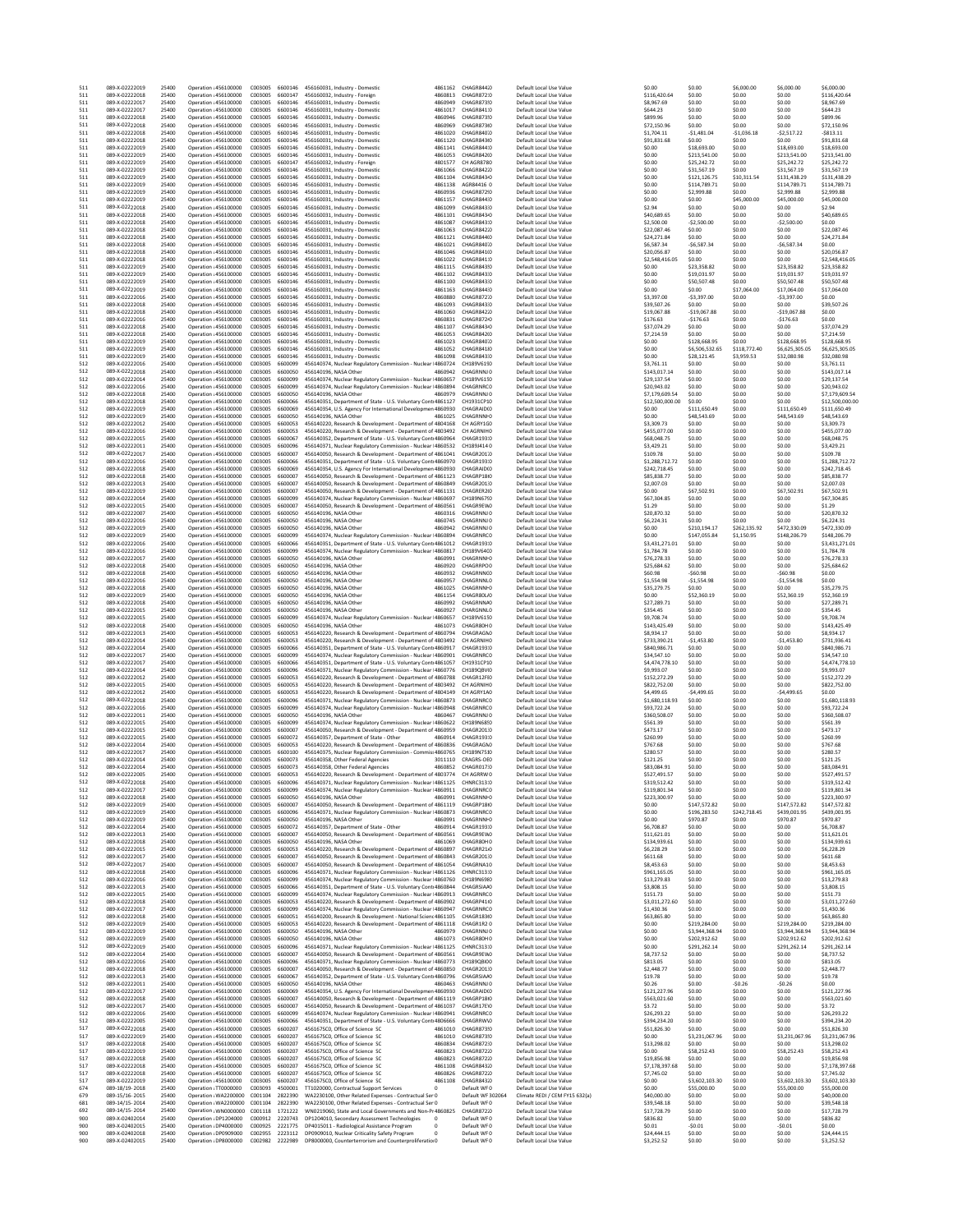| 511<br>511        | 089-X-02222019<br>089-X-02222018                   | 25400<br>25400          | Oneration : 456100000<br>Operation : 456100000                        | C003005<br>C003005            | 6600146<br>6600147            | 456160031. Industry - Domestic<br>4861162<br>456160032, Industry - Foreign<br>4860813                                                                                               | CHAGR844.C<br>CHAGR872:0                  | Default Local Use Value<br>Default Local Use Value                            | \$0.00<br>\$116,420.64              | \$0.00<br>\$0.00               | \$6,000.00<br>\$0.00       | \$6,000.00<br>\$0.00           | \$6,000.00<br>\$116,420.64          |
|-------------------|----------------------------------------------------|-------------------------|-----------------------------------------------------------------------|-------------------------------|-------------------------------|-------------------------------------------------------------------------------------------------------------------------------------------------------------------------------------|-------------------------------------------|-------------------------------------------------------------------------------|-------------------------------------|--------------------------------|----------------------------|--------------------------------|-------------------------------------|
| 511<br>511        | 089-X-02222017<br>089-X-02222017                   | 25400<br>25400          | Operation : 456100000<br>Operation : 456100000                        | C003005<br>C003005            | 6600146<br>6600146            | 456160031, Industry - Domestic<br>4860949<br>456160031. Industry - Domestic<br>4861017                                                                                              | CHAGR873!0<br>CHAGR841:0                  | Default Local Use Value<br>Default Local Use Value                            | \$8,967.69<br>\$644.23              | \$0.00<br>\$0.00               | \$0.00<br>\$0.00           | \$0.00<br>\$0.00               | \$8,967.69<br>\$644.23              |
| 511               | 089-X-02222018                                     | 25400                   | Operation : 456100000                                                 | C003005                       | 6600146                       | 456160031, Industry - Domestic<br>4860946                                                                                                                                           | CHAGR873!C                                | Default Local Use Value                                                       | \$899.96                            | \$0.00                         | \$0.00                     | \$0.00                         | \$899.96                            |
| 511<br>511        | 089-X-02222018<br>089-X-02222018                   | 25400<br>25400          | Operation : 456100000<br>Operation : 456100000                        | C003005<br>C003005            | 6600146<br>6600146            | 4860969<br>456160031. Industry - Domestic<br>456160031, Industry - Domestic<br>4861020                                                                                              | CHAGR873(0<br>CHAGR84010                  | Default Local Use Value<br>Default Local Use Value                            | \$72,150.96<br>\$1,704.11           | \$0.00<br>$-51.481.04$         | \$0.00<br>$-51.036.18$     | \$0.00<br>$-52.517.22$         | \$72,150.96<br>$-5813.11$           |
| 511<br>511        | 089-X-02222018<br>089-X-02222019                   | 25400<br>25400          | Operation : 456100000<br>Operation : 456100000                        | C003005<br>C003005            | 6600146<br>6600146            | 456160031, Industry - Domestic<br>4861120<br>4861141                                                                                                                                | CHAGR843(0)<br>CHAGR844:0                 | Default Local Use Value<br>Default Local Use Value                            | \$91,831.68<br>\$0.00               | \$0.00<br>\$18,693.00          | \$0.00<br>\$0.00           | \$0.00<br>\$18,693.00          | \$91,831.68<br>\$18,693.00          |
| 511               | 089-X-02222019                                     | 25400                   | Operation : 456100000                                                 | C003005                       | 6600146                       | 456160031, Industry - Domestic<br>456160031, Industry - Domestic<br>4861053                                                                                                         | CHAGR842IC                                | Default Local Use Value                                                       | \$0.00                              | \$213,541.00                   | \$0.00                     | \$213,541.00                   | \$213,541.00                        |
| 511<br>511        | 089-X-02222019<br>089-X-02222019                   | 25400<br>25400          | Operation : 456100000<br>Operation : 456100000                        | C003005<br>C003005            | 6600147<br>6600146            | 4801577<br>456160032, Industry - Foreign<br>456160031, Industry - Domestic<br>4861066                                                                                               | CH AGR8780<br>CHAGR842.0                  | Default Local Use Value<br>Default Local Use Value                            | \$0.00<br>\$0.00                    | \$25,242.72<br>\$31.567.19     | \$0.00<br>\$0.00           | \$25,242.72<br>\$31.567.19     | \$25,242.72<br>\$31.567.19          |
| 511<br>511        | 089-X-02222019<br>089-X-02222019                   | 25400<br>25400          | Operation : 456100000<br>Operation : 456100000                        | C003005<br>C003005            | 6600146<br>6600146            | 456160031, Industry - Domestic<br>4861104<br>4861138                                                                                                                                | CHAGRR43-0<br>AGR84416 0                  | Default Local Use Value<br>Default Local Use Value                            | \$0.00<br>\$0.00                    | \$121,126.75<br>\$114,789.71   | \$10,311.54<br>\$0.00      | \$131,438.29<br>\$114,789.71   | \$131,438.29<br>\$114,789.71        |
| 511               | 089-X-02222019                                     | 25400                   | Operation : 456100000                                                 | C003005                       | 6600146                       | 456160031, Industry - Domestic<br>456160031. Industry - Domestic<br>4860936                                                                                                         | CHAGR872!C                                | Default Local Use Value                                                       | \$0.00                              | \$2,999.88                     | \$0.00                     | \$2,999.88                     | \$2,999.88                          |
| 511<br>511        | 089-X-02222019<br>089-X-02222018                   | 25400<br>25400          | Operation : 456100000<br>Operation : 456100000                        | C003005<br>C003005            | 6600146<br>6600146            | 4861157<br>456160031, Industry - Domestic<br>456160031, Industry - Domestic<br>4861099                                                                                              | CHAGR844:0<br>CHAGR843:0                  | Default Local Use Value<br>Default Local Use Value                            | \$0.00<br>\$2.94                    | \$0.00<br>\$0.00               | \$45,000.00<br>\$0.00      | \$45,000.00<br>\$0.00          | \$45,000.00<br>\$2.94               |
| 511               | 089-X-02222018                                     | 25400                   | Operation : 456100000                                                 | C003005                       | 6600146                       | 456160031, Industry - Domestic<br>4861101                                                                                                                                           | CHAGR843-0                                | Default Local Use Value                                                       | \$40,689.65                         | \$0.00                         | \$0.00                     | \$0.00                         | \$40,689.65                         |
| 511<br>511        | 089-X-02222018<br>089-X-02222018                   | 25400<br>25400          | Operation : 456100000<br>Operation : 456100000                        | C003005<br>C003005            | 6600146<br>6600146            | 456160031, Industry - Domestic<br>4861087<br>456160031, Industry - Domestic<br>4861063                                                                                              | CHAGR843:C<br>CHAGR842.0                  | Default Local Use Value<br>Default Local Use Value                            | \$2,500.00<br>\$22,087.46           | $-$2,500.00$<br>\$0.00         | \$0.00<br>\$0.00           | $-52,500.00$<br>\$0.00         | \$0.00<br>\$22,087.46               |
| 511               | 089-X-02222018                                     | 25400                   | Operation : 456100000                                                 | C003005                       | 6600146                       | 4861121<br>456160031. Industry - Domestic                                                                                                                                           | CHAGR84410                                | Default Local Use Value                                                       | \$24,271.84                         | \$0.00                         | \$0.00                     | \$0.00                         | \$24,271.84                         |
| 511<br>511        | 089-X-02222018<br>089-X-02222018                   | 25400<br>25400          | Operation : 456100000<br>Operation : 456100000                        | C003005<br>C003005            | 6600146<br>6600146            | 456160031, Industry - Domestic<br>4861021<br>456160031, Industry - Domestic<br>4861046                                                                                              | CHAGR840.0<br>CHAGR841(0                  | Default Local Use Value<br>Default Local Use Value                            | \$6,587.34<br>\$20,056.87           | $-56.587.34$<br>\$0.00         | \$0.00<br>\$0.00           | $-56.587.34$<br>\$0.00         | \$0.00<br>\$20,056.87               |
| 511<br>511        | 089-X-02222018<br>089-X-02222019                   | 25400<br>25400          | Operation : 456100000<br>Operation : 456100000                        | C003005<br>C003005            | 6600146<br>6600146            | 456160031, Industry - Domestic<br>4861022<br>456160031. Industry - Domestic<br>4861115                                                                                              | CHAGR841:0<br>CHAGR843!C                  | Default Local Use Value<br>Default Local Use Value                            | \$2,548,416.05<br>\$0.00            | \$0.00<br>\$23,358.82          | \$0.00<br>\$0.00           | \$0.00<br>\$23,358.82          | \$2.548.416.05<br>\$23,358.82       |
| 511               | 089-X-02222019                                     | 25400                   | Operation : 456100000                                                 | C003005                       | 6600146                       | 4861102<br>456160031. Industry - Domestic                                                                                                                                           | CHAGR843:0                                | Default Local Use Value                                                       | \$0.00                              | \$19,031.97                    | \$0.00                     | \$19,031.97                    | \$19,031.97                         |
| 511<br>511        | 089-X-02222019<br>089-X-02222019                   | 25400<br>25400          | Operation : 456100000<br>Operation : 456100000                        | C003005<br>C003005            | 6600146<br>6600146            | 456160031. Industry - Domestic<br>4861100<br>456160031, Industry - Domestic<br>4861163                                                                                              | CHAGR843:0<br>CHAGR844:0                  | Default Local Use Value<br>Default Local Use Value                            | \$0.00<br>\$0.00                    | \$50,507.48<br>\$0.00          | \$0.00<br>\$17,064.00      | \$50,507.48<br>\$17,064.00     | \$50,507.48<br>\$17,064.00          |
| 511               | 089-X-02222016<br>089-X-02222018                   | 25400                   | Operation : 456100000                                                 | C003005                       | 6600146                       | 456160031, Industry - Domestic<br>4860880<br>456160031. Industry - Domestic                                                                                                         | CHAGR87210                                | Default Local Use Value                                                       | \$3,397.00                          | $-53,397.00$                   | \$0.00                     | $-53,397.00$                   | \$0.00                              |
| 511<br>511        | 089-X-02222018                                     | 25400<br>25400          | Operation : 456100000<br>Operation : 456100000                        | C003005<br>C003005            | 6600146<br>6600146            | 4861093<br>4861060<br>456160031, Industry - Domestic                                                                                                                                | CHAGR843:C<br>CHAGR842.0                  | Default Local Use Value<br>Default Local Use Value                            | \$39,507.26<br>\$19,067.88          | \$0.00<br>$-$19,067.88$        | \$0.00<br>\$0.00           | \$0.00<br>$-$19,067.88$        | \$39,507.26<br>\$0.00               |
| 511<br>511        | 089-X-02222016<br>089-X-02222018                   | 25400<br>25400          | Operation : 456100000<br>Operation : 456100000                        | C003005<br>C003005            | 6600146<br>6600146            | 456160031, Industry - Domestic<br>4860831<br>456160031, Industry - Domestic<br>4861107                                                                                              | CHAGR872 <sub>0</sub><br>CHAGR843-0       | Default Local Use Value<br>Default Local Use Value                            | \$176.63<br>\$37,074.29             | $-5176.63$<br>\$0.00           | \$0.00<br>\$0.00           | $-5176.63$<br>\$0.00           | \$0.00<br>\$37,074.29               |
| 511               | 089-X-02222018                                     | 25400                   | Operation : 456100000                                                 | C003005                       | 6600146                       | 456160031, Industry - Domestic<br>4861053                                                                                                                                           | CHAGR842IC                                | Default Local Use Value                                                       | \$7,214.59                          | \$0.00                         | \$0.00                     | \$0.00                         | \$7,214.59                          |
| 511<br>511        | 089-X-02222019<br>089-X-02222019                   | 25400<br>25400          | Operation : 456100000<br>Operation : 456100000                        | C003005<br>C003005            | 6600146<br>6600146            | 456160031, Industry - Domestic<br>4861023<br>4861052<br>456160031, Industry - Domestic                                                                                              | CHAGR84010<br>CHAGR84110                  | Default Local Use Value<br>Default Local Use Value                            | \$0.00<br>\$0.00                    | \$128,668.95<br>\$6,506,532.65 | \$0.00<br>\$118,772.40     | \$128,668.95<br>\$6,625,305.05 | \$128,668.95<br>\$6,625,305.05      |
| 511               | 089-X-02222019                                     | 25400                   | Operation : 456100000                                                 | C003005                       | 6600146<br>6600099            | 456160031, Industry - Domestic<br>4861098                                                                                                                                           | CHAGR843:0                                | Default Local Use Value                                                       | \$0.00                              | \$28.121.45                    | \$3,959.53                 | \$32,080.98                    | \$32,080.98                         |
| 512<br>512        | 089-X-02222016<br>089-X-02222018                   | 25400<br>25400          | Operation : 456100000<br>Operation : 456100000                        | C003005<br>C003005            | 6600050                       | 456140374, Nuclear Regulatory Commission - Nuclear I4860724<br>456140196, NASA Other<br>4860942                                                                                     | CH189V6190<br>CHAGRNNJ 0                  | Default Local Use Value<br>Default Local Use Value                            | \$3,761.11<br>\$143,017.14          | \$0.00<br>\$0.00               | \$0.00<br>\$0.00           | \$0.00<br>\$0.00               | \$3,761.11<br>\$143,017.14          |
| 512<br>512        | 089-X-02222014<br>089-X-02222016                   | 25400<br>25400          | Operation : 456100000<br>Operation : 456100000                        | C003005<br>C003005            | 6600099<br>6600099            | 456140374, Nuclear Regulatory Commission - Nuclear I4860657<br>456140374, Nuclear Regulatory Commission - Nuclear I4860894                                                          | CH189V6150<br>CHAGRNRCO                   | Default Local Use Value<br>Default Local Use Value                            | \$29,137.54<br>\$20,943.02          | \$0.00<br>\$0.00               | \$0.00<br>\$0.00           | \$0.00<br>\$0.00               | \$29,137.54<br>\$20,943.02          |
| 512               | 089-X-02222018                                     | 25400                   | Operation : 456100000                                                 | C003005                       | 6600050                       | 456140196, NASA Other<br>4860979                                                                                                                                                    | CHAGRNNJ 0                                | Default Local Use Value                                                       | \$7,179,609.54                      | \$0.00                         | \$0.00                     | \$0.00                         | \$7,179,609.54                      |
| 512<br>512        | 089-X-02222018<br>089-X-02222019                   | 25400<br>25400          | Operation : 456100000<br>Operation : 456100000                        | C003005<br>C003005            | 6600066<br>6600069            | 456140351, Department of State - U.S. Voluntary Contr4861127<br>456140354, U.S. Agency For International Developmen 4860930                                                         | CH1931CP10<br><b>CHAGRAID(C</b>           | Default Local Use Value<br>Default Local Use Value                            | \$12,500,000.00<br>\$0.00           | \$0.00<br>\$111,650.49         | \$0.00<br>\$0.00           | \$0.00<br>\$111,650.49         | \$12,500,000.00<br>\$111.650.49     |
| 512               | 089-X-02222019                                     | 25400<br>25400          | Operation : 456100000                                                 | C003005<br>C003005            | 6600050<br>6600053            | 456140196, NASA Other<br>4861025<br>456140220, Research & Development - Department of 4804168                                                                                       | CHAGRNNI C<br>CH AGRY1CO                  | Default Local Use Value                                                       | \$0.00<br>\$3,309.73                | \$48,543.69                    | \$0.00<br>\$0.00           | \$48,543.69<br>\$0.00          | \$48,543.69<br>\$3,309.73           |
| 512<br>512        | 089-X-02222012<br>089-X-02222016                   | 25400                   | Operation : 456100000<br>Operation : 456100000                        | C003005                       | 6600053                       | 456140220, Research & Development - Department of 4803492                                                                                                                           | CH AGRNIHO                                | Default Local Use Value<br>Default Local Use Value                            | \$455,077.00                        | \$0.00<br>\$0.00               | \$0.00                     | \$0.00                         | \$455,077.00                        |
| 512<br>512        | 089-X-02222015<br>089-X-02222011                   | 25400<br>25400          | Operation : 456100000<br>Operation : 456100000                        | C003005<br>C003005            | 6600067<br>6600096            | 456140352, Department of State - U.S. Voluntary Contr4860964<br>456140371. Nuclear Regulatory Commission - Nuclear I4860532                                                         | CHAGR193:0<br>CH189J414 0                 | Default Local Use Value<br>Default Local Use Value                            | \$68,048.75<br>\$3,429.21           | \$0.00<br>\$0.00               | \$0.00<br>\$0.00           | \$0.00<br>\$0.00               | \$68,048.75<br>\$3,429.21           |
| 512               | 089-X-02222017                                     | 25400                   | Operation : 456100000                                                 | C003005                       | 6600007                       | 456140050, Research & Development - Department of 4861041                                                                                                                           | CHAGR2011                                 | Default Local Use Value                                                       | \$109.78                            | \$0.00                         | \$0.00                     | \$0.00                         | \$109.78                            |
| 512<br>512        | 089-X-02222016<br>089-X-02222018                   | 25400<br>25400          | Operation : 456100000<br>Operation : 456100000                        | C003005<br>C003005            | 6600066<br>6600069            | 456140351, Department of State - U.S. Voluntary Contr4860970<br>456140354, U.S. Agency For International Developmen 4860930                                                         | CHAGR193:0<br>CHAGRAID(0                  | Default Local Use Value<br>Default Local Use Value                            | \$1,288,712.72<br>\$242.718.45      | \$0.00<br>\$0.00               | \$0.00<br>\$0.00           | \$0.00<br>\$0.00               | \$1,288,712.72<br>\$242.718.45      |
| 512               | 089-X-02222018                                     | 25400                   | Operation : 456100000                                                 | C003005                       | 6600007                       | 456140050. Research & Development - Department of 4861123<br>456140050, Research & Development - Department of 4860849                                                              | CHAGRP18(0                                | Default Local Use Value                                                       | \$85,838.77                         | \$0.00                         | \$0.00                     | \$0.00                         | \$85,838.77                         |
| 512<br>512        | 089-X-02222013<br>089-X-02222019                   | 25400<br>25400          | Operation : 456100000<br>Operation : 456100000                        | C003005<br>C003005            | 6600007<br>6600007            | 456140050, Research & Development - Department of 4861131                                                                                                                           | CHAGR201:C<br>CHAGRER2IO                  | Default Local Use Value<br>Default Local Use Value                            | \$2,007.03<br>\$0.00                | \$0.00<br>\$67,502.91          | \$0.00<br>\$0.00           | \$0.00<br>\$67,502.91          | \$2,007.03<br>\$67,502.91           |
| 512<br>512        | 089-X-02222014<br>089-X-02222015                   | 25400<br>25400          | Operation : 456100000<br>Operation : 456100000                        | C003005<br>C003005            | 6600099<br>6600007            | 456140374, Nuclear Regulatory Commission - Nuclear I4860697<br>456140050, Research & Development - Department of 4860561                                                            | CH189N6750<br>CHAGR9EW0                   | Default Local Use Value<br>Default Local Use Value                            | \$67,304.85<br>\$1.29               | \$0.00<br>\$0.00               | \$0.00<br>\$0.00           | \$0.00<br>\$0.00               | \$67,304.85<br>\$1.29               |
| 512               | 089-X-02222007                                     | 25400                   | Operation : 456100000                                                 | C003005                       | 6600050                       | 456140196, NASA Other<br>4860316                                                                                                                                                    | CHAGRNNJ 0                                | Default Local Use Value                                                       | \$20,870.32                         | \$0.00                         | \$0.00                     | \$0.00                         | \$20,870.32                         |
| 512<br>512        | 089-X-02222016<br>089-X-02222019                   | 25400<br>25400          | Operation : 456100000<br>Operation : 456100000                        | C003005<br>C003005            | 6600050<br>6600050            | 456140196, NASA Other<br>4860745<br>456140196, NASA Other<br>4860942                                                                                                                | CHAGRNNJ 0<br>CHAGRNNJ 0                  | Default Local Use Value<br>Default Local Use Value                            | \$6,224.31<br>\$0.00                | \$0.00<br>\$210.194.17         | \$0.00<br>\$262.135.92     | \$0.00<br>\$472,330.09         | \$6,224.31<br>\$472,330.09          |
| 512<br>512        | 089-X-02222019<br>089-X-02222016                   | 25400<br>25400          | Operation : 456100000<br>Operation : 456100000                        | C003005<br>C003005            | 6600099<br>6600066            | 456140374, Nuclear Regulatory Commission - Nuclear I4860894<br>456140351, Department of State - U.S. Voluntary Contr4861012                                                         | CHAGRNRCO<br>CHAGR193:0                   | Default Local Use Value<br>Default Local Use Value                            | \$0.00<br>\$3,431,271.01            | \$147,055.84<br>\$0.00         | \$1,150.95<br>\$0.00       | \$148,206.79<br>\$0.00         | \$148,206.79<br>\$3,431,271.01      |
| 512               | 089-X-02222016                                     | 25400                   | Operation : 456100000                                                 | C003005                       | 6600099                       | 456140374, Nuclear Regulatory Commission - Nuclear I4860817                                                                                                                         | CH189V6400                                | Default Local Use Value                                                       | \$1,784.78                          | \$0.00                         | \$0.00                     | \$0.00                         | \$1,784.78                          |
| 512<br>512        | 089-X-02222017<br>089-X-02222018                   | 25400<br>25400          | Operation : 456100000<br>Operation : 456100000                        | C003005<br>C003005            | 6600050<br>6600050            | 456140196, NASA Other<br>4860991<br>456140196, NASA Other<br>4860920                                                                                                                | CHAGRNNI C<br>CHAGRRPOO                   | Default Local Use Value<br>Default Local Use Value                            | \$76,278.33<br>\$25,684.62          | \$0.00<br>\$0.00               | \$0.00<br>\$0.00           | \$0.00<br>\$0.00               | \$76,278.33<br>\$25,684.62          |
| 512               | 089-X-02222018                                     | 25400                   | Operation : 456100000                                                 | C003005                       | 6600050                       | 4860932<br>456140196, NASA Other                                                                                                                                                    | CHAGRNNCO                                 | Default Local Use Value                                                       | \$60.98                             | $-560.98$                      | \$0.00                     | $-560.98$                      | \$0.00                              |
| 512<br>512        | 089-X-02222016<br>089-X-02222018                   | 25400<br>25400          | Operation : 456100000<br>Operation : 456100000                        | C003005<br>C003005            | 6600050<br>6600050            | 456140196, NASA Other<br>4860957<br>456140196, NASA Other<br>4861025                                                                                                                | CHAGRNNLO<br>CHAGRNNF0                    | Default Local Use Value<br>Default Local Use Value                            | \$1,554.98<br>\$35,279.75           | $-51.554.98$<br>\$0.00         | \$0.00<br>\$0.00           | $-51.554.98$<br>\$0.00         | \$0.00<br>\$35,279.75               |
| 512<br>512        | 089-X-02222019<br>089-X-02222018                   | 25400<br>25400          | Operation : 456100000<br>Operation : 456100000                        | C003005<br>C003005            | 6600050<br>6600050            | 456140196, NASA Other<br>4861154<br>456140196, NASA Other<br>4860992                                                                                                                | CHAGR80L/C<br><b>CHAGRNNAC</b>            | Default Local Use Value<br>Default Local Use Value                            | \$0.00<br>\$27,289.71               | \$52,360.19<br>\$0.00          | \$0.00<br>\$0.00           | \$52,360.19<br>\$0.00          | \$52,360.19<br>\$27,289.71          |
| 512               | 089-X-02222015                                     | 25400                   | Operation : 456100000                                                 | C003005                       | 6600050                       | 4860927<br>456140196, NASA Other                                                                                                                                                    | CHARGNNLO                                 | Default Local Use Value                                                       | \$354.45                            | \$0.00                         | \$0.00                     | \$0.00                         | \$354.45                            |
| 512<br>512        | 089-X-02222015<br>089-X-02222018                   | 25400<br>25400          | Operation : 456100000<br>Operation : 456100000                        | C003005<br>C003005            | 6600099<br>6600050            | 456140374, Nuclear Regulatory Commission - Nuclear I4860657<br>456140196, NASA Other<br>4861073                                                                                     | CH189V6150<br>CHAGR80H 0                  | Default Local Use Value<br>Default Local Use Value                            | \$9,708.74<br>\$143,425.49          | \$0.00<br>\$0.00               | \$0.00<br>\$0.00           | \$0.00<br>\$0.00               | \$9,708.74<br>\$143,425.49          |
| 512               | 089-X-02222013                                     | 25400                   | Operation : 456100000                                                 | C003005                       | 6600053                       | 456140220, Research & Development - Department of 4860794                                                                                                                           | CHAGRAGNO                                 | Default Local Use Value                                                       | \$8,934.17                          | \$0.00                         | \$0.00                     | \$0.00                         | \$8,934.17                          |
| 512<br>512        | 089-X-02222014<br>089-X-02222014                   | 25400<br>25400          | Operation : 456100000<br>Operation : 456100000                        | C003005<br>C003005            | 6600053<br>6600066            | 456140220, Research & Development - Department of 4803492<br>456140351, Department of State - U.S. Voluntary Contr4860917                                                           | CH AGRNIHO<br>CHAGR193:0                  | Default Local Use Value<br>Default Local Use Value                            | \$733,390.21<br>\$840,986.71        | $-51,453.80$<br>\$0.00         | \$0.00<br>\$0.00           | $-$1,453.80$<br>\$0.00         | \$731,936.41<br>\$840,986.71        |
| 512<br>512        | 089-X-02222017<br>089-X-02222017                   | 25400<br>25400          | Operation : 456100000<br>Operation : 456100000                        | C003005<br>C003005            | 6600099<br>6600066            | 456140374. Nuclear Regulatory Commission - Nuclear I4860901<br>456140351, Department of State - U.S. Voluntary Contr4861057                                                         | CHAGRNRCO<br>CH1931CP10                   | Default Local Use Value<br>Default Local Use Value                            | \$34,547.10<br>\$4,474,778.10       | \$0.00<br>\$0.00               | \$0.00<br>\$0.00           | \$0.00<br>\$0.00               | \$34,547.10<br>\$4,474,778.10       |
| 512               | 089-X-02222014                                     | 25400                   | Operation : 456100000                                                 | C003005                       | 6600096                       | 456140371, Nuclear Regulatory Commission - Nuclear I4860776                                                                                                                         | CH189QBVIC                                | Default Local Use Value                                                       | \$9,993.07                          | \$0.00                         | \$0.00                     | \$0.00                         | \$9,993.07                          |
| 512<br>512        | 089-X-02222012<br>089-X-02222015                   | 25400<br>25400          | Operation : 456100000<br>Operation : 456100000                        | C003005<br>C003005            | 6600053<br>6600053            | 456140220, Research & Development - Department of 4860788<br>456140220, Research & Development - Department of 4803492                                                              | CHAGR12FIC<br>CH AGRNIHO                  | Default Local Use Value<br>Default Local Use Value                            | \$152,272.29<br>\$822,752.00        | \$0.00<br>\$0.00               | \$0.00<br>\$0.00           | \$0.00<br>\$0.00               | \$152,272.29<br>\$822,752.00        |
| 512<br>512        | 089-X-02222012<br>089-X-02222018                   | 25400<br>25400          | Operation : 456100000<br>Operation : 456100000                        | C003005<br>C003005            | 6600053<br>6600096            | 456140220, Research & Development - Department of 4804149<br>456140371, Nuclear Regulatory Commission - Nuclear I4860873                                                            | CH AGRY1A0<br>CHAGRNRCO                   | Default Local Use Value<br>Default Local Use Value                            | \$4,499.65<br>\$1,680,118.93        | $-54.499.65$<br>\$0.00         | \$0.00<br>\$0.00           | $-54.499.65$<br>\$0.00         | \$0.00<br>\$1,680,118.93            |
| 512               | 089-X-02222016                                     | 25400                   | Operation : 456100000                                                 | C003005                       | 6600099                       | 456140374, Nuclear Regulatory Commission - Nuclear I4860948                                                                                                                         | CHAGRNRCO                                 | Default Local Use Value                                                       | \$93,722.24                         | \$0.00                         | \$0.00                     | \$0.00                         | \$93,722.24                         |
| 512<br>512        | 089-X-02222011<br>089-X-02222015                   | 25400<br>25400          | Operation : 456100000<br>Operation : 456100000                        | C003005<br>C003005            | 6600050<br>6600099            | 456140196, NASA Other<br>4860467<br>456140374, Nuclear Regulatory Commission - Nuclear I4860622                                                                                     | CHAGRNNJ 0<br>CH189N6850                  | Default Local Use Value<br>Default Local Use Value                            | \$360,508.07<br>\$561.39            | \$0.00<br>\$0.00               | \$0.00<br>\$0.00           | \$0.00<br>\$0.00               | \$360,508.07<br>\$561.39            |
| 512               | 089-X-02222015                                     | 25400                   | Operation : 456100000                                                 | C003005                       | 6600007                       | 456140050, Research & Development - Department of 4860959                                                                                                                           | CHAGR201:0                                | Default Local Use Value                                                       | \$473.17                            | \$0.00                         | \$0.00                     | \$0.00                         | \$473.17                            |
| 512<br>512        | 089-X-02222015<br>089-X-02222014                   | 25400<br>25400          | Operation : 456100000<br>Operation : 456100000                        | C003005<br>C003005            | 6600072<br>6600053            | 456140357, Department of State - Other<br>4860914<br>456140220, Research & Development - Department of 4860836                                                                      | CHAGR193:0<br>CHAGRAGNO                   | Default Local Use Value<br>Default Local Use Value                            | \$260.99<br>\$767.68                | \$0.00<br>\$0.00               | \$0.00<br>\$0.00           | \$0.00<br>\$0.00               | \$260.99<br>\$767.68                |
| 512<br>512        | 089-X-02222017<br>089-X-02222014                   | 25400<br>25400          | Operation : 456100000<br>Operation : 456100000                        | C003005<br>C003005            | 6600100<br>6600073            | 456140375, Nuclear Regulatory Commission - Commiss4860765<br>456140358, Other Federal Agencies<br>3011110                                                                           | CH189N75:0<br>CRAGRS-OEO                  | Default Local Use Value<br>Default Local Use Value                            | \$280.57<br>\$121.25                | \$0.00<br>\$0.00               | \$0.00<br>\$0.00           | \$0.00<br>\$0.00               | \$280.57<br>\$121.25                |
| 512               | 089-X-02222014                                     | 25400                   | Operation : 456100000                                                 | C003005                       | 6600073                       | 456140358. Other Federal Agencies<br>4860852                                                                                                                                        | CHAGR017:0                                | Default Local Use Value                                                       | \$83,084.91                         | \$0.00                         | \$0.00                     | \$0.00                         | \$83,084.91                         |
| 512<br>512        | 089-X-02222005<br>089-X-02222018                   | 25400<br>25400          | Operation : 456100000<br>Operation : 456100000                        | C003005<br>C003005            | 6600053<br>6600096            | 456140220, Research & Development - Department of 4803774<br>456140371. Nuclear Regulatory Commission - Nuclear I4861125                                                            | CH AGRRW 0<br>CHNRC313:0                  | Default Local Use Value<br>Default Local Use Value                            | \$527,491.57<br>\$319,512.42        | \$0.00<br>\$0.00               | \$0.00<br>\$0.00           | \$0.00<br>\$0.00               | \$527,491.57<br>\$319,512.42        |
| 512<br>512        | 089-X-02222017<br>089-X-02222018                   | 25400                   | Operation : 456100000                                                 | C003005                       | 6600099<br>6600050            | 456140374, Nuclear Regulatory Commission - Nuclear I4860911<br>456140196, NASA Other<br>4860991                                                                                     | CHAGRNRCO<br>CHAGRNNF0                    | Default Local Use Value                                                       | \$119,801.34                        | \$0.00                         | \$0.00                     | \$0.00<br>\$0.00               | \$119,801.34<br>\$223,300.97        |
| 512               | 089-X-02222019                                     | 25400<br>25400          | Operation : 456100000<br>Operation : 456100000                        | C003005<br>C003005            | 6600007                       | 456140050, Research & Development - Department of 4861119                                                                                                                           | CHAGRP18(0                                | Default Local Use Value<br>Default Local Use Value                            | \$223,300.97<br>\$0.00              | \$0.00<br>\$147 572 82         | \$0.00<br>\$0.00           | \$147 572 82                   | \$147 572 82                        |
| 512<br>512        | 089-X-02222019<br>089-X-02222019                   | 25400<br>25400          | Operation : 456100000<br>Operation : 456100000                        | C003005<br>C003005            | 6600096<br>6600050            | 456140371, Nuclear Regulatory Commission - Nuclear I4860873<br>456140196, NASA Other<br>4860991                                                                                     | CHAGRNRCO<br>CHAGRNNEO                    | Default Local Use Value<br>Default Local Use Value                            | \$0.00<br>\$0.00                    | \$196,283.50<br>\$970.87       | \$242,718.45<br>\$0.00     | \$439,001.95<br>\$970.87       | \$439,001.95<br>\$970.87            |
| 512               | 089-X-02222014                                     | 25400                   | Operation : 456100000                                                 | C003005                       | 6600072                       | 456140357, Department of State - Other<br>4860914                                                                                                                                   | CHAGR193:0                                | Default Local Use Value                                                       | \$6,708.87                          | \$0.00                         | \$0.00                     | \$0.00                         | \$6,708.87                          |
| 512<br>512        | 089-X-02222013<br>089-X-02222018                   | 25400<br>25400          | Operation : 456100000<br>Operation : 456100000                        | C003005<br>C003005            | 6600007<br>6600050            | 456140050, Research & Development - Department of 4860561<br>456140196, NASA Other<br>4861069                                                                                       | CHAGR9EW0<br>CHAGR80H 0                   | Default Local Use Value<br>Default Local Use Value                            | \$11,621.01<br>\$134,939.61         | \$0.00<br>\$0.00               | \$0.00<br>\$0.00           | \$0.00<br>\$0.00               | \$11,621.01<br>\$134 939 61         |
| 512<br>512        | 089-X-02222015<br>089-X-02222017                   | 25400<br>25400          | Operation : 456100000<br>Operation : 456100000                        | C003005<br>C003005            | 6600053<br>6600007            | 456140220, Research & Development - Department of 4860897<br>456140050, Research & Development - Department of 4860843                                                              | CHAGRR21.0<br>CHAGR201:0                  | Default Local Use Value<br>Default Local Use Value                            | \$6,228.29<br>\$611.68              | \$0.00<br>\$0.00               | \$0.00<br>\$0.00           | \$0.00<br>\$0.00               | \$6,228.29<br>\$611.68              |
| 512               | 089-X-02222017                                     | 25400                   | Operation : 456100000                                                 | C003005                       | 6600007                       | 456140050, Research & Development - Department of 4861054                                                                                                                           | CHAGRNA10                                 | Default Local Use Value                                                       | \$8,453.63                          | \$0.00                         | \$0.00                     | \$0.00                         | \$8,453.63                          |
| 512<br>512        | 089-X-02222018<br>089-X-02222016                   | 25400<br>25400          | Operation : 456100000<br>Operation : 456100000                        | C003005<br>C003005            | 6600096<br>6600099            | 456140371, Nuclear Regulatory Commission - Nuclear I4861126<br>456140374, Nuclear Regulatory Commission - Nuclear I4860760                                                          | CHNRC313:0<br>CH189N6910                  | Default Local Use Value<br>Default Local Use Value                            | \$961,165.05<br>\$13,279.83         | \$0.00<br>\$0.00               | \$0.00<br>\$0.00           | \$0.00<br>\$0.00               | \$961,165.05<br>\$13,279.83         |
| 512<br>512        | 089-X-02222013<br>089-X-02222015                   | 25400<br>25400          | Operation : 456100000<br>Operation : 456100000                        | C003005<br>C003005            | 6600066<br>6600099            | 456140351, Department of State - U.S. Voluntary Contr4860844<br>456140374, Nuclear Regulatory Commission - Nuclear I4860913                                                         | CHAGRSIAA0<br>CHAGRNRCO                   | Default Local Use Value<br>Default Local Use Value                            | \$3,808.15<br>\$151.73              | \$0.00<br>\$0.00               | \$0.00<br>\$0.00           | \$0.00<br>\$0.00               | \$3,808.15<br>\$151.73              |
| 512               | 089-X-02222018                                     | 25400                   | Operation : 456100000                                                 | C003005                       | 6600053                       | 456140220, Research & Development - Department of 4860902                                                                                                                           | CHAGRP410                                 | Default Local Use Value                                                       | \$3,011,272.60                      | \$0.00                         | \$0.00                     | \$0.00                         | \$3.011.272.60                      |
| 512<br>512        | 089-X-02222017<br>089-X-02222018                   | 25400<br>25400          | Operation : 456100000<br>Operation : 456100000                        | C003005<br>C003005            | 6600099<br>6600051            | 456140374, Nuclear Regulatory Commission - Nuclear I4860947<br>456140200. Research & Development - National Scienc4861105                                                           | CHAGRNRCO<br>CHAGR183(0                   | Default Local Use Value<br>Default Local Use Value                            | \$1,430.36<br>\$63,865,80           | \$0.00<br>\$0.00               | \$0.00<br>\$0.00           | \$0.00<br>\$0.00               | \$1,430.36<br>\$63,865.80           |
| 512               | 089-X-02222019                                     | 25400                   | Operation : 456100000                                                 | C003005                       | 6600053                       | 456140220, Research & Development - Department of 4861118                                                                                                                           | CHAGR1R20                                 | Default Local Use Value                                                       | \$0.00                              | \$219,284.00                   | \$0.00                     | \$219,284.00                   | \$219,284.00                        |
| 512<br>512        | 089-X-02222019<br>089-X-02222019                   | 25400<br>25400          | Operation : 456100000<br>Operation : 456100000                        | C003005<br>C003005            | 6600050<br>6600050            | 456140196, NASA Other<br>4860979<br>456140196, NASA Other<br>4861073                                                                                                                | CHAGRNNJ 0<br>CHAGR80H C                  | Default Local Use Value<br>Default Local Use Value                            | \$0.00<br>\$0.00                    | \$3,944,368.94<br>\$202.912.62 | \$0.00<br>\$0.00           | \$3,944,368.94<br>\$202.912.62 | \$3,944,368.94<br>\$202.912.62      |
| 512<br>512        | 089-X-02222019<br>089-X-02222014                   | 25400<br>25400          | Operation : 456100000<br>Operation : 456100000                        | C003005<br>C003005            | 6600096<br>6600007            | 456140371, Nuclear Regulatory Commission - Nuclear I4861125<br>456140050, Research & Development - Department of 4860561                                                            | CHNRC313:0<br>CHAGROFWO                   | Default Local Use Value<br>Default Local Use Value                            | \$0.00<br>\$8,737.52                | \$291,262.14<br>\$0.00         | \$0.00<br>\$0.00           | \$291,262.14<br>\$0.00         | \$291,262.14<br>\$8,737.52          |
| 512               | 089-X-02222016                                     | 25400                   | Operation : 456100000                                                 | C003005                       | 6600096                       | 456140371, Nuclear Regulatory Commission - Nuclear I4860773                                                                                                                         | CH189QBI00                                | Default Local Use Value                                                       | \$813.05                            | \$0.00                         | \$0.00                     | \$0.00                         | \$813.05                            |
| 512<br>512        | 089-X-02222018<br>089-X-02222013                   | 25400<br>25400          | Operation : 456100000<br>Operation : 456100000                        | C003005<br>C003005            | 6600007<br>6600067            | 456140050, Research & Development - Department of 4860850<br>456140352, Department of State - U.S. Voluntary Contr4860796                                                           | CHAGR201:C<br>CHAGRSIAAC                  | Default Local Use Value<br>Default Local Use Value                            | \$2,448.77<br>\$19.78               | \$0.00<br>\$0.00               | \$0.00<br>\$0.00           | \$0.00<br>\$0.00               | \$2,448.77<br>\$19.78               |
| 512               | 089-X-02222011                                     | 25400                   | Operation : 456100000                                                 | C003005                       | 6600050                       | 456140196, NASA Other<br>4860463                                                                                                                                                    | CHAGRNNJ 0                                | Default Local Use Value                                                       | \$0.26                              | \$0.00                         | $-50.26$                   | $-50.26$                       | \$0.00                              |
| 512<br>512        | 089-X-02222017<br>089-X-02222018                   | 25400<br>25400          | Operation : 456100000<br>Operation : 456100000                        | C003005<br>C003005            | 6600069<br>6600007            | 456140354, U.S. Agency For International Developmen 4860930<br>456140050, Research & Development - Department of 4861119                                                            | <b>CHAGRAID(0</b><br>CHAGRP18(0           | Default Local Use Value<br>Default Local Use Value                            | \$121,227.96<br>\$563,021.60        | \$0.00<br>\$0.00               | \$0.00<br>\$0.00           | \$0.00<br>\$0.00               | \$121.227.96<br>\$563,021.60        |
| 512<br>512        | 089-X-02222017<br>089-X-02222016                   | 25400<br>25400          | Operation : 456100000<br>Operation : 456100000                        | C003005<br>C003005            | 6600007<br>6600099            | 456140050, Research & Development - Department of 4861037<br>456140374, Nuclear Regulatory Commission - Nuclear I4860941                                                            | CHAGR17E10<br>CHAGRNRCC                   | Default Local Use Value<br>Default Local Use Value                            | \$3.72<br>\$26,293.22               | \$0.00<br>\$0.00               | \$0.00<br>\$0.00           | \$0.00<br>\$0.00               | \$3.72<br>\$26,293.22               |
| 512               | 089-X-02222005                                     | 25400                   | Operation : 456100000                                                 | C003005                       | 6600066                       | 456140351, Department of State - U.S. Voluntary Contr4806666                                                                                                                        | CHAGRRW10                                 | Default Local Use Value                                                       | \$394,234.20                        | \$0.00                         | \$0.00                     | \$0.00                         | \$394,234.20                        |
| 517<br>517        | 089-X-02222018<br>089-X-02222019                   | 25400<br>25400          | Operation : 456100000<br>Operation : 456100000                        | C003005<br>C003005            | 6600207<br>6600207            | 456167SCO, Office of Science SC<br>4861010<br>456167SCO, Office of Science SC<br>4861010                                                                                            | CHAGR873!0<br>CHAGR873!0                  | Default Local Use Value<br>Default Local Use Value                            | \$51,826.30<br>\$0.00               | \$0.00<br>\$3,231,067.96       | \$0.00<br>\$0.00           | \$0.00<br>\$3,231,067.96       | \$51,826.30<br>\$3,231,067.96       |
| 517<br>517        | 089-X-02222018<br>089-X-02222019                   | 25400<br>25400          | Operation : 456100000<br>Operation : 456100000                        | C003005<br>C003005            | 6600207<br>6600207            | 456167SCO, Office of Science SC<br>4860834<br>456167SCO, Office of Science SC<br>4860823                                                                                            | CHAGR872:0<br>CHAGR872.0                  | Default Local Use Value<br>Default Local Use Value                            | \$13,298.02<br>\$0.00               | \$0.00<br>\$58,252.43          | \$0.00<br>\$0.00           | \$0.00<br>\$58,252.43          | \$13,298.02<br>\$58,252.43          |
| 517               | 089-X-02222018                                     | 25400                   | Operation : 456100000                                                 | C003005                       | 6600207                       | 456167SCO, Office of Science SC<br>4860823                                                                                                                                          | CHAGR872:0                                | Default Local Use Value                                                       | \$19,856.98                         | \$0.00                         | \$0.00                     | \$0.00                         | \$19,856.98                         |
|                   | 089-X-02222018                                     | 25400<br>25400          | Operation : 456100000<br>Operation : 456100000                        | C003005<br>C003005            | 6600207<br>6600207            | 456167SCO, Office of Science SC<br>4861108<br>456167SCO, Office of Science SC<br>4860826                                                                                            | CHAGR843.0<br>CHAGR872.0                  | Default Local Use Value<br>Default Local Use Value                            | \$7.178.397.68<br>\$7,745.02        | \$0.00<br>\$0.00               | \$0.00<br>\$0.00           | \$0.00<br>\$0.00               | \$7.178.397.68<br>\$7,745.02        |
| 517<br>517        | 089-X-02222018                                     |                         |                                                                       |                               |                               | 456167SCO, Office of Science SC<br>4861108                                                                                                                                          | CHAGR843.0                                | Default Local Use Value                                                       | \$0.00                              | \$3,602,103.30                 | \$0.00                     | \$3,602,103.30                 | \$3,602,103.30                      |
| 517               | 089-X-02222019                                     | 25400                   | Operation : 456100000                                                 | C003005                       | 6600207                       |                                                                                                                                                                                     |                                           |                                                                               |                                     |                                |                            |                                |                                     |
| 674<br>679        | 089-18/19-2018<br>089-15/16-2015                   | 25400<br>25400          | Operation : TT0000000<br>Operation : WA2200000                        | C003093<br>C001104            | 4500001<br>2822390            | TT1020000, Contractual Support Services<br>$\pmb{0}$<br>WA2230100, Other Related Expenses - Contractual Ser0                                                                        | Default WFC<br>Default WF 302064          | Default Local Use Value<br>Climate REDI / CEM FY15 632(a)                     | \$0.00<br>\$40,000.00               | \$55,000.00<br>\$0.00          | \$0.00<br>\$0.00           | \$55,000.00<br>\$0.00          | \$55,000.00<br>\$40,000.00          |
| 681<br>692        | 089-14/15-2014<br>089-14/15-2014                   | 25400<br>25400          | Operation : WA2200000<br>Operation ¿WN0000000                         | C001104<br>C001118            | 2822390<br>1721222            | WA2230100, Other Related Expenses - Contractual ServO<br>WN0219060, State and Local Governments and Non-Pr4860825                                                                   | Default WFO<br>CHAGR872.0                 | Default Local Use Value<br>Default Local Use Value                            | \$39,548.18<br>\$17,728.79          | \$0.00<br>\$0.00               | \$0.00<br>\$0.00           | \$0.00<br>\$0.00               | \$39,548.18<br>\$17,728.79          |
| 900               | 089-X-02402014                                     | 25400                   | Operation ¿DP1204000                                                  | C000912                       | 2220743                       | DP1204010, Secondary Assessment Technologies<br>$\overline{0}$                                                                                                                      | Default WF0                               | Default Local Use Value                                                       | \$836.82                            | \$0.00                         | \$0.00                     | \$0.00                         | \$836.82                            |
| 900<br>900<br>900 | 089-X-02402015<br>089-X-02402018<br>089-X-02402015 | 25400<br>25400<br>25400 | Operation ¿DP4000000<br>Operation ¿DP0909000<br>Operation : DP8000000 | C000925<br>C002955<br>C002982 | 2221775<br>2223112<br>2222989 | DP4015011 - Radiological Assistance Program<br>$\mathbf{0}$<br>DP0909010, Nuclear Criticality Safety Program<br>$^{\circ}$<br>DP8000000, Counterterrorism and Counterproliferation0 | Default WFC<br>Default WF0<br>Default WFO | Default Local Use Value<br>Default Local Use Value<br>Default Local Use Value | \$0.01<br>\$24,444.15<br>\$3,252.52 | $-50.01$<br>\$0.00<br>\$0.00   | \$0.00<br>\$0.00<br>\$0.00 | $-50.01$<br>\$0.00<br>\$0.00   | \$0.00<br>\$24,444.15<br>\$3,252.52 |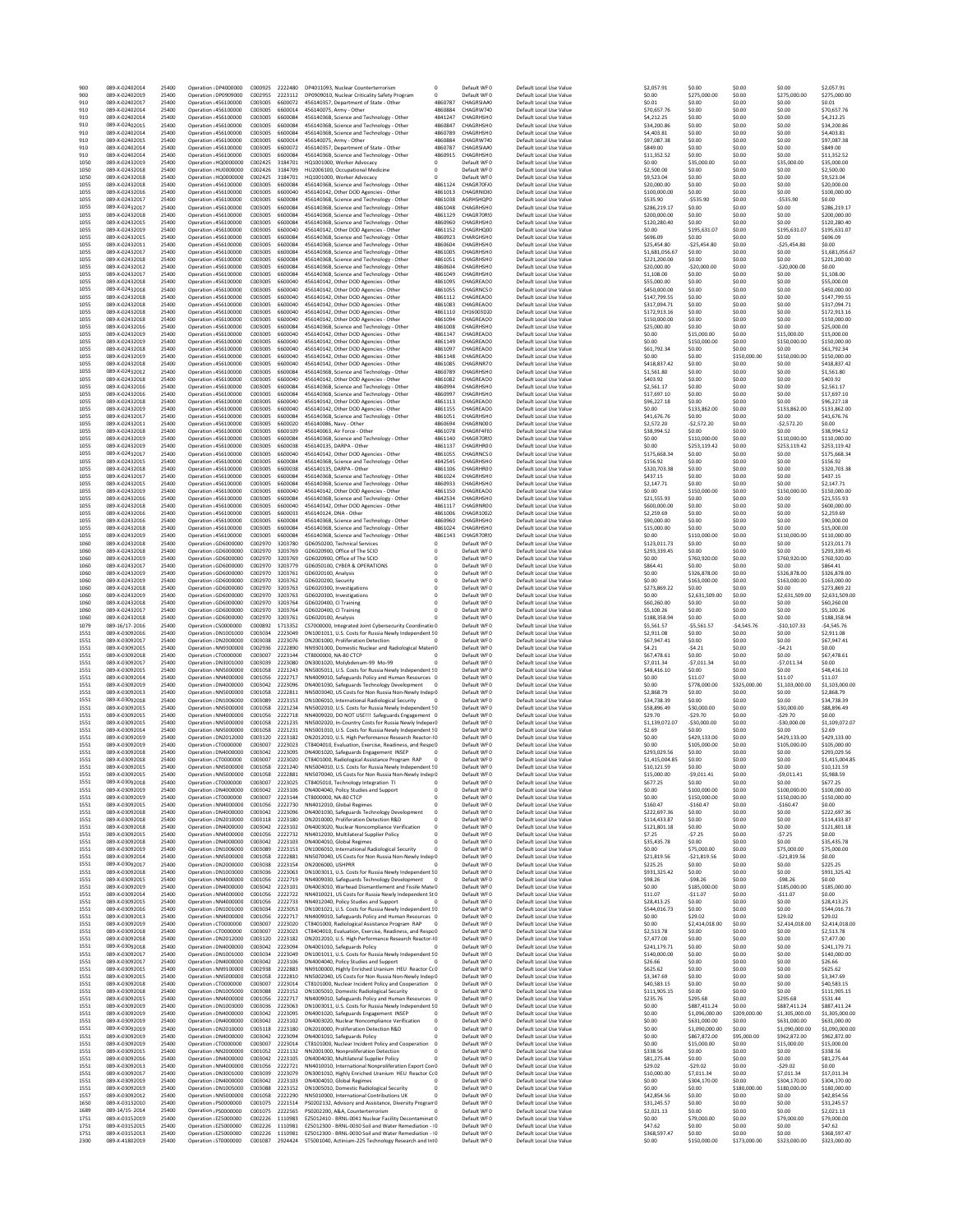| 900<br>900   | 089-X-02402014<br>089-X-02402019 | 25400<br>25400 | Oneration: DP4000000<br>Operation ¿DP0909000   | C000925<br>C002955 | 2222480<br>2223112 | DP4011093, Nuclear Counterterrorism                                                                              | $^{\circ}$<br>$^{\circ}$  | Default WF0<br>Default WFO           | Default Local Use Value<br>Default Local Use Value | \$2,057.91<br>\$0.00           | \$0.00<br>\$275,000.00         | \$0.00<br>\$0.00                 | \$0.00<br>\$275,000.00         | \$2,057.91<br>\$275,000.00     |
|--------------|----------------------------------|----------------|------------------------------------------------|--------------------|--------------------|------------------------------------------------------------------------------------------------------------------|---------------------------|--------------------------------------|----------------------------------------------------|--------------------------------|--------------------------------|----------------------------------|--------------------------------|--------------------------------|
| 910          | 089-X-02402017                   | 25400          | Operation : 456100000                          | C003005            | 6600072            | DP0909010, Nuclear Criticality Safety Program<br>456140357, Department of State - Other                          | 4860787                   | CHAGRSIAA0                           | Default Local Use Value                            | \$0.01                         | \$0.00                         | \$0.00                           | \$0.00                         | \$0.01                         |
| 910          | 089-X-02402014                   | 25400          | Operation : 456100000                          | C003005            | 6600014            | 456140075, Army - Other                                                                                          | 4860884                   | CHAGRW740                            | Default Local Use Value                            | \$70,657.76                    | \$0.00                         | \$0.00                           | \$0.00                         | \$70,657.76                    |
| 910<br>910   | 089-X-02402014<br>089-X-02402015 | 25400<br>25400 | Operation : 456100000<br>Operation : 456100000 | C003005<br>C003005 | 6600084<br>6600084 | 45614036B, Science and Technology - Other<br>45614036B, Science and Technology - Other                           | 4841247<br>4860847        | CHAGRHSH0<br>CHAGRHSH0               | Default Local Use Value<br>Default Local Use Value | \$4,212.25<br>\$34,200.86      | \$0.00<br>\$0.00               | \$0.00<br>\$0.00                 | \$0.00<br>\$0.00               | \$4,212.25<br>\$34,200.86      |
| 910          | 089-X-02402014                   | 25400          | Operation : 456100000                          | C003005            | 6600084            | 45614036B, Science and Technology - Other                                                                        | 4860789                   | <b>CHAGRHSHO</b>                     | Default Local Use Value                            | \$4,403.81                     | \$0.00                         | \$0.00                           | \$0.00                         | \$4,403.81                     |
| 910          | 089-X-02402015                   | 25400          | Operation : 456100000                          | C003005            | 6600014            | 456140075, Army - Other                                                                                          | 4860884                   | CHAGRW740                            | Default Local Use Value                            | \$97,087.38                    | \$0.00                         | \$0.00                           | \$0.00                         | \$97,087.38                    |
| 910<br>910   | 089-X-02402014<br>089-X-02402014 | 25400<br>25400 | Operation : 456100000<br>Operation : 456100000 | C003005<br>C003005 | 6600072<br>6600084 | 456140357, Department of State - Other<br>45614036B, Science and Technology - Other                              | 4860787<br>4860915        | CHAGRSIA40<br>CHAGRHSH0              | Default Local Use Value<br>Default Local Use Value | \$849.00<br>\$11,352.52        | \$0.00<br>\$0.00               | \$0.00<br>\$0.00                 | \$0.00<br>\$0.00               | \$849.00<br>\$11,352.52        |
| 1050         | 089-X-02432019                   | 25400          | Operation ¿HQ0000000                           | C002425            | 3184701            | HQ1001000, Worker Advocacy                                                                                       | 0                         | Default WF0                          | Default Local Use Value                            | \$0.00                         | \$35,000.00                    | \$0.00                           | \$35,000.00                    | \$35,000.00                    |
| 1050<br>1050 | 089-X-02432018<br>089-X-02432018 | 25400<br>25400 | Operation : HU0000000<br>Operation ¿HQ0000000  | C002426<br>C002425 | 3184709<br>3184701 | HU2006100, Occupational Medicine<br>HQ1001000, Worker Advocacy                                                   | $^{\circ}$<br>$^{\circ}$  | Default WFO<br>Default WF0           | Default Local Use Value<br>Default Local Use Value | \$2,500.00<br>\$9,523.04       | \$0.00<br>\$0.00               | \$0.00<br>\$0.00                 | \$0.00<br>\$0.00               | \$2,500.00<br>\$9,523.04       |
| 1055         | 089-X-02432018                   | 25400          | Operation : 456100000                          | C003005            | 6600084            | 45614036B, Science and Technology - Other                                                                        | 4861124                   | CHAGR70F/0                           | Default Local Use Value                            | \$20,000.00                    | \$0.00                         | \$0.00                           | \$0.00                         | \$20,000.00                    |
| 1055         | 089-X-02432016                   | 25400          | Operation : 456100000                          | C003005            | 6600040<br>6600084 | 456140142, Other DOD Agencies - Other                                                                            | 4861013                   | CHAGRNIDIO                           | Default Local Use Value                            | \$100,000.00                   | \$0.00                         | \$0.00<br>\$0.00                 | \$0.00                         | \$100,000.00                   |
| 1055<br>1055 | 089-X-02432017<br>089-X-02432017 | 25400<br>25400 | Operation : 456100000<br>Operation : 456100000 | C003005<br>C003005 | 6600084            | 45614036B, Science and Technology - Other<br>45614036B, Science and Technology - Other                           | 4861038<br>4861048        | <b>AGRHSHQP0</b><br><b>CHAGRHSHO</b> | Default Local Use Value<br>Default Local Use Value | \$535.90<br>\$286,219.17       | $-$535.90$<br>\$0.00           | \$0.00                           | $-5535.90$<br>\$0.00           | \$0.00<br>\$286.219.17         |
| 1055         | 089-X-02432018                   | 25400          | Operation : 456100000                          | C003005            | 6600084            | 45614036B, Science and Technology - Other                                                                        | 4861129                   | CHAGR70R:0                           | Default Local Use Value                            | \$200,000.00                   | \$0.00                         | \$0.00                           | \$0.00                         | \$200,000.00                   |
| 1055<br>1055 | 089-X-02432015<br>089-X-02432019 | 25400<br>25400 | Operation : 456100000<br>Operation : 456100000 | C003005<br>C003005 | 6600084<br>6600040 | 45614036B, Science and Technology - Other<br>456140142, Other DOD Agencies - Other                               | 4860960<br>4861152        | CHAGRHSH0<br>CHAGRHQCO               | Default Local Use Value<br>Default Local Use Value | \$120,280.40<br>\$0.00         | \$0.00<br>\$195,631.07         | \$0.00<br>\$0.00                 | \$0.00<br>\$195,631.07         | \$120,280.40<br>\$195,631.07   |
| 1055         | 089-X-02432015                   | 25400          | Operation : 456100000                          | C003005            | 6600084            | 45614036B, Science and Technology - Other                                                                        | 4860923                   | CHARGHSH0                            | Default Local Use Value                            | \$696.09                       | \$0.00                         | \$0.00                           | \$0.00                         | \$696.09                       |
| 1055         | 089-X-02432011                   | 25400          | Operation : 456100000                          | C003005            | 6600084            | 45614036B, Science and Technology - Other                                                                        | 4860604                   | <b>CHAGRHSHO</b>                     | Default Local Use Value                            | \$25,454.80                    | $-525.454.80$                  | \$0.00                           | $-525.454.80$                  | \$0.00                         |
| 1055<br>1055 | 089-X-02432017<br>089-X-02432018 | 25400<br>25400 | Operation : 456100000<br>Operation : 456100000 | C003005<br>C003005 | 6600084<br>6600084 | 45614036B, Science and Technology - Other<br>45614036B, Science and Technology - Other                           | 4861005<br>4861051        | CHAGRHSHO<br>CHAGRHSH0               | Default Local Use Value<br>Default Local Use Value | \$1,681,056.67<br>\$221,200.00 | \$0.00<br>\$0.00               | \$0.00<br>\$0.00                 | \$0.00<br>\$0.00               | \$1,681,056.67<br>\$221,200.00 |
| 1055         | 089-X-02432012                   | 25400          | Operation : 456100000                          | C003005            | 6600084            | 45614036B, Science and Technology - Other                                                                        | 4860604                   | CHAGRHSH0                            | Default Local Use Value                            | \$20,000.00                    | $-520,000.00$                  | \$0.00                           | $-520,000.00$                  | \$0.00                         |
| 1055<br>1055 | 089-X-02432017<br>089-X-02432018 | 25400<br>25400 | Operation : 456100000<br>Operation : 456100000 | C003005<br>C003005 | 6600084<br>6600040 | 45614036B. Science and Technology - Other<br>456140142, Other DOD Agencies - Other                               | 4861049<br>4861095        | CHAGRHSH0<br>CHAGREAO0               | Default Local Use Value<br>Default Local Use Value | \$1,108.00<br>\$55,000.00      | \$0.00<br>\$0.00               | \$0.00<br>\$0.00                 | \$0.00<br>\$0.00               | \$1,108.00<br>\$55,000.00      |
| 1055         | 089-X-02432018                   | 25400          | Operation : 456100000                          | C003005            | 6600040            | 456140142, Other DOD Agencies - Other                                                                            | 4861055                   | CHAGRNCS 0                           | Default Local Use Value                            | \$450,000.00                   | \$0.00                         | \$0.00                           | \$0.00                         | \$450,000.00                   |
| 1055         | 089-X-02432018                   | 25400          | Operation : 456100000                          | C003005            | 6600040            | 456140142, Other DOD Agencies - Other                                                                            | 4861112                   | CHAGREAO0                            | Default Local Use Value                            | \$147,799.55                   | \$0.00                         | \$0.00                           | \$0.00                         | \$147,799.55                   |
| 1055<br>1055 | 089-X-02432018<br>089-X-02432018 | 25400<br>25400 | Operation : 456100000<br>Operation : 456100000 | C003005<br>C003005 | 6600040<br>6600040 | 456140142, Other DOD Agencies - Other<br>456140142, Other DOD Agencies - Other                                   | 4861083<br>4861110        | CHAGREAO0<br>CH16003D10              | Default Local Use Value<br>Default Local Use Value | \$317,094.71<br>\$172,913.16   | \$0.00<br>\$0.00               | \$0.00<br>\$0.00                 | \$0.00<br>\$0.00               | \$317,094.71<br>\$172,913.16   |
| 1055         | 089-X-02432018                   | 25400          | Operation : 456100000                          | C003005            | 6600040            | 456140142, Other DOD Agencies - Other                                                                            | 4861094                   | CHAGREAO0                            | Default Local Use Value                            | \$150,000.00                   | \$0.00                         | \$0.00                           | \$0.00                         | \$150,000.00                   |
| 1055         | 089-X-02432016                   | 25400          | Operation : 456100000                          | C003005            | 6600084            | 45614036B, Science and Technology - Other                                                                        | 4861008                   | CHAGRHSH <sub>0</sub>                | Default Local Use Value                            | \$25,000.00                    | \$0.00                         | \$0.00                           | \$0.00                         | \$25,000.00                    |
| 1055<br>1055 | 089-X-02432019<br>089-X-02432019 | 25400<br>25400 | Operation : 456100000<br>Operation : 456100000 | C003005<br>C003005 | 6600040<br>6600040 | 456140142, Other DOD Agencies - Other<br>456140142, Other DOD Agencies - Other                                   | 4861147<br>4861149        | CHAGREAO0<br>CHAGREAO0               | Default Local Use Value<br>Default Local Use Value | \$0.00<br>\$0.00               | \$15,000.00<br>\$150,000.00    | \$0.00<br>\$0.00                 | \$15,000.00<br>\$150,000.00    | \$15,000.00<br>\$150,000.00    |
| 1055         | 089-X-02432018                   | 25400          | Operation : 456100000                          | C003005            | 6600040            | 456140142, Other DOD Agencies - Other                                                                            | 4861097                   | CHAGREAO0                            | Default Local Use Value                            | \$61,792.34                    | \$0.00                         | \$0.00                           | \$0.00                         | \$61,792.34                    |
| 1055         | 089-X-02432019                   | 25400          | Operation : 456100000                          | C003005<br>C003005 | 6600040<br>6600040 | 456140142, Other DOD Agencies - Other                                                                            | 4861148<br>4861085        | CHAGREAO0<br>CHAGRNR70               | Default Local Use Value                            | \$0.00                         | \$0.00                         | \$150,000.00                     | \$150,000.00                   | \$150,000.00                   |
| 1055<br>1055 | 089-X-02432018<br>089-X-02432012 | 25400<br>25400 | Operation : 456100000<br>Operation : 456100000 | C003005            | 6600084            | 456140142, Other DOD Agencies - Other<br>45614036B, Science and Technology - Other                               | 4860789                   | CHAGRHSH0                            | Default Local Use Value<br>Default Local Use Value | \$418,837.42<br>\$1,561.80     | \$0.00<br>\$0.00               | \$0.00<br>\$0.00                 | \$0.00<br>\$0.00               | \$418,837.42<br>\$1,561.80     |
| 1055         | 089-X-02432018                   | 25400          | Operation : 456100000                          | C003005            | 6600040            | 456140142, Other DOD Agencies - Other                                                                            | 4861082                   | CHAGREAO0                            | Default Local Use Value                            | \$403.92                       | \$0.00                         | \$0.00                           | \$0.00                         | \$403.92                       |
| 1055<br>1055 | 089-X-02432016<br>089-X-02432016 | 25400<br>25400 | Operation : 456100000<br>Operation : 456100000 | C003005<br>C003005 | 6600084<br>6600084 | 45614036B, Science and Technology - Other<br>45614036B, Science and Technology - Other                           | 4860994<br>4860997        | CHAGRHSH0<br><b>CHAGRHSHO</b>        | Default Local Use Value<br>Default Local Use Value | \$2,561.17<br>\$17,697.10      | \$0.00<br>\$0.00               | \$0.00<br>\$0.00                 | \$0.00<br>\$0.00               | \$2,561.17<br>\$17,697.10      |
| 1055         | 089-X-02432018                   | 25400          | Operation : 456100000                          | C003005            | 6600040            | 456140142, Other DOD Agencies - Other                                                                            | 4861113                   | CHAGREAO0                            | Default Local Use Value                            | \$96,227.18                    | \$0.00                         | \$0.00                           | \$0.00                         | \$96,227.18                    |
| 1055         | 089-X-02432019                   | 25400          | Operation : 456100000                          | C003005            | 6600040            | 456140142, Other DOD Agencies - Other                                                                            | 4861155                   | CHAGREAO0                            | Default Local Use Value                            | \$0.00                         | \$133,862.00                   | \$0.00                           | \$133,862.00                   | \$133,862.00                   |
| 1055<br>1055 | 089-X-02432017<br>089-X-02432011 | 25400<br>25400 | Operation : 456100000<br>Operation : 456100000 | C003005<br>C003005 | 6600084<br>6600020 | 45614036B, Science and Technology - Other<br>456140086, Navy - Other                                             | 4861051<br>4860694        | CHAGRHSH0<br>CHAGRN000               | Default Local Use Value<br>Default Local Use Value | \$41,676.76<br>\$2,572.20      | \$0.00<br>$-52,572.20$         | \$0.00<br>\$0.00                 | \$0.00<br>$-52,572.20$         | \$41,676.76<br>\$0.00          |
| 1055         | 089-X-02432018                   | 25400          | Operation : 456100000                          | C003005            | 6600109            | 456140063, Air Force - Other                                                                                     | 4861078                   | CHAGRF4F10                           | Default Local Use Value                            | \$38.994.52                    | \$0.00                         | \$0.00                           | \$0.00                         | \$38,994.52                    |
| 1055         | 089-X-02432019                   | 25400          | Operation : 456100000                          | C003005            | 6600084            | 45614036B, Science and Technology - Other                                                                        | 4861140                   | CHAGR70R:0                           | Default Local Use Value                            | \$0.00                         | \$110,000.00                   | \$0.00                           | \$110,000.00                   | \$110,000.00                   |
| 1055<br>1055 | 089-X-02432019<br>089-X-02432017 | 25400<br>25400 | Operation : 456100000<br>Operation : 456100000 | C003005<br>C003005 | 6600038<br>6600040 | 456140135, DARPA - Other<br>456140142, Other DOD Agencies - Other                                                | 4861137<br>4861055        | CHAGRHR00<br>CHAGRNCS 0              | Default Local Use Value<br>Default Local Use Value | \$0.00<br>\$175,668.34         | \$253,119.42<br>\$0.00         | \$0.00<br>\$0.00                 | \$253,119.42<br>\$0.00         | \$253,119.42<br>\$175,668.34   |
| 1055         | 089-X-02432015                   | 25400          | Operation : 456100000                          | C003005            | 6600084            | 45614036B, Science and Technology - Other                                                                        | 4842545                   | CHAGRHSH0                            | Default Local Use Value                            | \$156.92                       | \$0.00                         | \$0.00                           | \$0.00                         | \$156.92                       |
| 1055         | 089-X-02432018                   | 25400          | Operation : 456100000                          | C003005            | 6600038            | 456140135, DARPA - Other                                                                                         | 4861106                   | CHAGRHR00                            | Default Local Use Value                            | \$320,703.38                   | \$0.00                         | \$0.00                           | \$0.00                         | \$320,703.38                   |
| 1055<br>1055 | 089-X-02432017<br>089-X-02432015 | 25400<br>25400 | Operation : 456100000<br>Operation : 456100000 | C003005<br>C003005 | 6600084<br>6600084 | 45614036B, Science and Technology - Other<br>45614036B, Science and Technology - Other                           | 4861024<br>4860933        | CHAGRHSHO<br>CHAGRHSH0               | Default Local Use Value<br>Default Local Use Value | \$437.15<br>\$2,147.71         | \$0.00<br>\$0.00               | \$0.00<br>\$0.00                 | \$0.00<br>\$0.00               | \$437.15<br>\$2,147.71         |
| 1055         | 089-X-02432019                   | 25400          | Operation : 456100000                          | C003005            | 6600040            | 456140142, Other DOD Agencies - Other                                                                            | 4861150                   | CHAGREAO0                            | Default Local Use Value                            | \$0.00                         | \$150,000.00                   | \$0.00                           | \$150,000.00                   | \$150,000.00                   |
| 1055         | 089-X-02432016                   | 25400          | Operation : 456100000                          | C003005            | 6600084            | 45614036B, Science and Technology - Other                                                                        | 4842534                   | CHAGRHSH0                            | Default Local Use Value                            | \$21,555.93                    | \$0.00                         | \$0.00                           | \$0.00                         | \$21,555.93                    |
| 1055<br>1055 | 089-X-02432018<br>089-X-02432016 | 25400<br>25400 | Operation : 456100000<br>Operation : 456100000 | C003005<br>C003005 | 6600040<br>6600033 | 456140142, Other DOD Agencies - Other<br>456140124, DNA - Other                                                  | 4861117<br>4861006        | CHAGRNR00<br>CHAGR100.0              | Default Local Use Value<br>Default Local Use Value | \$600,000.00<br>\$2,259.69     | \$0.00<br>\$0.00               | \$0.00<br>\$0.00                 | \$0.00<br>\$0.00               | \$600,000.00<br>\$2,259.69     |
| 1055         | 089-X-02432016                   | 25400          | Operation : 456100000                          | C003005            | 6600084            | 45614036B, Science and Technology - Other                                                                        | 4860960                   | CHAGRHSH0                            | Default Local Use Value                            | \$90,000.00                    | \$0.00                         | \$0.00                           | \$0.00                         | \$90,000.00                    |
| 1055         | 089-X-02432018                   | 25400          | Operation : 456100000                          | C003005            | 6600084            | 45614036B, Science and Technology - Other                                                                        | 4861024                   | CHAGRHSH0                            | Default Local Use Value                            | \$15,000.00                    | \$0.00                         | \$0.00                           | \$0.00                         | \$15,000.00                    |
| 1055<br>1060 | 089-X-02432019<br>089-X-02432018 | 25400<br>25400 | Operation : 456100000<br>Operation ¿GD6000000  | C003005<br>C002970 | 6600084<br>3203780 | 45614036B, Science and Technology - Other<br>GD6050200. Technical Services                                       | 4861143<br>$^{\circ}$     | CHAGR70R:0<br>Default WFO            | Default Local Use Value<br>Default Local Use Value | \$0.00<br>\$123,011.73         | \$110,000.00<br>\$0.00         | \$0.00<br>\$0.00                 | \$110,000.00<br>\$0.00         | \$110,000.00<br>\$123.011.73   |
| 1060         | 089-X-02432018                   | 25400          | Operation ¿GD6000000                           | C002970            | 3203769            | GD6020900, Office of The SCIO                                                                                    | $^{\circ}$                | Default WF0                          | Default Local Use Value                            | \$293,339.45                   | \$0.00                         | \$0.00                           | \$0.00                         | \$293,339.45                   |
| 1060<br>1060 | 089-X-02432019<br>089-X-02432017 | 25400<br>25400 | Operation ¿GD6000000<br>Operation ¿GD6000000   | C002970<br>C002970 | 3203769<br>3203779 | GD6020900, Office of The SCIO<br>GD6050100, CYBER & OPERATIONS                                                   | 0<br>$\mathbf{0}$         | Default WF0<br>Default WF0           | Default Local Use Value<br>Default Local Use Value | \$0.00<br>\$864.41             | \$760,920.00<br>\$0.00         | \$0.00<br>\$0.00                 | \$760,920.00<br>\$0.00         | \$760,920.00<br>\$864.41       |
| 1060         | 089-X-02432019                   | 25400          | Operation ¿GD6000000                           | C002970            | 3203761            | GD6020100, Analysis                                                                                              | $^{\circ}$                | Default WF0                          | Default Local Use Value                            | \$0.00                         | \$326,878.00                   | \$0.00                           | \$326,878.00                   | \$326,878.00                   |
| 1060         | 089-X-02432019                   | 25400          | Operation : GD6000000                          | C002970            | 3203762            | GD6020200, Security                                                                                              | $^{\circ}$                | Default WFO                          | Default Local Use Value                            | \$0.00                         | \$163,000.00                   | \$0.00                           | \$163,000.00                   | \$163,000.00                   |
| 1060<br>1060 | 089-X-02432018<br>089-X-02432019 | 25400<br>25400 | Operation ¿GD6000000<br>Operation ¿GD6000000   | C002970<br>C002970 | 3203763<br>3203763 | GD6020300, Investigations<br>GD6020300, Investigations                                                           | $^{\circ}$                | Default WF0<br>Default WF0           | Default Local Use Value                            | \$273,869.22<br>\$0.00         | \$0.00<br>\$2,631,509.00       | \$0.00<br>\$0.00                 | \$0.00<br>\$2,631,509.00       | \$273,869.22<br>\$2,631,509.00 |
| 1060         |                                  |                |                                                |                    |                    |                                                                                                                  |                           |                                      |                                                    |                                |                                |                                  |                                |                                |
|              | 089-X-02432018                   | 25400          | Operation ¿GD6000000                           | C002970            | 3203764            | GD6020400, CI Training                                                                                           |                           | Default WF0                          | Default Local Use Value<br>Default Local Use Value | \$60,260.00                    | \$0.00                         | \$0.00                           | \$0.00                         | \$60,260.00                    |
| 1060         | 089-X-02432017                   | 25400          | Operation ¿GD6000000                           | C002970            | 3203764            | GD6020400, CI Training                                                                                           | 0                         | Default WF0                          | Default Local Use Value                            | \$5,100.26                     | \$0.00                         | \$0.00                           | \$0.00                         | \$5,100.26                     |
| 1060         | 089-X-02432018                   | 25400          | Operation : GD6000000                          | C002970            | 3203761            | GD6020100, Analysis                                                                                              | $\Omega$                  | Default WFO                          | Default Local Use Value                            | \$188,358.94                   | \$0.00                         | \$0.00                           | \$0.00                         | \$188,358.94                   |
| 1079<br>1551 | 089-16/17-2016<br>089-X-03092016 | 25400<br>25400 | Operation ¿CS0000000<br>Operation ¿DN1001000   | C000892<br>C003034 | 1713352<br>2223049 | CS7000000, Integrated Joint Cybersecurity Coordinatio 0<br>DN1001011, U.S. Costs for Russia Newly Independent S0 |                           | Default WF0<br>Default WF0           | Default Local Use Value<br>Default Local Use Value | \$5,561.57<br>\$2,911.08       | $-55,561.57$<br>\$0.00         | $-54,545.76$<br>\$0.00           | $-$10,107.33$<br>\$0.00        | $-54,545.76$<br>\$2,911.08     |
| 1551         | 089-X-03092017                   | 25400          | Operation ¿DN2000000                           | C003038            | 2223076            | DN2001000, Proliferation Detection                                                                               | $\circ$                   | Default WF0                          | Default Local Use Value                            | \$67,947.41                    | \$0.00                         | \$0.00                           | \$0.00                         | \$67,947.41                    |
| 1551         | 089-X-03092015                   | 25400          | Operation : NN9300000                          | C002936            | 2222890            | NN9301000, Domestic Nuclear and Radiological MateriO                                                             |                           | Default WF0                          | Default Local Use Value                            | \$4.21                         | $-54.21$                       | \$0.00                           | $-54.21$                       | \$0.00                         |
| 1551<br>1551 | 089-X-03092018<br>089-X-03092017 | 25400<br>25400 | Operation ¿CT0000000<br>Operation ¿DN3001000   | C003007<br>C003039 | 2223144<br>2223080 | CT8000000, NA-80 CTCP                                                                                            | $\circ$<br>$\Omega$       | Default WFO<br>Default WF0           | Default Local Use Value<br>Default Local Use Value | \$67,478.61<br>\$7,011.34      | \$0.00                         | \$0.00<br>\$0.00                 | \$0.00<br>$-57,011.34$         | \$67,478.61<br>\$0.00          |
| 1551         | 089-X-03092015                   | 25400          | Operation :NN5000000                           | C001058            | 2221243            | DN3001020, Molybdenum-99 Mo-99<br>NN5005011, U.S. Costs for Russia Newly Independent S0                          |                           | Default WF0                          | Default Local Use Value                            | \$48,416.10                    | $-57,011.34$<br>\$0.00         | \$0.00                           | \$0.00                         | \$48,416.10                    |
| 1551         | 089-X-03092014                   | 25400          | Operation : NN4000000                          | C001056            | 2222717            | NN4009010, Safeguards Policy and Human Resources 0                                                               |                           | Default WF0                          | Default Local Use Value                            | \$0.00                         | \$11.07                        | \$0.00                           | \$11.07                        | \$11.07                        |
| 1551<br>1551 | 089-X-03092019<br>089-X-03092013 | 25400<br>25400 | Operation ¿DN4000000<br>Oneration : NN5000000  | C003042<br>C001058 | 2223096<br>2222811 | DN4001030, Safeguards Technology Development 0<br>NN5003040, US Costs for Non Russia Non-Newly Indep 0           |                           | Default WF0<br>Default WFO           | Default Local Use Value<br>Default Local Use Value | \$0.00<br>\$2,868.79           | \$778,000.00<br>\$0.00         | \$325,000.00<br>\$0.00           | \$1,103,000.00<br>\$0.00       | \$1,103,000.00<br>\$2,868.79   |
| 1551         | 089-X-03092018                   | 25400          | Operation ¿DN1006000                           | C003089            | 2223153            | DN1006010, International Radiological Security                                                                   | $\Omega$                  | Default WF0                          | Default Local Use Value                            | \$34,738.39                    | \$0.00                         | \$0.00                           | \$0.00                         | \$34,738.39                    |
| 1551         | 089-X-03092015                   | 25400          | Operation :NN5000000<br>Operation :NN4000000   | C001058            | 2221234            | NN5002010, U.S. Costs for Russia Newly Independent S0                                                            |                           | Default WF0                          | Default Local Use Value<br>Default Local Use Value | \$58,896.49                    | \$30,000.00                    | \$0.00                           | \$30,000.00                    | \$88,896.49                    |
| 1551<br>1551 | 089-X-03092015<br>089-X-03092015 | 25400<br>25400 | Operation ¿NN5000000                           | C001056<br>C001058 | 2222718<br>2221235 | NN4009020, DO NOT USE !!! Safeguards Engagement 0<br>NN5002020, In-Country Costs for Russia Newly Indeper0       |                           | Default WF0<br>Default WF0           | Default Local Use Value                            | \$29.70<br>\$1.139.072.07      | $-529.70$<br>$-530,000.00$     | \$0.00<br>\$0.00                 | $-529.70$<br>$-530,000.00$     | \$0.00<br>\$1,109,072.07       |
| 1551         | 089-X-03092014                   | 25400          | Oneration : NN5000000                          | C001058            | 2221231            | NN5001010, U.S. Costs for Russia Newly Independent S0                                                            |                           | Default WFO                          | Default Local Use Value                            | \$2.69                         | \$0.00                         | \$0.00                           | \$0.00                         | \$2.69                         |
| 1551<br>1551 | 089-X-03092019<br>089-X-03092019 | 25400<br>25400 | Operation ¿DN2012000<br>Operation ¿CT0000000   | C003120<br>C003007 | 2223182<br>2223023 | DN2012010, U.S. High Performance Research Reactor-LO<br>CT8404010, Evaluation, Exercise, Readiness, and Respo0   |                           | Default WF0<br>Default WF0           | Default Local Use Value<br>Default Local Use Value | \$0.00<br>\$0.00               | \$429,133.00<br>\$105,000.00   | \$0.00<br>\$0.00                 | \$429,133.00<br>\$105,000.00   | \$429,133.00<br>\$105,000.00   |
| 1551         | 089-X-03092018                   | 25400          | Operation ¿DN4000000                           | C003042            | 2223095            | DN4001020, Safeguards Engagement INSEP                                                                           |                           | Default WF0                          | Default Local Use Value                            | \$293,029.56                   | \$0.00                         | \$0.00                           | \$0.00                         | \$293,029.56                   |
| 1551         | 089-X-03092018<br>089-X-03092015 | 25400          | Operation ¿CT0000000<br>Oneration: NN5000000   | C003007            | 2223020            | CT8401000, Radiological Assistance Program RAP                                                                   | $^{\circ}$                | Default WF0                          | Default Local Use Value                            | \$1,415,004.85                 | \$0.00                         | \$0.00                           | \$0.00                         | \$1,415,004.85                 |
| 1551<br>1551 | 089-X-03092015                   | 25400<br>25400 | Operation :NN5000000                           | C001058<br>C001058 | 2221240<br>2222881 | NN5004010, U.S. Costs for Russia Newly Independent S0<br>NN5070040, US Costs for Non Russia Non-Newly Indep 0    |                           | Default WFO<br>Default WF0           | Default Local Use Value<br>Default Local Use Value | \$10.121.59<br>\$15,000.00     | \$0.00<br>$-$9,011.41$         | \$0.00<br>\$0.00                 | \$0.00<br>$-59,011.41$         | \$10.121.59<br>\$5,988.59      |
| 1551         | 089-X-03092018                   | 25400          | Operation ¿CT0000000                           | C003007            | 2223025            | CT8405010, Technology Integration TI                                                                             |                           | Default WF0                          | Default Local Use Value                            | \$677.25                       | \$0.00                         | \$0.00                           | \$0.00                         | \$677.25                       |
| 1551<br>1551 | 089-X-03092019<br>089-X-03092019 | 25400<br>25400 | Operation ¿DN4000000<br>Operation ¿CT0000000   | C003042<br>C003007 | 2223106            | DN4004040, Policy Studies and Support<br>CT8000000, NA-80 CTCP                                                   | $\pmb{0}$<br>$^{\circ}$   | Default WF0<br>Default WF0           | Default Local Use Value<br>Default Local Use Value | \$0.00<br>\$0.00               | \$100,000.00<br>\$150,000.00   | \$0.00<br>\$0.00                 | \$100,000.00<br>\$150,000.00   | \$100,000.00<br>\$150,000.00   |
| 1551         | 089-X-03092015                   | 25400          | Oneration: NN4000000                           | C001056            | 2223144<br>2222730 | NN4012010, Global Regimes                                                                                        | $\Omega$                  | Default WFO                          | Default Local Use Value                            | \$160.47                       | $-5160.47$                     | \$0.00                           | $-5160.47$                     | \$0.00                         |
| 1551         | 089-X-03092018                   | 25400          | Operation ¿DN4000000                           | C003042            | 2223096            | DN4001030, Safeguards Technology Development                                                                     | $\mathbf 0$               | Default WF0                          | Default Local Use Value                            | \$222,697.36                   | \$0.00                         | \$0.00                           | \$0.00                         | \$222,697.36                   |
| 1551<br>1551 | 089-X-03092018<br>089-X-03092018 | 25400<br>25400 | Operation ¿DN2010000<br>Operation ¿DN4000000   | C003118<br>C003042 | 2223180<br>2223102 | DN2010000, Proliferation Detection R&D<br>DN4003020, Nuclear Noncompliance Verification                          | $\bf 0$                   | Default WF0<br>Default WF0           | Default Local Use Value<br>Default Local Use Value | \$114,433.87<br>\$121.801.18   | \$0.00<br>\$0.00               | \$0.00<br>\$0.00                 | \$0.00<br>\$0.00               | \$114,433.87<br>\$121,801.18   |
| 1551         | 089-X-03092015                   | 25400          | Operation : NN4000000                          | C001056            | 2222732            | NN4012030, Multilateral Supplier Policy                                                                          | $^{\circ}$                | Default WF0                          | Default Local Use Value                            | \$7.25                         | $-57.25$                       | \$0.00                           | $-57.25$                       | \$0.00                         |
| 1551<br>1551 | 089-X-03092018<br>089-X-03092019 | 25400<br>25400 | Oneration : DN4000000<br>Operation ¿DN1006000  | C003042<br>C003089 | 2223103<br>2223153 | DN4004010, Global Regimes<br>DN1006010, International Radiological Security                                      | $^{\circ}$<br>$\Omega$    | Default WFO<br>Default WF0           | Default Local Use Value<br>Default Local Use Value | \$35,435.78<br>\$0.00          | \$0.00                         | \$0.00<br>\$0.00                 | \$0.00<br>\$75,000.00          | \$35,435.78<br>\$75,000.00     |
| 1551         | 089-X-03092014                   | 25400          | Operation :NN5000000                           | C001058            | 2222881            | NN5070040, US Costs for Non Russia Non-Newly Indep 0                                                             |                           | Default WF0                          | Default Local Use Value                            | \$21,819.56                    | \$75,000.00<br>$-521,819.56$   | \$0.00                           | $-521,819.56$                  | \$0.00                         |
| 1551         | 089-X-03092017<br>089-X-03092018 | 25400          | Operation ¿DN2000000                           | C003038            | 2223154            | DN2006000, USHPRR                                                                                                |                           | Default WF0                          | Default Local Use Value                            | \$225.25                       | \$0.00                         | \$0.00                           | \$0.00                         | \$225.25                       |
| 1551<br>1551 | 089-X-03092015                   | 25400<br>25400 | Operation ¿DN1003000<br>Oneration :NN4000000   | C003036<br>C001056 | 2223063<br>2222719 | DN1003011, U.S. Costs for Russia Newly Independent S0<br>NN4009030, Safeguards Technology Development 0          |                           | Default WF0<br>Default WFO           | Default Local Use Value<br>Default Local Use Value | \$931,325.42<br>\$98.26        | \$0.00<br>$-598.26$            | \$0.00<br>\$0.00                 | \$0.00<br>$-598.26$            | \$931,325.42<br>\$0.00         |
| 1551         | 089-X-03092019                   | 25400          | Operation ¿DN4000000                           | C003042            | 2223101            | DN4003010, Warhead Dismantlement and Fissile MateO                                                               |                           | Default WF0                          | Default Local Use Value                            | \$0.00                         | \$185,000.00                   | \$0.00                           | \$185,000.00                   | \$185,000.00                   |
| 1551         | 089-X-03092014                   | 25400          | Operation :NN4000000<br>Operation :NN4000000   | C001056            | 2222722            | NN4010021, US Costs for Russia Newly Independent St 0                                                            |                           | Default WFO                          | Default Local Use Value<br>Default Local Use Value | \$11.07                        | $-511.07$                      | \$0.00                           | $-$11.07$                      | \$0.00                         |
| 1551<br>1551 | 089-X-03092015<br>089-X-03092016 | 25400<br>25400 | Operation ¿DN1001000                           | C001056<br>C003034 | 2222733<br>2223053 | NN4012040, Policy Studies and Support<br>DN1001021, U.S. Costs for Russia Newly Independent S0                   |                           | Default WF0<br>Default WF0           | Default Local Use Value                            | \$28,413.25<br>\$544,016.73    | \$0.00<br>\$0.00               | \$0.00<br>\$0.00                 | \$0.00<br>\$0.00               | \$28,413.25<br>\$544,016.73    |
| 1551         | 089-X-03092013                   | 25400          | Oneration :NN4000000                           | C001056            | 2222717            | NN4009010, Safeguards Policy and Human Resources 0                                                               |                           | Default WFO                          | Default Local Use Value                            | \$0.00                         | \$29.02                        | \$0.00                           | \$29.02                        | \$29.02                        |
| 1551<br>1551 | 089-X-03092019<br>089-X-03092018 | 25400<br>25400 | Operation ¿CT0000000<br>Operation ¿CT0000000   | C003007<br>C003007 | 2223020<br>2223023 | CT8401000, Radiological Assistance Program RAP 0<br>CT8404010, Evaluation, Exercise, Readiness, and Respo0       |                           | Default WF0<br>Default WF0           | Default Local Use Value<br>Default Local Use Value | \$0.00<br>\$2,513.78           | \$2,414,018.00<br>\$0.00       | \$0.00<br>\$0.00                 | \$2,414,018.00<br>\$0.00       | \$2,414,018.00<br>\$2,513.78   |
| 1551         | 089-X-03092018                   | 25400          | Operation ¿DN2012000                           | C003120            | 2223182            | DN2012010, U.S. High Performance Research Reactor-LO                                                             |                           | Default WFO                          | Default Local Use Value                            | \$7,477.00                     | \$0.00                         | \$0.00                           | \$0.00                         | \$7,477.00                     |
| 1551         | 089-X-03092018                   | 25400          | Operation ¿DN4000000<br>Oneration: DN1001000   | C003042            | 2223094            | DN4001010, Safeguards Policy                                                                                     | $^{\circ}$                | Default WF0                          | Default Local Use Value                            | \$241,179.71<br>\$140,000.00   | \$0.00                         | \$0.00                           | \$0.00                         | \$241,179.71                   |
| 1551<br>1551 | 089-X-03092017<br>089-X-03092017 | 25400<br>25400 | Operation ¿DN4000000                           | C003034<br>C003042 | 2223049<br>2223106 | DN1001011, U.S. Costs for Russia Newly Independent S0<br>DN4004040, Policy Studies and Support                   | $^{\circ}$                | Default WFO<br>Default WF0           | Default Local Use Value<br>Default Local Use Value | \$26.66                        | \$0.00<br>\$0.00               | \$0.00<br>\$0.00                 | \$0.00<br>\$0.00               | \$140,000.00<br>\$26.66        |
| 1551         | 089-X-03092015                   | 25400          | Operation :NN9100000                           | C002938            | 2222883            | NN9100000, Highly Enriched Uranium HEU Reactor CcO                                                               |                           | Default WFO                          | Default Local Use Value                            | \$625.62                       | \$0.00                         | \$0.00                           | \$0.00                         | \$625.62                       |
| 1551         | 089-X-03092015                   | 25400          | Operation : NN5000000                          | C001058            | 2222810            | NN5002040, US Costs for Non Russia Non-Newly Indep 0                                                             |                           | Default WF0                          | Default Local Use Value                            | \$3,347.69                     | \$0.00                         | \$0.00                           | \$0.00                         | \$3,347.69                     |
| 1551<br>1551 | 089-X-03092018<br>089-X-03092018 | 25400<br>25400 | Operation ¿CT0000000<br>Operation ¿DN1005000   | C003007<br>C003088 | 2223014<br>2223152 | CT8101000, Nuclear Incident Policy and Cooperation 0<br>DN1005010, Domestic Radiological Security                | $\Omega$                  | Default WF0<br>Default WFO           | Default Local Use Value<br>Default Local Use Value | \$40,583.15<br>\$111,905.15    | \$0.00<br>\$0.00               | \$0.00<br>\$0.00                 | \$0.00<br>\$0.00               | \$40,583.15<br>\$111.905.15    |
| 1551         | 089-X-03092015                   | 25400          | Operation : NN4000000                          | C001056            | 2222717            | NN4009010, Safeguards Policy and Human Resources 0                                                               |                           | Default WF0                          | Default Local Use Value                            | \$235.76                       | \$295.68                       | \$0.00                           | \$295.68                       | \$531.44                       |
| 1551         | 089-X-03092019                   | 25400          | Operation ¿DN1003000                           | C003036            | 2223063            | DN1003011, U.S. Costs for Russia Newly Independent S0                                                            |                           | Default WF0                          | Default Local Use Value                            | \$0.00                         | \$887,411.24                   | \$0.00                           | \$887,411.24                   | \$887,411.24                   |
| 1551<br>1551 | 089-X-03092019<br>089-X-03092019 | 25400<br>25400 | Operation ¿DN4000000<br>Operation ¿DN4000000   | C003042<br>C003042 | 2223095<br>2223102 | DN4001020, Safeguards Engagement INSEP<br>DN4003020, Nuclear Noncompliance Verification                          | $\bf 0$<br>$^{\circ}$     | Default WF0<br>Default WF0           | Default Local Use Value<br>Default Local Use Value | \$0.00<br>\$0.00               | \$1,096,000.00<br>\$631,000.00 | \$209,000.00<br>\$0.00           | \$1,305,000.00<br>\$631,000.00 | \$1,305,000.00<br>\$631,000.00 |
| 1551         | 089-X-03092019                   | 25400          | Operation ¿DN2010000                           | C003118            | 2223180            | DN2010000, Proliferation Detection R&D                                                                           | $^{\circ}$                | Default WFO                          | Default Local Use Value                            | \$0.00                         | \$1,090,000.00                 | \$0.00                           | \$1,090,000.00                 | \$1,090,000.00                 |
| 1551         | 089-X-03092019                   | 25400          | Operation ¿DN4000000                           | C003042            | 2223094            | DN4001010, Safeguards Policy                                                                                     | $\Omega$                  | Default WFO                          | Default Local Use Value                            | \$0.00                         | \$867,872.00                   | \$95,000.00                      | \$962,872.00                   | \$962,872.00                   |
| 1551<br>1551 | 089-X-03092019<br>089-X-03092015 | 25400<br>25400 | Operation ¿CT0000000<br>Operation : NN2000000  | C003007<br>C001052 | 2223014<br>2221132 | CT8101000, Nuclear Incident Policy and Cooperation<br>NN2001000, Nonproliferation Detection                      | $\overline{0}$<br>$\bf 0$ | Default WF0<br>Default WF0           | Default Local Use Value<br>Default Local Use Value | \$0.00<br>\$338.56             | \$15,000.00<br>\$0.00          | \$0.00<br>\$0.00                 | \$15,000.00<br>\$0.00          | \$15,000.00<br>\$338.56        |
| 1551         | 089-X-03092016                   | 25400          | Operation ¿DN4000000                           | C003042            | 2223105            | DN4004030, Multilateral Supplier Policy                                                                          | $^{\circ}$                | Default WF0                          | Default Local Use Value                            | \$81,275.44                    | \$0.00                         | \$0.00                           | \$0.00                         | \$81,275.44                    |
| 1551<br>1551 | 089-X-03092013<br>089-X-03092017 | 25400<br>25400 | Operation : NN4000000<br>Operation ¿DN3001000  | C001056<br>C003039 | 2222721<br>2223079 | NN4010010, International Nonproliferation Export Con0<br>DN3001010, Highly Enriched Uranium HEU Reactor CcO      |                           | Default WFO<br>Default WF0           | Default Local Use Value<br>Default Local Use Value | \$29.02<br>\$10,000.00         | $-529.02$                      | \$0.00<br>\$0.00                 | $-529.02$<br>\$7,011.34        | \$0.00<br>\$17,011.34          |
| 1551         | 089-X-03092019                   | 25400          | Operation ¿DN4000000                           | C003042            | 2223103            | DN4004010, Global Regimes                                                                                        | $\theta$                  | Default WF0                          | Default Local Use Value                            | \$0.00                         | \$7,011.34<br>\$304,170.00     | \$0.00                           | \$304,170.00                   | \$304,170.00                   |
| 1551         | 089-X-03092019                   | 25400          | Operation ¿DN1005000                           | C003088            | 2223152            | DN1005010, Domestic Radiological Security                                                                        | $\mathbf 0$               | Default WF0                          | Default Local Use Value                            | \$0.00                         | \$0.00                         | \$180,000.00                     | \$180,000.00                   | \$180,000.00                   |
| 1557<br>1650 | 089-X-03092012<br>089-X-03132010 | 25400<br>25400 | Operation : NN5000000<br>Operation : PS0000000 | C001058<br>C001075 | 2222290<br>2221514 | NN5010000, International Contributions UK<br>PS0202132, Advisory and Assistance, Diversity Program0              | $^{\circ}$                | Default WF0<br>Default WFO           | Default Local Use Value<br>Default Local Use Value | \$42,854.56<br>\$31.245.57     | \$0.00<br>\$0.00               | \$0.00<br>\$0.00                 | \$0.00<br>\$0.00               | \$42,854.56<br>\$31.245.57     |
| 1689         | 089-14/15-2014                   | 25400          | Operation ¿PS0000000                           | C001075            | 2222565            | PS0202200, A&A, Counterterrorism                                                                                 | $\Omega$                  | Default WF0                          | Default Local Use Value                            | \$2,021.13                     | \$0.00                         | \$0.00                           | \$0.00                         | \$2,021.13                     |
| 1751         | 089-X-03152019                   | 25400          | Operation ¿EZ5000000                           | C002226            | 1110983            | EZ5012410 - BRNL-0041 Nuclear Facility Decontaminat 0                                                            |                           | Default WF0                          | Default Local Use Value                            | \$0.00                         | \$79,000.00                    | \$0.00                           | \$79,000.00                    | \$79,000.00                    |
| 1751<br>1751 | 089-X-03152015<br>089-X-03152013 | 25400<br>25400 | Operation ¿EZ5000000<br>Operation ¿EZ5000000   | C002226<br>C002226 | 1110981<br>1110981 | EZ5012300 - BRNL-0030 Soil and Water Remediation - IO<br>EZ5012300 - BRNL-0030 Soil and Water Remediation - IO   |                           | Default WF0<br>Default WF0           | Default Local Use Value<br>Default Local Use Value | \$47.62<br>\$368,597.47        | \$0.00<br>\$0.00               | \$0.00<br>\$0.00<br>\$173,000.00 | \$0.00<br>\$0.00               | \$47.62<br>\$368,597.47        |